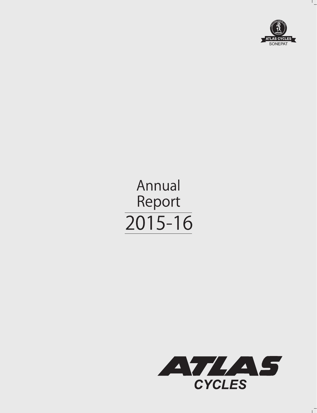

 $\frac{1}{2}$ 

 $\overline{1}$ 

# Annual Report  $2015 - 16$

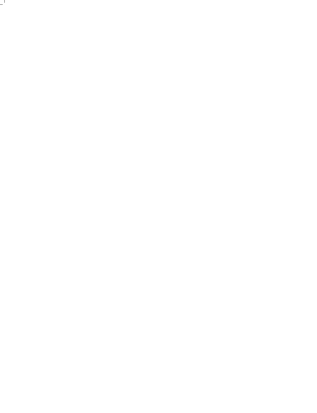$-$ <sup>1</sup>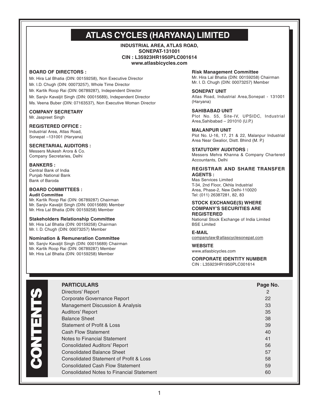# **ATLAS CYCLES (HARYANA) LIMITED**

# **INDUSTRIAL AREA, ATLAS ROAD, SONEPAT-131001 CIN : L35923HR1950PLC001614 www.atlasbicycles.com**

# **BOARD OF DIRECTORS :**

Mr. Hira Lal Bhatia (DIN: 00159258), Non Executive Director Mr. I.D. Chugh (DIN: 00073257), Whole Time Director Mr. Kartik Roop Rai (DIN: 06789287), Independent Director Mr. Sanjiv Kavaljit Singh (DIN: 00015689), Independent Director Ms. Veena Buber (DIN: 07163537), Non Executive Woman Director

# **COMPANY SECRETARY**

Mr. Jaspreet Singh

#### **REGISTERED OFFICE :**

Industrial Area, Atlas Road, Sonepat –131001 (Haryana)

#### **SECRETARIAL AUDITORS :**

Messers Mukesh Arora & Co. Company Secretaries, Delhi

# **BANKERS :**

Central Bank of India Punjab National Bank Bank of Baroda

#### **BOARD COMMITTEES : Audit Committee**

Mr. Kartik Roop Rai (DIN: 06789287) Chairman Mr. Sanjiv Kavaljit Singh (DIN: 00015689) Member Mr. Hira Lal Bhatia (DIN: 00159258) Member

# **Stakeholders Relationship Committee**

Mr. Hira Lal Bhatia (DIN: 00159258) Chairman Mr. I. D. Chugh (DIN: 00073257) Member

# **Nomination & Remuneration Committee**

Mr. Sanjiv Kavaljit Singh (DIN: 00015689) Chairman Mr. Kartik Roop Rai (DIN: 06789287) Member Mr. Hira Lal Bhatia (DIN: 00159258) Member

# **Risk Management Committee**

Mr. Hira Lal Bhatia (DIN: 00159258) Chairman Mr. I. D. Chugh (DIN: 00073257) Member

### **SONEPAT UNIT**

Atlas Road, Industrial Area,Sonepat - 131001 (Haryana)

# **SAHIBABAD UNIT**

Plot No. 55, Site-IV, UPSIDC, Industrial Area,Sahibabad – 201010 (U.P.)

#### **MALANPUR UNIT**

Plot No. U-16, 17, 21 & 22, Malanpur Industrial Area Near Gwalior, Distt. Bhind (M. P.)

#### **STATUTORY AUDITORS :**

Messers Mehra Khanna & Company Chartered Accountants, Delhi

#### **REGISTRAR AND SHARE TRANSFER AGENTS :**

Mas Services Limited T-34, 2nd Floor, Okhla Industrial Area, Phase-2, New Delhi-110020 Tel: (011) 26387281, 82, 83

#### **STOCK EXCHANGE(S) WHERE COMPANY'S SECURITIES ARE REGISTERED**

National Stock Exchange of India Limited BSE Limited

#### **E-MAIL**

companylaw@atlascyclesonepat.com

#### **WEBSITE**

www.atlasbicycles.com

# **CORPORATE IDENTITY NUMBER**

CIN : L35923HR1950PLC001614

# **CONTENTS NEINC**

# **PARTICULARS Page No.**

| Directors' Report                                | 2  |
|--------------------------------------------------|----|
| Corporate Governance Report                      | 22 |
| Management Discussion & Analysis                 | 33 |
| <b>Auditors' Report</b>                          | 35 |
| <b>Balance Sheet</b>                             | 38 |
| Statement of Profit & Loss                       | 39 |
| <b>Cash Flow Statement</b>                       | 40 |
| Notes to Financial Statement                     | 41 |
| <b>Consolidated Auditors' Report</b>             | 56 |
| <b>Consolidated Balance Sheet</b>                | 57 |
| Consolidated Statement of Profit & Loss          | 58 |
| <b>Consolidated Cash Flow Statement</b>          | 59 |
| <b>Consolidated Notes to Financial Statement</b> | 60 |
|                                                  |    |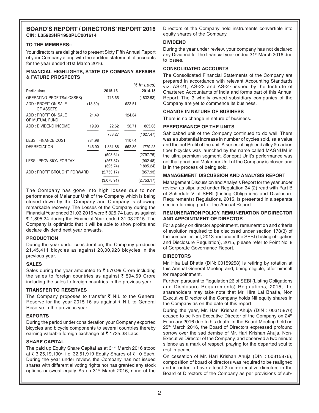# **BOARD'S REPORT / DIRECTORS' REPORT 2016 CIN: L35923HR1950PLC001614**

# **TO THE MEMBERS:-**

Your directors are delighted to present Sixty Fifth Annual Report of your Company along with the audited statement of accounts for the year ended 31st March 2016.

# **FINANCIAL HIGHLIGHTS, STATE OF COMPANY AFFAIRS & FATURE PROSPECTS**

|                                       |         |                      |        | (₹ In Lacs)           |
|---------------------------------------|---------|----------------------|--------|-----------------------|
| <b>Particulars</b>                    |         | 2015-16              |        | 2014-15               |
| OPERATING PROFITS/(LOSSES)            |         | 715.65               |        | (1832.53)             |
| ADD: PROFIT ON SALE<br>OF ASSETS      | (18.80) |                      | 623.51 |                       |
| ADD: PROFIT ON SALE<br>OF MUTUAL FUND | 21.49   |                      | 124.84 |                       |
| ADD: DIVIDEND INCOME                  | 19.93   | 22.62                | 56.71  | 805.06                |
|                                       |         | 738.27               |        | (1027.47)             |
| <b>LESS: FINANCE COST</b>             | 784.98  |                      | 1107.4 |                       |
| <b>DEPRECIATION</b>                   | 546.90  | 1,331.88             | 662.85 | 1770.25               |
|                                       |         | (593.61)             |        | (2797.75)             |
| LESS: PROVISION FOR TAX               |         | (267.87)<br>(325.74) |        | (902.48)<br>(1895.24) |
| ADD : PROFIT BROUGHT FORWARD          |         | (2,753.17)           |        | (857.93)              |
|                                       |         | (3,078.91)           |        | (2,753.17)            |

The Company has gone into high losses due to non performance of Malanpur Unit of the Company which is being closed down by the Company and Company is showing remarkable recovery. The Losses of the Company during the Financial Year ended 31.03.2016 were  $\bar{\tau}$  325.74 Lacs as against ₹ 1,895.24 during the Financial Year ended 31.03.2015. The Company is optimistic that it will be able to show profits and declare dividend next year onwards.

# **PRODUCTION**

During the year under consideration, the Company produced 21,45,411 bicycles as against 23,00,923 bicycles in the previous year.

# **SALES**

Sales during the year amounted to  $\bar{\tau}$  570.99 Crore including the sales to foreign countries as against  $\bar{\tau}$  594.59 Crore including the sales to foreign countries in the previous year.

# **TRANSFER TO RESERVES**

The Company proposes to transfer  $\bar{\tau}$  NIL to the General Reserve for the year 2015-16 as against  $\bar{\tau}$  NIL to General Reserve in the previous year.

# **EXPORTS**

During the period under consideration your Company exported bicycles and bicycle components to several countries thereby earning valuable foreign exchange of  $\bar{\tau}$  1735.38 Lacs.

# **SHARE CAPITAL**

The paid up Equity Share Capital as at 31<sup>st</sup> March 2016 stood at ₹ 3,25,19,190/- i.e. 32,51,919 Equity Shares of ₹ 10 Each. During the year under review, the Company has not issued shares with differential voting rights nor has granted any stock options or sweat equity. As on 31<sup>st</sup> March 2016, none of the Directors of the Company hold instruments convertible into equity shares of the Company.

# **DIVIDEND**

During the year under review, your company has not declared any Dividend for the financial year ended 31<sup>st</sup> March 2016 due to losses.

# **CONSOLIDATED ACCOUNTS**

The Consolidated Financial Statements of the Company are prepared in accordance with relevant Accounting Standards viz. AS-21, AS-23 and AS-27 issued by the Institute of Chartered Accountants of India and forms part of this Annual Report. The 3 wholly owned subsidiary companies of the Company are yet to commence its business.

# **CHANGE IN NATURE OF BUSINESS**

There is no change in nature of business.

# **PERFORMANCE OF THE UNITS**

Sahibabad unit of the Company continued to do well. There was a substantial increase in number of cycles sold, sale value and the net Profit of the unit. A series of high end alloy & carbon fiber bicycles was launched by the name called MAGNUM in the ultra premium segment. Sonepat Unit's performance was not that good and Malanpur Unit of the Company is closed and is in the process of being sold.

# **MANAGEMENT DISCUSSION AND ANALYSIS REPORT**

Management Discussion and Analysis Report for the year under review, as stipulated under Regulation 34 (2) read with Part B of Schedule V of SEBI (Listing Obligations and Disclosure Requirements) Regulations, 2015, is presented in a separate section forming part of the Annual Report.

# **REMUNERATION POLICY, REMUNERATION OF DIRECTOR AND APPOINTMENT OF DIRECTOR**

For a policy on director appointment, remuneration and criteria of evolution required to be disclosed under section 178(3) of the companies act, 2013 and under the SEBI (Listing obligation and Disclosure Regulation), 2015, please refer to Point No. 8 of Corporate Governance Report.

# **DIRECTORS**

Mr. Hira Lal Bhatia (DIN: 00159258) is retiring by rotation at this Annual General Meeting and, being eligible, offer himself for reappointment.

Further, pursuant to Regulation 26 of SEBI (Listing Obligations and Disclosure Requirements) Regulations, 2015, the shareholders may take note that Mr. Hira Lal Bhatia, Non Executive Director of the Company holds Nil equity shares in the Company as on the date of this report.

During the year, Mr. Hari Krishan Ahuja (DIN : 00315876) ceased to be Non-Executive Director of the Company on 24<sup>th</sup> February 2016 due to his death. In the Board Meeting held on 25th March 2016, the Board of Directors expressed profound sorrow over the sad demise of Mr. Hari Krishan Ahuja, Non-Executive Director of the Company, and observed a two minute silence as a mark of respect, praying for the departed soul to rest in peace.

On cessation of Mr. Hari Krishan Ahuja (DIN : 00315876), composition of board of directors was required to be realigned and in order to have alteast 2 non-executive directors in the Board of Directors of the Company as per provisions of sub-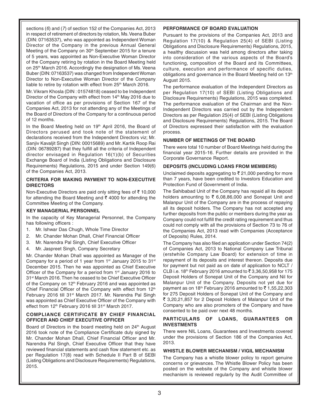sections (*6*) and (*7*) of section 152 of the Companies Act, 2013 in respect of retirement of directors by rotation, Ms. Veena Buber (DIN: 07163537), who was appointed as Independent Woman Director of the Company in the previous Annual General Meeting of the Company on 30<sup>th</sup> September 2015 for a tenure of 5 years, was appointed as Non-Executive Woman Director of the Company retiring by rotation in the Board Meeting held on 25<sup>th</sup> March 2016. Accordingly the designation of Ms. Veena Buber (DIN: 07163537) was changed from Independent Woman Director to Non-Executive Woman Director of the Company liable to retire by rotation with effect from 25<sup>th</sup> March 2016.

Mr. Vikram Khosla (DIN : 01574818) ceased to be Independent Director of the Company with effect from 14<sup>th</sup> May 2016 due to vacation of office as per provisions of Section 167 of the Companies Act, 2013 for not attending any of the Meetings of the Board of Directors of the Company for a continuous period of 12 months.

In the Board Meeting held on 19<sup>th</sup> April 2016, the Board of Directors perused and took note of the statement of declarations received from the Independent Directors viz; Mr. Sanjiv Kavaljit Singh (DIN: 00015689) and Mr. Kartik Roop Rai (DIN: 06789287) that they fulfill all the criteria of Independent director envisaged in Regulation 16(1)(b) of Securities Exchange Board of India (Listing Obligations and Disclosure Requirements) Regulations, 2015 and under Section 149(6) of the Companies Act, 2013.

# **CRITERIA FOR MAKING PAYMENT TO NON-EXECUTIVE DIRECTORS**

Non-Executive Directors are paid only sitting fees of  $\bar{z}$  10,000 for attending the Board Meeting and  $\bar{\tau}$  4000 for attending the Committee Meeting of the Company.

# **KEY MANAGERIAL PERSONNEL**

In the capacity of Key Managerial Personnel, the Company has following officers :

- 1. Mr. Ishwar Das Chugh, Whole Time Director
- 2. Mr. Chander Mohan Dhall, Chief Financial Officer
- 3. Mr. Narendra Pal Singh, Chief Executive Officer
- 4. Mr. Jaspreet Singh, Company Secretary

Mr. Chander Mohan Dhall was appointed as Manager of the Company for a period of 1 year from  $1<sup>st</sup>$  January 2015 to 31 $<sup>st</sup>$ </sup> December 2015. Then he was appointed as Chief Executive Officer of the Company for a period from  $1<sup>st</sup>$  January 2016 to 31<sup>st</sup> March 2016. Then he ceased to be Chief Executive Officer of the Company on 12<sup>th</sup> February 2016 and was appointed as Chief Financial Officer of the Company with effect from 12<sup>th</sup> February 2016 till 31<sup>st</sup> March 2017. Mr. Narendra Pal Singh was appointed as Chief Executive Officer of the Company with effect from 12<sup>th</sup> February 2016 till 31<sup>st</sup> March 2017.

# **COMPLIANCE CERTIFICATE BY CHIEF FINANCIAL OFFICER AND CHIEF EXECUTIVE OFFICER**

Board of Directors in the board meeting held on 24<sup>th</sup> August 2016 took note of the Compliance Certificate duly signed by Mr. Chander Mohan Dhall, Chief Financial Officer and Mr. Narendra Pal Singh, Chief Executive Officer that they have reviewed financial statements and cash flow statement etc. as per Regulation 17(8) read with Schedule II Part B of SEBI (Listing Obligations and Disclosure Requirements) Regulations, 2015.

# **PERFORMANCE OF BOARD EVALUATION**

Pursuant to the provisions of the Companies Act, 2013 and Regulation 17(10) & Regulation 25(4) of SEBI (Listing Obligations and Disclosure Requirements) Regulations, 2015, a healthy discussion was held among directors after taking into consideration of the various aspects of the Board's functioning, composition of the Board and its Committees, culture, execution and performance of specific duties, obligations and governance in the Board Meeting held on 13<sup>th</sup> August 2015.

The performance evaluation of the Independent Directors as per Regulation 17(10) of SEBI (Listing Obligations and Disclosure Requirements) Regulations, 2015 was completed. The performance evaluation of the Chairman and the Non-Independent Directors was carried out by the Independent Directors as per Regulation 25(4) of SEBI (Listing Obligations and Disclosure Requirements) Regulations, 2015. The Board of Directors expressed their satisfaction with the evaluation process.

# **NUMBER OF MEETINGS OF THE BOARD**

There were total 10 number of Board Meetings held during the financial year 2015-16. Further details are provided in the Corporate Governance Report.

# **DEPOSITS (INCLUDING LOANS FROM MEMBERS)**

Unclaimed deposits aggregating to  $\bar{\tau}$  21,000 pending for more than 7 years, have been credited to Investors Education and Protection Fund of Government of India.

The Sahibabad Unit of the Company has repaid all its deposit holders amounting to  $\bar{\tau}$  6,08,86,000 and Sonepat Unit and Malanpur Unit of the Company are in the process of repaying all its deposit holders. The Company has not accepted any further deposits from the public or members during the year as Company could not fulfill the credit rating requirement and thus could not comply with all the provisions of Section 73 to 76 of the Companies Act, 2013 read with Companies (Acceptance of Deposits) Rules, 2014.

The Company has also filed an application under Section 74(2) of Companies Act, 2013 to National Company Law Tribunal (erstwhile Company Law Board) for extension of time in repayment of its deposits and interest thereon. Deposits due for payment but not paid as on date of application to NCLT / CLB i.e. 18<sup>th</sup> February 2016 amounted to ₹3,36,50,958 for 175 Deposit Holders of Sonepat Unit of the Company and Nil for Malanpur Unit of the Company. Deposits not yet due for payment as on 18<sup>th</sup> February 2016 amounted to  $\bar{\tau}$  1,55,22,303 for 275 Deposit Holders of Sonepat Unit of the Company and ` 3,20,21,857 for 2 Deposit Holders of Malanpur Unit of the Company who are also promoters of the Company and have consented to be paid over next 48 months.

# **PARTICULARS OF LOANS, GUARANTEES OR INVESTMENTS**

There were NIL Loans, Guarantees and Investments covered under the provisions of Section 186 of the Companies Act, 2013.

# **WHISTLE BLOWER MECHANISM / VIGIL MECHANISM**

The Company has a whistle blower policy to report genuine concerns or grievances. The Whistle Blower Policy has been posted on the website of the Company and whistle blower mechanism is reviewed regularly by the Audit Committee of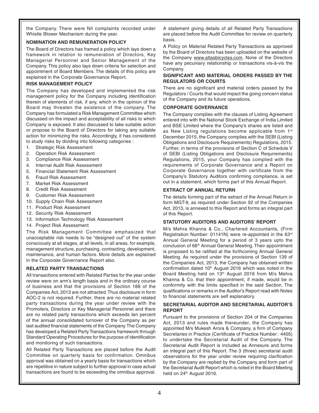the Company. There were Nil complaints recorded under Whistle Blower Mechanism during the year.

# **NOMINATION AND REMUNERATION POLICY**

The Board of Directors has framed a policy which lays down a framework in relation to remuneration of Directors, Key Managerial Personnel and Senior Management of the Company. This policy also lays down criteria for selection and appointment of Board Members. The details of this policy are explained in the Corporate Governance Report.

# **RISK MANAGEMENT POLICY**

The Company has developed and implemented the risk management policy for the Company including identification therein of elements of risk, if any, which in the opinion of the Board may threaten the existence of the company. The Company has formulated a Risk Management Committee which discussed on the impact and acceptability of all risks to which Company is exposed. It also discussed to take suitable action or propose to the Board of Directors for taking any suitable action for minimizing the risks. Accordingly, it has considered to study risks by dividing into following categories :

- 1. Strategic Risk Assessment
- 2. Operation Risk Assessment
- 3. Compliance Risk Assessment
- 4. Internal Audit Risk Assessment
- 5. Financial Statement Risk Assessment
- 6. Fraud Risk Assessment
- 7. Market Risk Assessment
- 8. Credit Risk Assessment
- 9. Customer Risk Assessment
- 10. Supply Chain Risk Assessment
- 11. Product Risk Assessment
- 12. Security Risk Assessment
- 13. Information Technology Risk Assessment
- 14. Project Risk Assessment

The Risk Management Committee emphasized that unacceptable risk needs to be "designed out" of the system consciously at all stages, at all levels, in all areas, for example, management structure, purchasing, contracting, development, maintenance, and human factors. More details are explained in the Corporate Governance Report also.

# **RELATED PARTY TRANSACTIONS**

All transactions entered with Related Parties for the year under review were on arm's length basis and in the ordinary course of business and that the provisions of Section 188 of the Companies Act, 2013 are not attracted. Thus disclosure in form AOC-2 is not required. Further, there are no material related party transactions during the year under review with the Promoters, Directors or Key Managerial Personnel and there are no related party transactions which exceeds ten percent of the annual consolidated turnover of the Company as per last audited financial statements of the Company. The Company has developed a Related Party Transactions framework through Standard Operating Procedures for the purpose of identification and monitoring of such transactions.

All Related Party Transactions are placed before the Audit Committee on quarterly basis for confirmation. Omnibus approval was obtained on a yearly basis for transactions which are repetitive in nature subject to further approval in case actual transactions are found to be exceeding the omnibus approval. A statement giving details of all Related Party Transactions are placed before the Audit Committee for review on quarterly basis.

A Policy on Material Related Party Transactions as approved by the Board of Directors has been uploaded on the website of the Company www.atlasbicycles.com. None of the Directors have any pecuniary relationship or transactions vis-à-vis the Company.

# **SIGNIFICANT AND MATERIAL ORDERS PASSED BY THE REGULATORS OR COURTS**

There are no significant and material orders passed by the Regulators / Courts that would impact the going concern status of the Company and its future operations.

# **CORPORATE GOVERNANCE**

The Company complies with the clauses of Listing Agreement entered into with the National Stock Exchange of India Limited and BSE Limited where the Company's shares are listed and as New Listing regulations become applicable from 1st December 2015, the Company complies with the SEBI (Listing Obligations and Disclosure Requirements) Regulations, 2015. Further, in terms of the provisions of Section C of Schedule V of SEBI (Listing Obligations and Disclosure Requirements) Regulations, 2015, your Company has complied with the requirements of Corporate Governance and a Report on Corporate Governance together with certificate from the Company's Statutory Auditors confirming compliance, is set out in a statement, which forms part of this Annual Report.

# **EXTRACT OF ANNUAL RETURN**

The details forming part of the extract of the Annual Return in form MGT-9, as required under Section 92 of the Companies Act, 2013, is annexed to this Report and forms an integral part of this Report.

# **STATUTORY AUDITORS AND AUDITORS' REPORT**

M/s Mehra Khanna & Co., Chartered Accountants, (Firm Registration Number: 01141N) were re-appointed in the 63rd Annual General Meeting for a period of 3 years upto the conclusion of 66th Annual General Meeting. Their appointment is proposed to be ratified at the forthcoming Annual General Meeting. As required under the provisions of Section 139 of the Companies Act, 2013, the Company has obtained written confirmation dated 10<sup>th</sup> August 2016 which was noted in the Board Meeting held on 13<sup>th</sup> August 2016 from M/s Mehra Khanna & Co. that their appointment, if made, would be in conformity with the limits specified in the said Section. The qualifications or remarks in the Auditor's Report read with Notes to financial statements are self explanatory.

# **SECRETARIAL AUDITOR AND SECRETARIAL AUDITOR'S REPORT**

Pursuant to the provisions of Section 204 of the Companies Act, 2013 and rules made thereunder, the Company has appointed M/s Mukesh Arora & Company, a firm of Company Secretaries in Practice (Certificate of Practice Number : 4405) to undertake the Secretarial Audit of the Company. The Secretarial Audit Report is included as Annexure and forms an integral part of this Report. The 3 (three) secretarial audit observations for the year under review requiring clarification by the Company are replied by the Company and form part of the Secretarial Audit Report which is noted in the Board Meeting held on 24<sup>th</sup> August 2016.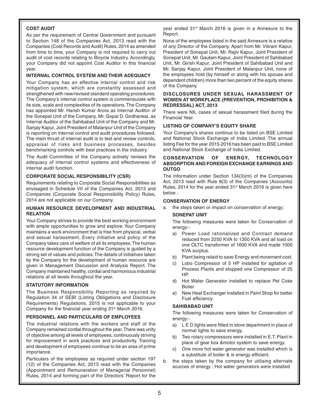# **COST AUDIT**

As per the requirement of Central Government and pursuant to Section 148 of the Companies Act, 2013 read with the Companies (Cost Records and Audit) Rules, 2014 as amended from time to time, your Company is not required to carry out audit of cost records relating to Bicycle Industry. Accordingly, your Company did not appoint Cost Auditor in this financial year.

# **INTERNAL CONTROL SYSTEM AND THEIR ADEQUACY**

Your Company has an effective internal control and risk mitigation system, which are constantly assessed and strengthened with new/revised standard operating procedures. The Company's internal control system is commensurate with its size, scale and complexities of its operations. The Company has appointed Mr. Harish Kumar Arora as Internal Auditor of the Sonepat Unit of the Company, Mr. Gopal D. Girdharwal, as Internal Auditor of the Sahibabad Unit of the Company and Mr. Sanjay Kapur, Joint President of Malanpur Unit of the Company is reporting on internal control and audit procedures followed. The main thrust of internal audit is to test and review controls, appraisal of risks and business processes, besides benchmarking controls with best practices in the industry.

The Audit Committee of the Company actively reviews the adequacy of internal control systems and effectiveness of internal audit function.

# **CORPORATE SOCIAL RESPONSIBILITY (CSR)**

Requirements relating to Corporate Social Responsibilities as envisaged in Schedule VII of the Companies Act, 2013 and Companies (Corporate Social Responsibility Policy) Rules, 2014 are not applicable on our Company.

# **HUMAN RESOURCE DEVELOPMENT AND INDUSTRIAL RELATION**

Your Company strives to provide the best working environment with ample opportunities to grow and explore. Your Company maintains a work environment that is free from physical, verbal and sexual harassment. Every initiative and policy of the Company takes care of welfare of all its employees. The human resource development function of the Company is guided by a strong set of values and policies. The details of initiatives taken by the Company for the development of human resource are given in Management Discussion and Analysis Report. The Company maintained healthy, cordial and harmonious industrial relations at all levels throughout the year.

# **STATUTORY INFORMATION**

The Business Responsibility Reporting as required by Regulation 34 of SEBI (Listing Obligations and Disclosure Requirements) Regulations, 2015 is not applicable to your Company for the financial year ending 31<sup>st</sup> March 2016.

# **PERSONNEL AND PARTICULARS OF EMPLOYEES**

The industrial relations with the workers and staff of the Company remained cordial throughout the year. There was unity of objective among all levels of employees, continuously striving for improvement in work practices and productivity. Training and development of employees continue to be an area of prime importance.

Particulars of the employees as required under section 197 (12) of the Companies Act, 2013 read with the Companies (Appointment and Remuneration of Managerial Personnel) Rules, 2014 and forming part of the Directors' Report for the

year ended 31<sup>st</sup> March 2016 is given in a Annexure to the Report.

None of the employees listed in the said Annexure is a relative of any Director of the Company. Apart from Mr. Vikram Kapur, President of Sonepat Unit, Mr. Rajiv Kapur, Joint President of Sonepat Unit, Mr. Gautam Kapur, Joint President of Sahibabad Unit, Mr. Girish Kapur, Joint President of Sahibabad Unit and Mr. Sanjay Kapur, Joint President of Malanpur Unit, none of the employees hold (by himself or along with his spouse and dependent children) more than two percent of the equity shares of the Company.

# **DISCLOSURES UNDER SEXUAL HARASSMENT OF WOMEN AT WORKPLACE (PREVENTION, PROHIBITION & REDRESSAL) ACT, 2013**

There were NIL cases of sexual harassment filed during the Financial Year.

# **LISTING OF COMPANY'S EQUITY SHARE**

Your Company's shares continue to be listed on BSE Limited and National Stock Exchange of India Limited. The annual listing Fee for the year 2015-2016 has been paid to BSE Limited and National Stock Exchange of India Limited.

# **CONSERVATION OF ENERGY, TECHNOLOGY ABSORPTION AND FOREIGN EXCHANGE EARNINGS AND OUTGO**

The information under Section 134(3)(m) of the Companies Act, 2013 read with Rule 8(3) of the Companies (Accounts) Rules, 2014 for the year ended 31<sup>st</sup> March 2016 is given here below :

# **CONSERVATION OF ENERGY**

a. the steps taken or impact on conservation of energy;

# **SONEPAT UNIT**

The following measures were taken for Conservation of energy:-

- a) Power Load rationalized and Contract demand reduced from 2250 KVA to 1350 KVA and all load on one OLTC transformer of 1600 KVA and made 1000 KVA surplus.
- b) Plant being relaid to save Energy and movement cost.
- c) Lobo Compressor of 5 HP installed for agitation of Process Plants and stopped one Compressor of 25 HP.
- d) Hot Water Generator installed to replace Pet Coke Boiler
- e) New Heat Exchanger installed in Paint Shop for better Fuel efficiency.

# **SAHIBABAD UNIT**

The following measures were taken for Conservation of energy:-

- a) L E D lights were fitted in store department in place of normal lights to save energy.
- b) Two rotary compressors were installed in E.T. Plant in place of gear box &motor system to save energy.
- c) One more hot water generator was installed which is a substitute of boiler & is energy efficient.
- b. the steps taken by the company for utilising alternate sources of energy : Hot water generators were installed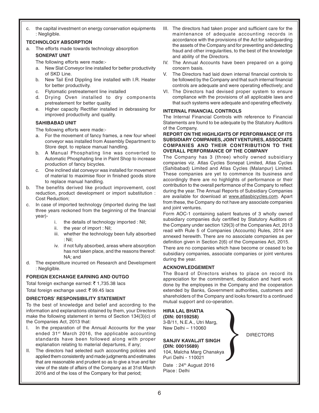c. the capital investment on energy conservation equipments : Negligible.

# **TECHNOLOGY ABSORPTION**

a. The efforts made towards technology absorption **SONEPAT UNIT**

The following efforts were made:-

- a. New Slat Conveyor line installed for better productivity of SKD Line.
- b. New Tail End Dippling line installed with I.R. Heater for better productivity.
- c. Flytomatic pretreatement line installed
- d. Drying Oven installed to dry components pretreatement for better quality.
- e. Higher capacity Rectifier installed in debrassing for improved productivity and quality.

# **SAHIBABAD UNIT**

The following efforts were made:-

- a. For the movement of fancy frames, a new four wheel conveyor was installed from Assembly Department to Store dept. to replace manual handling.
- b. A Manual Phosphating line was converted to Automatic Phosphating line in Paint Shop to increase production of fancy bicycles.
- c. One inclined slat conveyor was installed for movement of material to maximise floor in finished goods store to replace manual handling.
- b. The benefits derived like product improvement, cost reduction, product development or import substitution : Cost Reduction;
- c. In case of imported technology (imported during the last three years reckoned from the beginning of the financial year)
	- i. the details of technology imported : Nil;
	- ii. the year of import : Nil;
	- iii. whether the technology been fully absorbed : Nil;
	- iv. if not fully absorbed, areas where absorption has not taken place, and the reasons thereof: NA; and
- d. The expenditure incurred on Research and Development : Negligible.

# **FOREIGN EXCHANGE EARNING AND OUTGO**

Total foreign exchange earned: ₹1,735.38 lacs Total foreign exchange used: ₹ 99.45 lacs

# **DIRECTORS' RESPONSIBILITY STATEMENT**

To the best of knowledge and belief and according to the information and explanations obtained by them, your Directors make the following statement in terms of Section 134(3)(c) of the Companies Act, 2013 that:

- In the preparation of the Annual Accounts for the year ended 31st March 2016, the applicable accounting standards have been followed along with proper explanation relating to material departures, if any;
- II. The directors had selected such accounting policies and applied them consistently and made judgments and estimates that are reasonable and prudent so as to give a true and fair view of the state of affairs of the Company as at 31st March 2016 and of the loss of the Company for that period;
- III. The directors had taken proper and sufficient care for the maintenance of adequate accounting records in accordance with the provisions of the Act for safeguarding the assets of the Company and for preventing and detecting fraud and other irregularities, to the best of the knowledge and ability of the Directors.
- IV. The Annual Accounts have been prepared on a going concern basis.
- V. The Directors had laid down internal financial controls to be followed by the Company and that such internal financial controls are adequate and were operating effectively; and
- VI. The Directors had devised proper system to ensure compliance with the provisions of all applicable laws and that such systems were adequate and operating effectively.

# **INTERNAL FINANCIAL CONTROLS**

The Internal Financial Controls with reference to Financial Statements are found to be adequate by the Statutory Auditors of the Company.

# **REPORT ON THE HIGHLIGHTS OF PERFORMANCE OF ITS SUBSIDIARY COMPANIES, JOINT VENTURES, ASSOCIATE COMPANIES AND THEIR CONTRIBUTION TO THE OVERALL PERFORMANCE OF THE COMPANY**

The Company has 3 (three) wholly owned subsidiary companies viz. Atlas Cycles Sonepat Limited, Atlas Cycles (Sahibabad) Limited and Atlas Cycles (Malanpur) Limited. These companies are yet to commence its business and accordingly there are no highlights of performance or their contribution to the overall performance of the Company to reflect during the year. The Annual Reports of Subsidiary Companies are available for download at www.atlasbicycles.com. Apart from these, the Company do not have any associate companies and joint ventures.

Form AOC-1 containing salient features of 3 wholly owned subsidiary companies duly certified by Statutory Auditors of the Company under section 129(3) of the Companies Act, 2013 read with Rule 5 of Companies (Accounts) Rules, 2014 are annexed herewith. There are no associate companies as per definition given in Section 2(6) of the Companies Act, 2015. There are no companies which have become or ceased to be

subsidiary companies, associate companies or joint ventures during the year.

# **ACKNOWLEDGEMENT**

The Board of Directors wishes to place on record its appreciation for the commitment, dedication and hard work done by the employees in the Company and the cooperation extended by Banks, Government authorities, customers and shareholders of the Company and looks forward to a continued mutual support and co-operation.

# **HIRA LAL BHATIA**

**(DIN: 00159258)** 3-B/11, N.E.A., Utri Marg, New Delhi – 110060

**SANJIV KAVALJIT SINGH (DIN: 00015689)** 104, Malcha Marg Chanakya Puri Delhi - 110021  $\left\{\right\}$ 

Date: 24<sup>th</sup> August 2016 Place : Delhi

DIRECTORS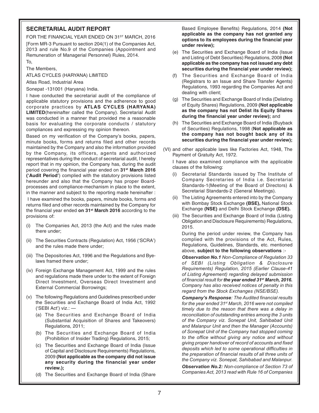# **SECRETARIAL AUDIT REPORT**

FOR THE FINANCIAL YEAR ENDED ON 31ST MARCH, 2016 [Form MR-3 Pursuant to section 204(1) of the Companies Act, 2013 and rule No.9 of the Companies (Appointment and Remuneration of Managerial Personnel) Rules, 2014.

To,

The Members,

ATLAS CYCLES (HARYANA) LIMITED

Atlas Road, Industrial Area

Sonepat -131001 (Haryana) India.

I have conducted the secretarial audit of the compliance of applicable statutory provisions and the adherence to good corporate practices by **ATLAS CYCLES (HARYANA) LIMITED**(hereinafter called the Company). Secretarial Audit was conducted in a manner that provided me a reasonable basis for evaluating the corporate conducts / statutory compliances and expressing my opinion thereon.

Based on my verification of the Company's books, papers, minute books, forms and returns filed and other records maintained by the Company and also the information provided by the Company, its officers, agents and authorized representatives during the conduct of secretarial audit, I hereby report that in my opinion, the Company has, during the audit period covering the financial year ended on **31st March 2016 ('Audit Period'**) complied with the statutory provisions listed hereunder and also that the Company has proper Boardprocesses and compliance-mechanism in place to the extent, in the manner and subject to the reporting made hereinafter :

 I have examined the books, papers, minute books, forms and returns filed and other records maintained by the Company for the financial year ended **on 31st March 2016** according to the provisions of:

- (i) The Companies Act, 2013 (the Act) and the rules made there under;
- (ii) The Securities Contracts (Regulation) Act, 1956 ('SCRA') and the rules made there under;
- (iii) The Depositories Act, 1996 and the Regulations and Byelaws framed there under;
- (iv) Foreign Exchange Management Act, 1999 and the rules and regulations made there under to the extent of Foreign Direct Investment, Overseas Direct Investment and External Commercial Borrowings;
- (v) The following Regulations and Guidelines prescribed under the Securities and Exchange Board of India Act, 1992 ('SEBI Act') viz.: —
	- (a) The Securities and Exchange Board of India (Substantial Acquisition of Shares and Takeovers) Regulations, 2011;
	- (b) The Securities and Exchange Board of India (Prohibition of Insider Trading) Regulations, 2015;
	- (c) The Securities and Exchange Board of India (Issue of Capital and Disclosure Requirements) Regulations, 2009 **(Not applicable as the company did not issue any security during the financial year under review.);**
	- (d) The Securities and Exchange Board of India (Share

Based Employee Benefits) Regulations, 2014 **(Not applicable as the company has not granted any options to its employees during the financial year under review);**

- (e) The Securities and Exchange Board of India (Issue and Listing of Debt Securities) Regulations, 2008 **(Not applicable as the company has not issued any debt securities during the financial year under review);**
- (f) The Securities and Exchange Board of India (Registrars to an Issue and Share Transfer Agents) Regulations, 1993 regarding the Companies Act and dealing with client;
- (g) The Securities and Exchange Board of India (Delisting of Equity Shares) Regulations, 2009 **(Not applicable as the company has not Delist its Equity Shares during the financial year under review);** and
- (h) The Securities and Exchange Board of India (Buyback of Securities) Regulations, 1998 (**Not applicable as the company has not bought back any of its securities during the financial year under review);**
- (VI) and other applicable laws like Factories Act, 1948, The Payment of Gratuity Act, 1972.

I have also examined compliance with the applicable clauses of the following:

- (i) Secretarial Standards issued by The Institute of Company Secretaries of India i.e. Secretarial Standards-1(Meeting of the Board of Directors) & Secretarial Standards-2 (General Meetings).
- (ii) The Listing Agreements entered into by the Company with Bombay Stock Exchange **(BSE),** National Stock Exchange **(NSE)** and Delhi Stock Exchange **(DSE).**
- (iii) The Securities and Exchange Board of India (Listing Obligation and Disclosure Requirements) Regulations, 2015.

During the period under review, the Company has complied with the provisions of the Act, Rules, Regulations, Guidelines, Standards, etc. mentioned above, **subject to the following observations** :-

*Observation No.1 Non-Compliance of Regulation 33 of SEBI (Listing Obligation & Disclosure Requirements) Regulation, 2015 (Earlier Clause-41 of Listing Agreement) regarding delayed submission of financial result for the year ended 31st March, 2016. Company has also received notices of penalty in this regard from the Stock Exchanges (NSE/BSE).*

*Company's Response: The Audited financial results for the year ended 31st March, 2016 were not compiled timely due to the reason that there was a delay in reconciliation of outstanding entries among the 3 units of the Company viz. Sonepat Unit, Sahibabad Unit and Malanpur Unit and then the Manager (Accounts) of Sonepat Unit of the Company had stopped coming to the office without giving any notice and without giving proper handover of record of accounts and fixed deposits which led to some operational difficulties in the preparation of financial results of all three units of the Company viz. Sonepat, Sahibabad and Malanpur.*

*Observation No.2: Non-compliance of Section 73 of Companies Act, 2013 read with Rule 16 of Companies*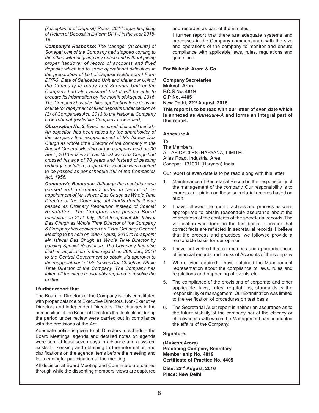*(Acceptance of Deposit) Rules, 2014 regarding filing of Return of Deposit in E-Form DPT-3 in the year 2015- 16.*

*Company's Response: The Manager (Accounts) of Sonepat Unit of the Company had stopped coming to the office without giving any notice and without giving proper handover of record of accounts and fixed deposits which led to some operational difficulties in the preparation of List of Deposit Holders and Form DPT-3. Data of Sahibabad Unit and Malanpur Unit of the Company is ready and Sonepat Unit of the Company had also assured that it will be able to prepare its information by the month of August, 2016. The Company has also filed application for extension of time for repayment of fixed deposits under section74 (2) of Companies Act, 2013 to the National Company Law Tribunal (erstwhile Company Law Board).*

*Observation No. 3: Event occurred after audit period:- An objection has been raised by the shareholder of the company that reappointment of Mr. Ishwar Das Chugh as whole time director of the company in the Annual General Meeting of the company held on 30 Sept., 2013 was invalid as Mr. Ishwar Das Chugh had crossed his age of 70 years and instead of passing ordinary resolution , a special resolution was required to be passed as per schedule XIII of the Companies Act, 1956.*

*Company's Response: Although the resolution was passed with unanimous votes in favour of reappointment of Mr. Ishwar Das Chugh as Whole Time Director of the Company, but inadvertently it was passed as Ordinary Resolution instead of Special Resolution. The Company has passed Board resolution on 21st July, 2016 to appoint Mr. Ishwar Das Chugh as Whole Time Director of the Company & Company has convened an Extra Ordinary General Meeting to be held on 29th August, 2016 to re-appoint Mr. Ishwar Das Chugh as Whole Time Director by passing Special Resolution. The Company has also filed an application in this regard on 28th July, 2016 to the Central Government to obtain it's approval to the reappointment of Mr. Ishwas Das Chugh as Whole Time Director of the Company. The Company has taken all the steps reasonably required to resolve the matter.*

# **I further report that**

The Board of Directors of the Company is duly constituted with proper balance of Executive Directors, Non-Executive Directors and Independent Directors. The changes in the composition of the Board of Directors that took place during the period under review were carried out in compliance with the provisions of the Act.

Adequate notice is given to all Directors to schedule the Board Meetings, agenda and detailed notes on agenda were sent at least seven days in advance and a system exists for seeking and obtaining further information and clarifications on the agenda items before the meeting and for meaningful participation at the meeting.

All decision at Board Meeting and Committee are carried through while the dissenting members' views are captured and recorded as part of the minutes.

I further report that there are adequate systems and processes in the Company commensurate with the size and operations of the company to monitor and ensure compliance with applicable laws, rules, regulations and guidelines.

# **For Mukesh Arora & Co.**

**Company Secretaries Mukesh Arora F.C.S No. 4819 C.P No. 4405 New Delhi, 22nd August, 2016**

**This report is to be read with our letter of even date which is annexed as** *Annexure-A* **and forms an integral part of this report.**

#### **Annexure A**

To The Members ATLAS CYCLES (HARYANA) LIMITED Atlas Road, Industrial Area Sonepat -131001 (Haryana) India.

Our report of even date is to be read along with this letter

- 1. Maintenance of Secretarial Record is the responsibility of the management of the company. Our responsibility is to express an opinion on these secretarial records based on audit
- 2. I have followed the audit practices and process as were appropriate to obtain reasonable assurance about the correctness of the contents of the secretarial records. The verification was done on the test basis to ensure that correct facts are reflected in secretarial records. I believe that the process and practices, we followed provide a reasonable basis for our opinion
- 3. I have not verified that correctness and appropriateness of financial records and books of Accounts of the company
- 4. Where ever required, I have obtained the Management representation about the compliance of laws, rules and regulations and happening of events etc.
- 5. The compliance of the provisions of corporate and other applicable, laws, rules, regulations, standards is the responsibility of management. Our Examination was limited to the verification of procedures on test basis
- 6. The Secretarial Audit report is neither an assurance as to the future viability of the company nor of the efficacy or effectiveness with which the Management has conducted the affairs of the Company.

#### **Signature:**

**(Mukesh Arora) Practicing Company Secretary Member ship No. 4819 Certificate of Practice No. 4405**

**Date: 22nd August, 2016 Place: New Delhi**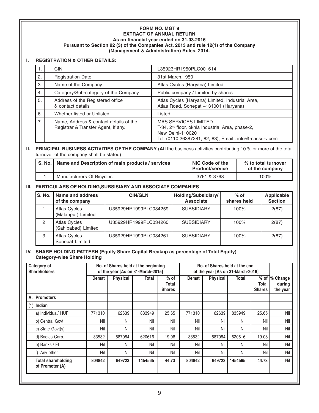# **FORM NO. MGT 9 EXTRACT OF ANNUAL RETURN As on financial year ended on 31.03.2016 Pursuant to Section 92 (3) of the Companies Act, 2013 and rule 12(1) of the Company (Management & Administration) Rules, 2014.**

# **I. REGISTRATION & OTHER DETAILS:**

|    | <b>CIN</b>                                                                    | L35923HR1950PLC001614                                                                                                                                                    |  |  |  |  |  |
|----|-------------------------------------------------------------------------------|--------------------------------------------------------------------------------------------------------------------------------------------------------------------------|--|--|--|--|--|
| 2. | <b>Registration Date</b>                                                      | 31st March, 1950                                                                                                                                                         |  |  |  |  |  |
| 3. | Name of the Company                                                           | Atlas Cycles (Haryana) Limited                                                                                                                                           |  |  |  |  |  |
| 4. | Category/Sub-category of the Company                                          | Public company / Limited by shares                                                                                                                                       |  |  |  |  |  |
| 5. | Address of the Registered office<br>& contact details                         | Atlas Cycles (Haryana) Limited, Industrial Area,<br>Atlas Road, Sonepat -131001 (Haryana)                                                                                |  |  |  |  |  |
| 6. | Whether listed or Unlisted                                                    | Listed                                                                                                                                                                   |  |  |  |  |  |
| 7. | Name, Address & contact details of the<br>Registrar & Transfer Agent, if any. | <b>MAS SERVICES LIMITED</b><br>T-34, 2 <sup>nd</sup> floor, okhla industrial Area, phase-2,<br>New Delhi-110020<br>Tel: (0110 26387281, 82, 83), Email: info@masserv.com |  |  |  |  |  |

# **II. PRINCIPAL BUSINESS ACTIVITIES OF THE COMPANY (AII** the business activities contributing 10 % or more of the total turnover of the company shall be stated)

| <b>S. No. I</b> | Name and Description of main products / services | NIC Code of the<br><b>Product/service</b> | % to total turnover<br>of the company |
|-----------------|--------------------------------------------------|-------------------------------------------|---------------------------------------|
|                 | Manufacturers Of Bicycles                        | 3761 & 3768                               | 100%                                  |

# **III. PARTICULARS OF HOLDING,SUBSISIARY AND ASSOCIATE COMPANIES**

| S. No. | Name and address<br>of the company        | <b>CIN/GLN</b>        | Holding/Subsidiary/<br><b>Associate</b> | $%$ of<br>shares held | <b>Applicable</b><br><b>Section</b> |
|--------|-------------------------------------------|-----------------------|-----------------------------------------|-----------------------|-------------------------------------|
|        | <b>Atlas Cycles</b><br>(Malanpur) Limited | U35929HR1999PLC034259 | <b>SUBSIDIARY</b>                       | $100\%$               | 2(87)                               |
| 2      | Atlas Cycles<br>(Sahibabad) Limited       | U35929HR1999PLC034260 | <b>SUBSIDIARY</b>                       | 100%                  | 2(87)                               |
| 3      | <b>Atlas Cycles</b><br>Sonepat Limited    | U35929HR1999PLC034261 | <b>SUBSIDIARY</b>                       | 100%                  | 2(87)                               |

# **IV. SHARE HOLDING PATTERN (Equity Share Capital Breakup as percentage of Total Equity) Category-wise Share Holding**

| Category of<br><b>Shareholders</b>           |              |                 | No. of Shares held at the beginning<br>of the year [As on 31-March-2015] | No. of Shares held at the end<br>of the year [As on 31-March-2016] |        |                 |              |                                         |                                |
|----------------------------------------------|--------------|-----------------|--------------------------------------------------------------------------|--------------------------------------------------------------------|--------|-----------------|--------------|-----------------------------------------|--------------------------------|
|                                              | <b>Demat</b> | <b>Physical</b> | <b>Total</b>                                                             | $%$ of<br><b>Total</b><br><b>Shares</b>                            | Demat  | <b>Physical</b> | <b>Total</b> | $%$ of<br><b>Total</b><br><b>Shares</b> | % Change<br>during<br>the year |
| A. Promoters                                 |              |                 |                                                                          |                                                                    |        |                 |              |                                         |                                |
| $(1)$ Indian                                 |              |                 |                                                                          |                                                                    |        |                 |              |                                         |                                |
| a) Individual/ HUF                           | 771310       | 62639           | 833949                                                                   | 25.65                                                              | 771310 | 62639           | 833949       | 25.65                                   | Nil                            |
| b) Central Govt                              | Nil          | Nil             | Nil                                                                      | Nil                                                                | Nil    | Nil             | Nil          | Nil                                     | Nil                            |
| c) State Govt(s)                             | Nil          | Nil             | Nil                                                                      | Nil                                                                | Nil    | Nil             | Nil          | Nil                                     | Nil                            |
| d) Bodies Corp.                              | 33532        | 587084          | 620616                                                                   | 19.08                                                              | 33532  | 587084          | 620616       | 19.08                                   | Nil                            |
| e) Banks / Fl                                | Nil          | Nil             | Nil                                                                      | Nil                                                                | Nil    | Nil             | Nil          | Nil                                     | Nil                            |
| f) Any other                                 | Nil          | Nil             | Nil                                                                      | Nil                                                                | Nil    | Nil             | Nil          | Nil                                     | Nil                            |
| <b>Total shareholding</b><br>of Promoter (A) | 804842       | 649723          | 1454565                                                                  | 44.73                                                              | 804842 | 649723          | 1454565      | 44.73                                   | Nil                            |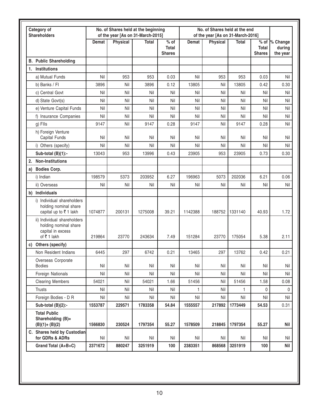|    | Category of<br><b>Shareholders</b>                                                       |         |                 | No. of Shares held at the beginning<br>of the year [As on 31-March-2015] |                                         |         | No. of Shares held at the end<br>of the year [As on 31-March-2016] |              |                                         |                                |
|----|------------------------------------------------------------------------------------------|---------|-----------------|--------------------------------------------------------------------------|-----------------------------------------|---------|--------------------------------------------------------------------|--------------|-----------------------------------------|--------------------------------|
|    |                                                                                          | Demat   | <b>Physical</b> | <b>Total</b>                                                             | $%$ of<br><b>Total</b><br><b>Shares</b> | Demat   | Physical                                                           | Total        | $%$ of<br><b>Total</b><br><b>Shares</b> | % Change<br>during<br>the year |
|    | <b>B.</b> Public Shareholding                                                            |         |                 |                                                                          |                                         |         |                                                                    |              |                                         |                                |
|    | 1. Institutions                                                                          |         |                 |                                                                          |                                         |         |                                                                    |              |                                         |                                |
|    | a) Mutual Funds                                                                          | Nil     | 953             | 953                                                                      | 0.03                                    | Nil     | 953                                                                | 953          | 0.03                                    | Nil                            |
|    | b) Banks / Fl                                                                            | 3896    | Nil             | 3896                                                                     | 0.12                                    | 13805   | Nil                                                                | 13805        | 0.42                                    | 0.30                           |
|    | c) Central Govt                                                                          | Nil     | Nil             | Nil                                                                      | Nil                                     | Nil     | Nil                                                                | Nil          | Nil                                     | Nil                            |
|    | d) State Govt(s)                                                                         | Nil     | Nil             | Nil                                                                      | Nil                                     | Nil     | Nil                                                                | Nil          | Nil                                     | Nil                            |
|    | e) Venture Capital Funds                                                                 | Nil     | Nil             | Nil                                                                      | Nil                                     | Nil     | Nil                                                                | Nil          | Nil                                     | Nil                            |
|    | f) Insurance Companies                                                                   | Nil     | Nil             | Nil                                                                      | Nil                                     | Nil     | Nil                                                                | Nil          | Nil                                     | Nil                            |
|    | g) Flls                                                                                  | 9147    | Nil             | 9147                                                                     | 0.28                                    | 9147    | Nil                                                                | 9147         | 0.28                                    | Nil                            |
|    | h) Foreign Venture<br>Capital Funds                                                      | Nil     | Nil             | Nil                                                                      | Nil                                     | Nil     | Nil                                                                | Nil          | Nil                                     | Nil                            |
|    | i) Others (specify)                                                                      | Nil     | Nil             | Nil                                                                      | Nil                                     | Nil     | Nil                                                                | Nil          | Nil                                     | Nil                            |
|    | Sub-total $(B)(1)$ :-                                                                    | 13043   | 953             | 13996                                                                    | 0.43                                    | 23905   | 953                                                                | 23905        | 0.73                                    | 0.30                           |
|    | 2. Non-Institutions                                                                      |         |                 |                                                                          |                                         |         |                                                                    |              |                                         |                                |
| a) | <b>Bodies Corp.</b>                                                                      |         |                 |                                                                          |                                         |         |                                                                    |              |                                         |                                |
|    | i) Indian                                                                                | 198579  | 5373            | 203952                                                                   | 6.27                                    | 196963  | 5073                                                               | 202036       | 6.21                                    | 0.06                           |
|    | ii) Overseas                                                                             | Nil     | Nil             | Nil                                                                      | Nil                                     | Nil     | Nil                                                                | Nil          | Nil                                     | Nil                            |
|    | b) Individuals                                                                           |         |                 |                                                                          |                                         |         |                                                                    |              |                                         |                                |
|    | i) Individual shareholders<br>holding nominal share<br>capital up to ₹1 lakh             | 1074877 | 200131          | 1275008                                                                  | 39.21                                   | 1142388 | 188752                                                             | 1331140      | 40.93                                   | 1.72                           |
|    | ii) Individual shareholders<br>holding nominal share<br>capital in excess<br>of ₹ 1 lakh | 219864  | 23770           | 243634                                                                   | 7.49                                    | 151284  | 23770                                                              | 175054       | 5.38                                    | 2.11                           |
| c) | Others (specify)                                                                         |         |                 |                                                                          |                                         |         |                                                                    |              |                                         |                                |
|    | Non Resident Indians                                                                     | 6445    | 297             | 6742                                                                     | 0.21                                    | 13465   | 297                                                                | 13762        | 0.42                                    | 0.21                           |
|    | Overseas Corporate<br><b>Bodies</b>                                                      | Nil     | Nil             | Nil                                                                      | Nil                                     | Nil     | Nil                                                                | Nil          | Nil                                     | Nil                            |
|    | Foreign Nationals                                                                        | Nil     | Nil             | Nil                                                                      | Nil                                     | Nil     | Nil                                                                | Nil          | Nil                                     | Nil                            |
|    | <b>Clearing Members</b>                                                                  | 54021   | Nil             | 54021                                                                    | 1.66                                    | 51456   | Nil                                                                | 51456        | 1.58                                    | 0.08                           |
|    | <b>Trusts</b>                                                                            | Nil     | Nil             | Nil                                                                      | Nil                                     | 1.      | Nil                                                                | $\mathbf{1}$ | 0                                       | 0                              |
|    | Foreign Bodies - D R                                                                     | Nil     | Nil             | Nil                                                                      | Nil                                     | Nil     | Nil                                                                | Nil          | Nil                                     | Nil                            |
|    | Sub-total (B)(2):-                                                                       | 1553787 | 229571          | 1783358                                                                  | 54.84                                   | 1555557 | 217892                                                             | 1773449      | 54.53                                   | 0.31                           |
|    | <b>Total Public</b><br>Shareholding (B)=<br>$(B)(1)+(B)(2)$                              | 1566830 | 230524          | 1797354                                                                  | 55.27                                   | 1578509 | 218845                                                             | 1797354      | 55.27                                   | Nil                            |
|    | C. Shares held by Custodian<br>for GDRs & ADRs                                           | Nil     | Nil             | Nil                                                                      | Nil                                     | Nil     | Nil                                                                | Nil          | Nil                                     | Nil                            |
|    | Grand Total (A+B+C)                                                                      | 2371672 | 880247          | 3251919                                                                  | 100                                     | 2383351 | 868568                                                             | 3251919      | 100                                     | <b>Nil</b>                     |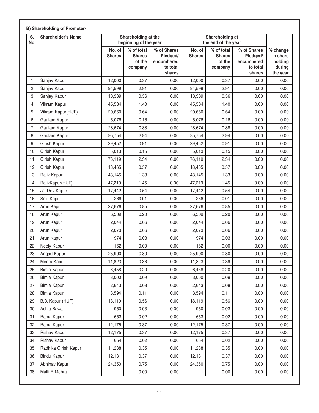| S.<br>No.      | <b>Shareholder's Name</b> |                         | Shareholding at the<br>beginning of the year     |                                                             |                         | Shareholding at<br>the end of the year           |                                                             |                                                       |
|----------------|---------------------------|-------------------------|--------------------------------------------------|-------------------------------------------------------------|-------------------------|--------------------------------------------------|-------------------------------------------------------------|-------------------------------------------------------|
|                |                           | No. of<br><b>Shares</b> | % of total<br><b>Shares</b><br>of the<br>company | % of Shares<br>Pledged/<br>encumbered<br>to total<br>shares | No. of<br><b>Shares</b> | % of total<br><b>Shares</b><br>of the<br>company | % of Shares<br>Pledged/<br>encumbered<br>to total<br>shares | % change<br>in share<br>holding<br>during<br>the year |
| $\mathbf{1}$   | Sanjay Kapur              | 12,000                  | 0.37                                             | 0.00                                                        | 12,000                  | 0.37                                             | 0.00                                                        | 0.00                                                  |
| $\overline{c}$ | Sanjay Kapur              | 94,599                  | 2.91                                             | 0.00                                                        | 94,599                  | 2.91                                             | 0.00                                                        | 0.00                                                  |
| 3              | Sanjay Kapur              | 18,339                  | 0.56                                             | 0.00                                                        | 18,339                  | 0.56                                             | 0.00                                                        | 0.00                                                  |
| 4              | Vikram Kapur              | 45,534                  | 1.40                                             | 0.00                                                        | 45,534                  | 1.40                                             | 0.00                                                        | 0.00                                                  |
| 5              | Vikram Kapur(HUF)         | 20,660                  | 0.64                                             | 0.00                                                        | 20,660                  | 0.64                                             | 0.00                                                        | 0.00                                                  |
| 6              | Gautam Kapur              | 5,076                   | 0.16                                             | 0.00                                                        | 5,076                   | 0.16                                             | 0.00                                                        | 0.00                                                  |
| $\overline{7}$ | Gautam Kapur              | 28,674                  | 0.88                                             | 0.00                                                        | 28,674                  | 0.88                                             | 0.00                                                        | 0.00                                                  |
| 8              | Gautam Kapur              | 95,754                  | 2.94                                             | 0.00                                                        | 95,754                  | 2.94                                             | 0.00                                                        | 0.00                                                  |
| 9              | Girish Kapur              | 29,452                  | 0.91                                             | 0.00                                                        | 29,452                  | 0.91                                             | 0.00                                                        | 0.00                                                  |
| 10             | Girish Kapur              | 5,013                   | 0.15                                             | 0.00                                                        | 5,013                   | 0.15                                             | 0.00                                                        | 0.00                                                  |
| 11             | Girish Kapur              | 76,119                  | 2.34                                             | 0.00                                                        | 76,119                  | 2.34                                             | 0.00                                                        | 0.00                                                  |
| 12             | Girish Kapur              | 18,465                  | 0.57                                             | 0.00                                                        | 18,465                  | 0.57                                             | 0.00                                                        | 0.00                                                  |
| 13             | Rajiv Kapur               | 43,145                  | 1.33                                             | 0.00                                                        | 43,145                  | 1.33                                             | 0.00                                                        | 0.00                                                  |
| 14             | RajivKapur(HUF)           | 47,219                  | 1.45                                             | 0.00                                                        | 47,219                  | 1.45                                             | 0.00                                                        | 0.00                                                  |
| 15             | Jai Dev Kapur             | 17,442                  | 0.54                                             | 0.00                                                        | 17,442                  | 0.54                                             | 0.00                                                        | 0.00                                                  |
| 16             | Salil Kapur               | 266                     | 0.01                                             | 0.00                                                        | 266                     | 0.01                                             | 0.00                                                        | 0.00                                                  |
| 17             | Arun Kapur                | 27,676                  | 0.85                                             | 0.00                                                        | 27,676                  | 0.85                                             | 0.00                                                        | 0.00                                                  |
| 18             | Arun Kapur                | 6,509                   | 0.20                                             | 0.00                                                        | 6,509                   | 0.20                                             | 0.00                                                        | 0.00                                                  |
| 19             | Arun Kapur                | 2,044                   | 0.06                                             | 0.00                                                        | 2,044                   | 0.06                                             | 0.00                                                        | 0.00                                                  |
| 20             | Arun Kapur                | 2,073                   | 0.06                                             | 0.00                                                        | 2,073                   | 0.06                                             | 0.00                                                        | 0.00                                                  |
| 21             | Arun Kapur                | 974                     | 0.03                                             | 0.00                                                        | 974                     | 0.03                                             | 0.00                                                        | 0.00                                                  |
| 22             | Neely Kapur               | 162                     | 0.00                                             | 0.00                                                        | 162                     | 0.00                                             | 0.00                                                        | 0.00                                                  |
| 23             | Angad Kapur               | 25,900                  | 0.80                                             | 0.00                                                        | 25,900                  | 0.80                                             | 0.00                                                        | 0.00                                                  |
| 24             | Meera Kapur               | 11,823                  | 0.36                                             | 0.00                                                        | 11,823                  | 0.36                                             | 0.00                                                        | 0.00                                                  |
| 25             | Bimla Kapur               | 6,458                   | 0.20                                             | 0.00                                                        | 6,458                   | 0.20                                             | 0.00                                                        | 0.00                                                  |
| 26             | Bimla Kapur               | 3,000                   | 0.09                                             | 0.00                                                        | 3,000                   | 0.09                                             | 0.00                                                        | 0.00                                                  |
| 27             | <b>Bimla Kapur</b>        | 2,643                   | 0.08                                             | 0.00                                                        | 2,643                   | 0.08                                             | 0.00                                                        | 0.00                                                  |
| 28             | Bimla Kapur               | 3,594                   | 0.11                                             | 0.00                                                        | 3,594                   | 0.11                                             | 0.00                                                        | 0.00                                                  |
| 29             | B.D. Kapur (HUF)          | 18,119                  | 0.56                                             | 0.00                                                        | 18,119                  | 0.56                                             | 0.00                                                        | 0.00                                                  |
| 30             | Achla Bawa                | 950                     | 0.03                                             | 0.00                                                        | 950                     | 0.03                                             | 0.00                                                        | 0.00                                                  |
| 31             | Rahul Kapur               | 653                     | 0.02                                             | 0.00                                                        | 653                     | 0.02                                             | 0.00                                                        | 0.00                                                  |
| 32             | Rahul Kapur               | 12,175                  | 0.37                                             | 0.00                                                        | 12,175                  | 0.37                                             | 0.00                                                        | 0.00                                                  |
| 33             | Rishav Kapur              | 12,175                  | 0.37                                             | 0.00                                                        | 12,175                  | 0.37                                             | 0.00                                                        | 0.00                                                  |
| 34             | Rishav Kapur              | 654                     | 0.02                                             | 0.00                                                        | 654                     | 0.02                                             | 0.00                                                        | 0.00                                                  |
| 35             | Radhika Girish Kapur      | 11,288                  | 0.35                                             | 0.00                                                        | 11,288                  | 0.35                                             | 0.00                                                        | 0.00                                                  |
| 36             | <b>Bindu Kapur</b>        | 12,131                  | 0.37                                             | 0.00                                                        | 12,131                  | 0.37                                             | 0.00                                                        | 0.00                                                  |
| 37             | Abhinav Kapur             | 24,350                  | 0.75                                             | 0.00                                                        | 24,350                  | 0.75                                             | 0.00                                                        | 0.00                                                  |
| 38             | Malti P Mehra             | 1                       | 0.00                                             | 0.00                                                        | 1                       | 0.00                                             | 0.00                                                        | 0.00                                                  |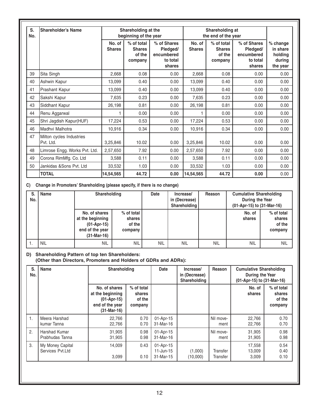| S.<br>No. | <b>Shareholder's Name</b>             |                         | Shareholding at the<br>beginning of the year     |                                                             |                         | Shareholding at<br>the end of the year           |                                                             |                                                       |
|-----------|---------------------------------------|-------------------------|--------------------------------------------------|-------------------------------------------------------------|-------------------------|--------------------------------------------------|-------------------------------------------------------------|-------------------------------------------------------|
|           |                                       | No. of<br><b>Shares</b> | % of total<br><b>Shares</b><br>of the<br>company | % of Shares<br>Pledged/<br>encumbered<br>to total<br>shares | No. of<br><b>Shares</b> | % of total<br><b>Shares</b><br>of the<br>company | % of Shares<br>Pledged/<br>encumbered<br>to total<br>shares | % change<br>in share<br>holding<br>durina<br>the year |
| 39        | Sita Singh                            | 2,668                   | 0.08                                             | 0.00                                                        | 2,668                   | 0.08                                             | 0.00                                                        | 0.00                                                  |
| 40        | Ashwin Kapur                          | 13,099                  | 0.40                                             | 0.00                                                        | 13,099                  | 0.40                                             | 0.00                                                        | 0.00                                                  |
| 41        | Prashant Kapur                        | 13,099                  | 0.40                                             | 0.00                                                        | 13,099                  | 0.40                                             | 0.00                                                        | 0.00                                                  |
| 42        | Sakshi Kapur                          | 7,635                   | 0.23                                             | 0.00                                                        | 7,635                   | 0.23                                             | 0.00                                                        | 0.00                                                  |
| 43        | Siddhant Kapur                        | 26,198                  | 0.81                                             | 0.00                                                        | 26,198                  | 0.81                                             | 0.00                                                        | 0.00                                                  |
| 44        | Renu Aggarwal                         | 1                       | 0.00                                             | 0.00                                                        |                         | 0.00                                             | 0.00                                                        | 0.00                                                  |
| 45        | Shri Jagdish Kapur(HUF)               | 17,224                  | 0.53                                             | 0.00                                                        | 17,224                  | 0.53                                             | 0.00                                                        | 0.00                                                  |
| 46        | Madhvi Malhotra                       | 10,916                  | 0.34                                             | 0.00                                                        | 10,916                  | 0.34                                             | 0.00                                                        | 0.00                                                  |
| 47        | Milton cycles Industries<br>Pvt. Ltd. | 3,25,846                | 10.02                                            | 0.00                                                        | 3,25,846                | 10.02                                            | 0.00                                                        | 0.00                                                  |
| 48        | Limrose Engg. Works Pvt. Ltd.         | 2,57,650                | 7.92                                             | 0.00                                                        | 2,57,650                | 7.92                                             | 0.00                                                        | 0.00                                                  |
| 49        | Corona RimMfg. Co. Ltd                | 3,588                   | 0.11                                             | 0.00                                                        | 3,588                   | 0.11                                             | 0.00                                                        | 0.00                                                  |
| 50        | Jankidas &Sons Pvt. Ltd               | 33,532                  | 1.03                                             | 0.00                                                        | 33,532                  | 1.03                                             | 0.00                                                        | 0.00                                                  |
|           | <b>TOTAL</b>                          | 14,54,565               | 44.72                                            | 0.00                                                        | 14,54,565               | 44.72                                            | 0.00                                                        | 0.00                                                  |

**C) Change in Promoters' Shareholding (please specify, if there is no change)**

| S.<br>No. | Name       | Shareholding                                                                           |                                           | <b>Date</b> | Increase/<br>in (Decrease)<br>Shareholding | Reason     | <b>Cumulative Shareholding</b><br>During the Year<br>(01-Apr-15) to (31-Mar-16) |                                           |
|-----------|------------|----------------------------------------------------------------------------------------|-------------------------------------------|-------------|--------------------------------------------|------------|---------------------------------------------------------------------------------|-------------------------------------------|
|           |            | No. of shares<br>at the beginning<br>$(01-Apr-15)$<br>end of the year<br>$(31-Mar-16)$ | % of total<br>shares<br>of the<br>company |             |                                            |            | No. of<br>shares                                                                | % of total<br>shares<br>of the<br>company |
|           | <b>NIL</b> | <b>NIL</b>                                                                             | <b>NIL</b>                                | <b>NIL</b>  | <b>NIL</b>                                 | <b>NIL</b> | <b>NIL</b>                                                                      | <b>NIL</b>                                |

# **D) Shareholding Pattern of top ten Shareholders:**

**(Other than Directors, Promoters and Holders of GDRs and ADRs):**

| S.<br>No. | Name                                 | Shareholding                                                                           |                                           | Date                                   | Increase/<br>in (Decrease)<br>Shareholding | Reason               | <b>Cumulative Shareholding</b><br>During the Year<br>(01-Apr-15) to (31-Mar-16) |                                           |
|-----------|--------------------------------------|----------------------------------------------------------------------------------------|-------------------------------------------|----------------------------------------|--------------------------------------------|----------------------|---------------------------------------------------------------------------------|-------------------------------------------|
|           |                                      | No. of shares<br>at the beginning<br>$(01-Apr-15)$<br>end of the year<br>$(31-Mar-16)$ | % of total<br>shares<br>of the<br>company |                                        |                                            |                      | No. of<br>shares                                                                | % of total<br>shares<br>of the<br>company |
| 1.        | Meera Harshad<br>kumar Tanna         | 22,766<br>22,766                                                                       | 0.70<br>0.70                              | 01-Apr-15<br>31-Mar-16                 |                                            | Nil move-<br>ment    | 22,766<br>22,766                                                                | 0.70<br>0.70                              |
| 2.        | Harshad Kumar<br>Prabhudas Tanna     | 31,905<br>31,905                                                                       | 0.98<br>0.98                              | 01-Apr-15<br>31-Mar-16                 |                                            | Nil move-<br>ment    | 31,905<br>31,905                                                                | 0.98<br>0.98                              |
| 3.        | My Money Capital<br>Services Pvt.Ltd | 14,009<br>3,099                                                                        | 0.43<br>0.10                              | 01-Apr-15<br>$11$ -Jun-15<br>31-Mar-15 | (1,000)<br>(10,000)                        | Transfer<br>Transfer | 17,558<br>13,009<br>3,009                                                       | 0.54<br>0.40<br>0.10                      |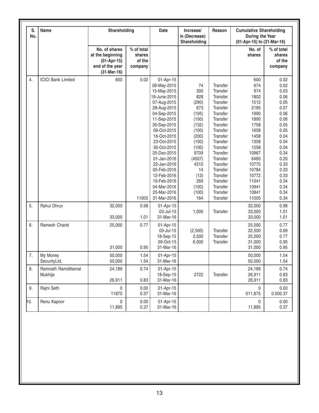| S.<br>No. | Name                           | Shareholding                                                                           |                                           | <b>Date</b>                                                                                                                                                                                                                                                                                                                           | Increase/<br>in (Decrease)<br>Shareholding                                                                                                                              | Reason                                                                                                                                                                                                                                                                                             | <b>Cumulative Shareholding</b><br>During the Year<br>(01-Apr-15) to (31-Mar-16)                                                                                                   |                                                                                                                                                                              |
|-----------|--------------------------------|----------------------------------------------------------------------------------------|-------------------------------------------|---------------------------------------------------------------------------------------------------------------------------------------------------------------------------------------------------------------------------------------------------------------------------------------------------------------------------------------|-------------------------------------------------------------------------------------------------------------------------------------------------------------------------|----------------------------------------------------------------------------------------------------------------------------------------------------------------------------------------------------------------------------------------------------------------------------------------------------|-----------------------------------------------------------------------------------------------------------------------------------------------------------------------------------|------------------------------------------------------------------------------------------------------------------------------------------------------------------------------|
|           |                                | No. of shares<br>at the beginning<br>$(01-Apr-15)$<br>end of the year<br>$(31-Mar-16)$ | % of total<br>shares<br>of the<br>company |                                                                                                                                                                                                                                                                                                                                       |                                                                                                                                                                         |                                                                                                                                                                                                                                                                                                    | No. of<br>shares                                                                                                                                                                  | % of total<br>shares<br>of the<br>company                                                                                                                                    |
| 4.        | <b>ICICI Bank Limited</b>      | 600                                                                                    | 0.02<br>11005                             | 01-Apr-15<br>08-May-2015<br>15-May-2015<br>19-June-2015<br>07-Aug-2015<br>28-Aug-2015<br>04-Sep-2015<br>11-Sep-2015<br>30-Sep-2015<br>09-Oct-2015<br>16-Oct-2015<br>23-Oct-2015<br>30-Oct-2015<br>25-Dec-2015<br>01-Jan-2016<br>22-Jan-2016<br>05-Feb-2016<br>12-Feb-2016<br>19-Feb-2016<br>04-Mar-2016<br>25-Mar-2016<br>31-Mar-2016 | 74<br>300<br>828<br>(290)<br>673<br>(195)<br>(100)<br>(132)<br>(100)<br>(200)<br>(100)<br>(100)<br>9709<br>(4507)<br>4310<br>14<br>(12)<br>269<br>(100)<br>(100)<br>164 | <b>Transfer</b><br>Transfer<br><b>Transfer</b><br>Transfer<br>Transfer<br>Transfer<br>Transfer<br><b>Transfer</b><br>Transfer<br>Transfer<br>Transfer<br>Transfer<br><b>Transfer</b><br><b>Transfer</b><br>Transfer<br>Transfer<br>Transfer<br><b>Transfer</b><br>Transfer<br>Transfer<br>Transfer | 600<br>674<br>974<br>1802<br>1512<br>2185<br>1990<br>1890<br>1758<br>1658<br>1458<br>1358<br>1258<br>10967<br>6460<br>10770<br>10784<br>10772<br>11041<br>10941<br>10841<br>11005 | 0.02<br>0.02<br>0.03<br>0.06<br>0.05<br>0.07<br>0.06<br>0.06<br>0.05<br>0.05<br>0.04<br>0.04<br>0.04<br>0.34<br>0.20<br>0.33<br>0.33<br>0.33<br>0.34<br>0.34<br>0.34<br>0.34 |
| 5.        | Rahul Dhruv                    | 32,000<br>33,000                                                                       | 0.98<br>1.01                              | 01-Apr-15<br>03-Jul-15<br>31-Mar-16                                                                                                                                                                                                                                                                                                   | 1,000                                                                                                                                                                   | <b>Transfer</b>                                                                                                                                                                                                                                                                                    | 32,000<br>33,000<br>33,000                                                                                                                                                        | 0.98<br>1.01<br>1.01                                                                                                                                                         |
| 6.        | Ramesh Chand                   | 25,000<br>31,000                                                                       | 0.77<br>0.95                              | 01-Apr-15<br>03-Jul-15<br>18-Sep-15<br>09-Oct-15<br>31-Mar-16                                                                                                                                                                                                                                                                         | (2,500)<br>2,500<br>6,000                                                                                                                                               | Transfer<br>Transfer<br><b>Transfer</b>                                                                                                                                                                                                                                                            | 25,000<br>22,500<br>25,000<br>31,000<br>31,000                                                                                                                                    | 0.77<br>0.69<br>0.77<br>0.95<br>0.95                                                                                                                                         |
| 7.        | My Money<br>SecurityLtd.       | 50,000<br>50,000                                                                       | 1.54<br>1.54                              | 01-Apr-15<br>31-Mar-16                                                                                                                                                                                                                                                                                                                |                                                                                                                                                                         |                                                                                                                                                                                                                                                                                                    | 50,000<br>50,000                                                                                                                                                                  | 1.54<br>1.54                                                                                                                                                                 |
| 8.        | Ramnath Ramdittamal<br>Mukhija | 24,189<br>26,911                                                                       | 0.74<br>0.83                              | 01-Apr-15<br>18-Sep-15<br>31-Mar-16                                                                                                                                                                                                                                                                                                   | 2722                                                                                                                                                                    | Transfer                                                                                                                                                                                                                                                                                           | 24,189<br>26,911<br>26,911                                                                                                                                                        | 0.74<br>0.83<br>0.83                                                                                                                                                         |
| 9.        | Rajni Seth                     | 0<br>11875                                                                             | 0.00<br>0.37                              | 01-Apr-15<br>31-Mar-16                                                                                                                                                                                                                                                                                                                |                                                                                                                                                                         |                                                                                                                                                                                                                                                                                                    | 0<br>011,875                                                                                                                                                                      | 0.00<br>0.000.37                                                                                                                                                             |
| 10.       | Renu Kapoor                    | 0<br>11,895                                                                            | 0.00<br>0.37                              | 01-Apr-15<br>31-Mar-16                                                                                                                                                                                                                                                                                                                |                                                                                                                                                                         |                                                                                                                                                                                                                                                                                                    | 0<br>11,895                                                                                                                                                                       | 0.00<br>0.37                                                                                                                                                                 |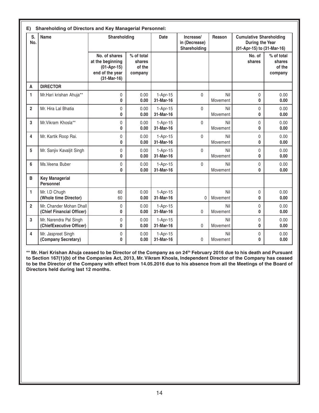| S.<br>No.      | Name                                                 | Shareholding                                                                           |                                           | <b>Date</b>             | Increase/<br>in (Decrease)<br>Shareholding | Reason          | <b>Cumulative Shareholding</b><br>During the Year<br>(01-Apr-15) to (31-Mar-16) |                                           |
|----------------|------------------------------------------------------|----------------------------------------------------------------------------------------|-------------------------------------------|-------------------------|--------------------------------------------|-----------------|---------------------------------------------------------------------------------|-------------------------------------------|
|                |                                                      | No. of shares<br>at the beginning<br>$(01-Apr-15)$<br>end of the year<br>$(31-Mar-16)$ | % of total<br>shares<br>of the<br>company |                         |                                            |                 | No. of<br>shares                                                                | % of total<br>shares<br>of the<br>company |
| A              | <b>DIRECTOR</b>                                      |                                                                                        |                                           |                         |                                            |                 |                                                                                 |                                           |
| 1              | Mr.Hari krishan Ahuja**                              | $\mathbf{0}$<br>0                                                                      | 0.00<br>0.00                              | $1-Apr-15$<br>31-Mar-16 | 0                                          | Nil<br>Movement | $\mathbf{0}$<br>0                                                               | 0.00<br>0.00                              |
| $\overline{2}$ | Mr. Hira Lal Bhatia                                  | $\mathbf{0}$<br>0                                                                      | 0.00<br>0.00                              | $1-Apr-15$<br>31-Mar-16 | $\Omega$                                   | Nil<br>Movement | $\mathbf{0}$<br>0                                                               | 0.00<br>0.00                              |
| 3              | Mr.Vikram Khosla**                                   | 0<br>0                                                                                 | 0.00<br>0.00                              | $1-Apr-15$<br>31-Mar-16 | 0                                          | Nil<br>Movement | 0<br>0                                                                          | 0.00<br>0.00                              |
| 4              | Mr. Kartik Roop Rai.                                 | $\mathbf{0}$<br>0                                                                      | 0.00<br>0.00                              | $1-Apr-15$<br>31-Mar-16 | $\Omega$                                   | Nil<br>Movement | 0<br>0                                                                          | 0.00<br>0.00                              |
| 5              | Mr. Sanjiv Kavaljit Singh                            | $\mathbf 0$<br>0                                                                       | 0.00<br>0.00                              | 1-Apr-15<br>31-Mar-16   | $\Omega$                                   | Nil<br>Movement | $\mathbf{0}$<br>0                                                               | 0.00<br>0.00                              |
| 6              | Ms. Veena Buber                                      | $\mathbf{0}$<br>0                                                                      | 0.00<br>0.00                              | $1-Apr-15$<br>31-Mar-16 | 0                                          | Nil<br>Movement | 0<br>0                                                                          | 0.00<br>0.00                              |
| B              | <b>Key Managerial</b><br><b>Personnel</b>            |                                                                                        |                                           |                         |                                            |                 |                                                                                 |                                           |
| 1              | Mr. I.D Chugh<br>(Whole time Director)               | 60<br>60                                                                               | 0.00<br>0.00                              | $1-Apr-15$<br>31-Mar-16 | 0                                          | Nil<br>Movement | $\mathbf{0}$<br>0                                                               | 0.00<br>0.00                              |
| $\overline{2}$ | Mr. Chander Mohan Dhall<br>(Chief Financial Officer) | 0<br>0                                                                                 | 0.00<br>0.00                              | $1-Apr-15$<br>31-Mar-16 | 0                                          | Nil<br>Movement | 0<br>0                                                                          | 0.00<br>0.00                              |
| 3              | Mr. Narendra Pal Singh<br>(ChiefExecutive Officer)   | $\mathbf 0$<br>0                                                                       | 0.00<br>0.00                              | $1-Apr-15$<br>31-Mar-16 | 0                                          | Nil<br>Movement | 0<br>0                                                                          | 0.00<br>0.00                              |
| 4              | Mr. Jaspreet Singh<br>(Company Secretary)            | $\mathbf 0$<br>0                                                                       | 0.00<br>0.00                              | 1-Apr-15<br>31-Mar-16   | $\mathbf{0}$                               | Nil<br>Movement | 0<br>0                                                                          | 0.00<br>0.00                              |

\*\* Mr. Hari Krishan Ahuja ceased to be Director of the Company as on 24<sup>th</sup> February 2016 due to his death and Pursuant **to Section 167(1)(b) of the Companies Act, 2013, Mr. Vikram Khosla, Independent Director of the Company has ceased to be the Director of the Company with effect from 14.05.2016 due to his absence from all the Meetings of the Board of Directors held during last 12 months.**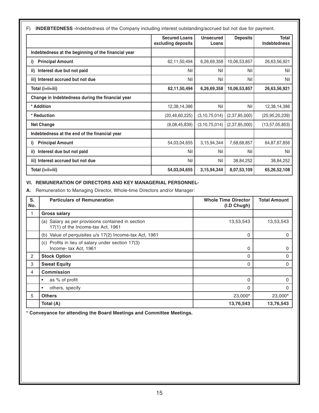F) **INDEBTEDNESS -**Indebtedness of the Company including interest outstanding/accrued but not due for payment.

|                                                     | <b>Secured Loans</b><br>excluding deposits | <b>Unsecured</b><br>Loans | <b>Deposits</b> | Total<br><b>Indebtedness</b> |
|-----------------------------------------------------|--------------------------------------------|---------------------------|-----------------|------------------------------|
| Indebtedness at the beginning of the financial year |                                            |                           |                 |                              |
| <b>Principal Amount</b><br>i)                       | 62, 11, 50, 494                            | 6,26,69,358               | 10,06,53,857    | 26,63,56,921                 |
| Interest due but not paid<br>ii)                    | Nil                                        | Nil                       | Nil             | Nil                          |
| iii) Interest accrued but not due                   | Nil                                        | Nil                       | Nil             | Nil                          |
| Total (i+ii+iii)                                    | 62,11,50,494                               | 6,26,69,358               | 10,06,53,857    | 26,63,56,921                 |
| Change in Indebtedness during the financial year    |                                            |                           |                 |                              |
| * Addition                                          | 12,38,14,386                               | Nil                       | Nil             | 12,38,14,386                 |
| * Reduction                                         | (20, 46, 60, 225)                          | (3, 10, 75, 014)          | (2,37,85,000)   | (25, 95, 20, 239)            |
| <b>Net Change</b>                                   | (8,08,45,839)                              | (3, 10, 75, 014)          | (2,37,85,000)   | (13, 57, 05, 853)            |
| Indebtedness at the end of the financial year       |                                            |                           |                 |                              |
| <b>Principal Amount</b><br>i)                       | 54,03,04,655                               | 3,15,94,344               | 7,68,68,857     | 64,87,67,856                 |
| Interest due but not paid<br>ii)                    | Nil                                        | Nil                       | Nil             | Nil                          |
| iii) Interest accrued but not due                   | Nil                                        | Nil                       | 38,84,252       | 38,84,252                    |
| Total (i+ii+iii)                                    | 54,03,04,655                               | 3, 15, 94, 344            | 8,07,53,109     | 65,26,52,108                 |

# **VI. REMUNERATION OF DIRECTORS AND KEY MANAGERIAL PERSONNEL-**

**A.** Remuneration to Managing Director, Whole-time Directors and/or Manager:

| S.<br>No.      | <b>Particulars of Remuneration</b>                                                     | <b>Whole Time Director</b><br>(I.D Chugh) | <b>Total Amount</b> |
|----------------|----------------------------------------------------------------------------------------|-------------------------------------------|---------------------|
|                | <b>Gross salary</b>                                                                    |                                           |                     |
|                | (a) Salary as per provisions contained in section<br>17(1) of the Income-tax Act, 1961 | 13,53,543                                 | 13,53,543           |
|                | Value of perquisites u/s 17(2) Income-tax Act, 1961<br>(b)                             | 0                                         | 0                   |
|                | (c) Profits in lieu of salary under section 17(3)<br>Income- tax Act, 1961             | 0                                         | $\Omega$            |
| $\overline{2}$ | <b>Stock Option</b>                                                                    | 0                                         | 0                   |
| 3              | <b>Sweat Equity</b>                                                                    | 0                                         | 0                   |
| 4              | <b>Commission</b>                                                                      |                                           |                     |
|                | as % of profit<br>$\bullet$                                                            | 0                                         | $\Omega$            |
|                | others, specify<br>$\bullet$                                                           | 0                                         | 0                   |
| 5              | <b>Others</b>                                                                          | 23,000*                                   | 23,000*             |
|                | Total (A)                                                                              | 13,76,543                                 | 13,76,543           |

**\* Conveyance for attending the Board Meetings and Committee Meetings.**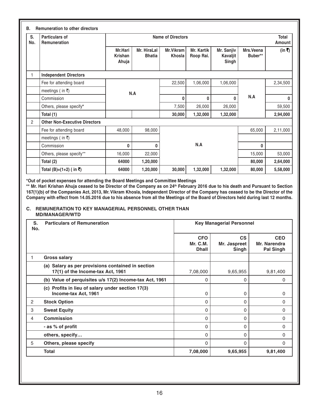| S.<br>No.      | <b>Particulars of</b><br><b>Remuneration</b> |                                      | <b>Name of Directors</b>     |                     |                         |                                 |                       |          |  |  |  |  |
|----------------|----------------------------------------------|--------------------------------------|------------------------------|---------------------|-------------------------|---------------------------------|-----------------------|----------|--|--|--|--|
|                |                                              | Mr.Hari<br><b>Krishan</b><br>Ahuja   | Mr. HiraLal<br><b>Bhatia</b> | Mr.Vikram<br>Khosla | Mr. Kartik<br>Roop Rai. | Mr. Sanjiv<br>Kavaljit<br>Singh | Mrs. Veena<br>Buber** | (in ₹)   |  |  |  |  |
| 1              | <b>Independent Directors</b>                 |                                      |                              |                     |                         |                                 |                       |          |  |  |  |  |
|                | Fee for attending board                      |                                      | N.A                          |                     | 1,06,000                | 1,06,000                        |                       | 2,34,500 |  |  |  |  |
|                | meetings (in ₹)                              |                                      |                              |                     |                         |                                 |                       |          |  |  |  |  |
|                | Commission                                   |                                      |                              | 0                   | 0                       | O                               | N.A                   | $\bf{0}$ |  |  |  |  |
|                | Others, please specify*                      |                                      |                              | 7,500               | 26,000                  | 26,000                          |                       | 59,500   |  |  |  |  |
|                | Total (1)                                    |                                      |                              | 30,000              | 1,32,000                | 1,32,000                        |                       | 2,94,000 |  |  |  |  |
| $\overline{2}$ |                                              | <b>Other Non-Executive Directors</b> |                              |                     |                         |                                 |                       |          |  |  |  |  |
|                | Fee for attending board                      | 48,000                               | 98,000                       |                     |                         |                                 | 65,000                | 2,11,000 |  |  |  |  |
|                | meetings (in ₹)                              |                                      |                              |                     |                         |                                 |                       |          |  |  |  |  |
|                | Commission                                   | $\Omega$                             | 0                            |                     | N.A                     |                                 | $\Omega$              |          |  |  |  |  |
|                | Others, please specify**                     | 16,000                               | 22,000                       |                     |                         |                                 | 15,000                | 53,000   |  |  |  |  |
|                | Total (2)                                    | 64000                                | 1,20,000                     |                     |                         |                                 | 80,000                | 2,64,000 |  |  |  |  |
|                | Total (B)=(1+2) (in ₹)                       | 64000                                | 1,20,000                     | 30,000              | 1,32,000                | 1,32,000                        | 80,000                | 5,58,000 |  |  |  |  |

**\*Out of pocket expenses for attending the Board Meetings and Committee Meetings**

\*\* Mr. Hari Krishan Ahuja ceased to be Director of the Company as on 24<sup>th</sup> February 2016 due to his death and Pursuant to Section **167(1)(b) of the Companies Act, 2013, Mr. Vikram Khosla, Independent Director of the Company has ceased to be the Director of the Company with effect from 14.05.2016 due to his absence from all the Meetings of the Board of Directors held during last 12 months.**

# **C. REMUNERATION TO KEY MANAGERIAL PERSONNEL OTHER THAN MD/MANAGER/WTD**

| S.<br>No.      | <b>Particulars of Remuneration</b>                                                     | <b>Key Managerial Personnel</b>        |                                        |                                                |  |
|----------------|----------------------------------------------------------------------------------------|----------------------------------------|----------------------------------------|------------------------------------------------|--|
|                |                                                                                        | <b>CFO</b><br>Mr. C.M.<br><b>Dhall</b> | $\mathsf{cs}$<br>Mr. Jaspreet<br>Singh | <b>CEO</b><br>Mr. Narendra<br><b>Pal Singh</b> |  |
|                | <b>Gross salary</b>                                                                    |                                        |                                        |                                                |  |
|                | (a) Salary as per provisions contained in section<br>17(1) of the Income-tax Act, 1961 | 7,08,000                               | 9,65,955                               | 9,81,400                                       |  |
|                | (b) Value of perquisites u/s 17(2) Income-tax Act, 1961                                | 0                                      | 0                                      | 0                                              |  |
|                | (c) Profits in lieu of salary under section 17(3)<br>Income-tax Act, 1961              | 0                                      | $\Omega$                               | 0                                              |  |
| $\overline{2}$ | <b>Stock Option</b>                                                                    | 0                                      | $\Omega$                               | 0                                              |  |
| 3              | <b>Sweat Equity</b>                                                                    | 0                                      | 0                                      | 0                                              |  |
| 4              | <b>Commission</b>                                                                      | $\Omega$                               | $\Omega$                               | $\Omega$                                       |  |
|                | - as % of profit                                                                       | 0                                      | $\Omega$                               | 0                                              |  |
|                | others, specify                                                                        | 0                                      | $\Omega$                               | $\Omega$                                       |  |
| 5              | Others, please specify                                                                 | 0                                      | 0                                      | 0                                              |  |
|                | <b>Total</b>                                                                           | 7,08,000                               | 9,65,955                               | 9,81,400                                       |  |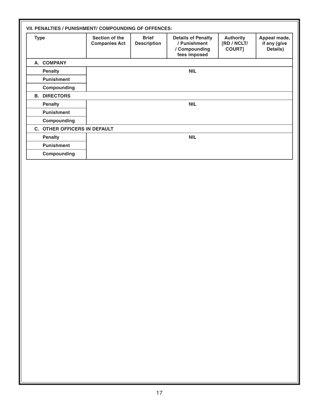| VII. PENALTIES / PUNISHMENT/ COMPOUNDING OF OFFENCES: |                                        |                                    |                                                                            |                                                  |                                          |  |  |  |  |
|-------------------------------------------------------|----------------------------------------|------------------------------------|----------------------------------------------------------------------------|--------------------------------------------------|------------------------------------------|--|--|--|--|
| <b>Type</b>                                           | Section of the<br><b>Companies Act</b> | <b>Brief</b><br><b>Description</b> | <b>Details of Penalty</b><br>/ Punishment<br>/ Compounding<br>fees imposed | <b>Authority</b><br>[RD / NCLT/<br><b>COURT]</b> | Appeal made,<br>if any (give<br>Details) |  |  |  |  |
| A. COMPANY                                            |                                        |                                    |                                                                            |                                                  |                                          |  |  |  |  |
| <b>Penalty</b>                                        |                                        | <b>NIL</b>                         |                                                                            |                                                  |                                          |  |  |  |  |
| <b>Punishment</b>                                     |                                        |                                    |                                                                            |                                                  |                                          |  |  |  |  |
| Compounding                                           |                                        |                                    |                                                                            |                                                  |                                          |  |  |  |  |
| <b>DIRECTORS</b><br><b>B.</b>                         |                                        |                                    |                                                                            |                                                  |                                          |  |  |  |  |
| <b>Penalty</b>                                        |                                        |                                    | <b>NIL</b>                                                                 |                                                  |                                          |  |  |  |  |
| <b>Punishment</b>                                     |                                        |                                    |                                                                            |                                                  |                                          |  |  |  |  |
| Compounding                                           |                                        |                                    |                                                                            |                                                  |                                          |  |  |  |  |
| <b>C. OTHER OFFICERS IN DEFAULT</b>                   |                                        |                                    |                                                                            |                                                  |                                          |  |  |  |  |
| <b>Penalty</b>                                        |                                        |                                    | <b>NIL</b>                                                                 |                                                  |                                          |  |  |  |  |
| <b>Punishment</b>                                     |                                        |                                    |                                                                            |                                                  |                                          |  |  |  |  |
| Compounding                                           |                                        |                                    |                                                                            |                                                  |                                          |  |  |  |  |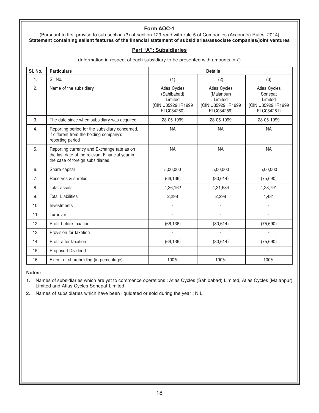# **Form AOC-1**

(Pursuant to first proviso to sub-section (3) of section 129 read with rule 5 of Companies (Accounts) Rules, 2014) **Statement containing salient features of the financial statement of subsidiaries/associate companies/joint ventures**

# **Part "A": Subsidiaries**

(Information in respect of each subsidiary to be presented with amounts in  $\bar{\tau}$ )

| SI. No.        | <b>Particulars</b>                                                                                                                |                                                                           | <b>Details</b>                                                           |                                                                       |
|----------------|-----------------------------------------------------------------------------------------------------------------------------------|---------------------------------------------------------------------------|--------------------------------------------------------------------------|-----------------------------------------------------------------------|
| $\mathbf{1}$ . | SI. No.                                                                                                                           | (1)                                                                       | (2)                                                                      | (3)                                                                   |
| 2.             | Name of the subsidiary                                                                                                            | Atlas Cycles<br>(Sahibabad)<br>Limited<br>(CIN:U35929HR1999<br>PLC034260) | Atlas Cycles<br>(Malanpur)<br>Limited<br>(CIN:U35929HR1999<br>PLC034259) | Atlas Cycles<br>Sonepat<br>Limited<br>(CIN:U35929HR1999<br>PLC034261) |
| 3.             | The date since when subsidiary was acquired                                                                                       | 28-05-1999                                                                | 28-05-1999                                                               | 28-05-1999                                                            |
| 4.             | Reporting period for the subsidiary concerned,<br>if different from the holding company's<br>reporting period                     | <b>NA</b>                                                                 | <b>NA</b>                                                                | <b>NA</b>                                                             |
| 5.             | Reporting currency and Exchange rate as on<br>the last date of the relevant Financial year in<br>the case of foreign subsidiaries | <b>NA</b>                                                                 | <b>NA</b>                                                                | <b>NA</b>                                                             |
| 6.             | Share capital                                                                                                                     | 5,00,000                                                                  | 5,00,000                                                                 | 5,00,000                                                              |
| 7.             | Reserves & surplus                                                                                                                | (66, 136)                                                                 | (80, 614)                                                                | (75, 690)                                                             |
| 8.             | Total assets                                                                                                                      | 4,36,162                                                                  | 4,21,684                                                                 | 4,28,791                                                              |
| 9.             | <b>Total Liabilities</b>                                                                                                          | 2,298                                                                     | 2,298                                                                    | 4,481                                                                 |
| 10.            | Investments                                                                                                                       | J.                                                                        | ÷,                                                                       |                                                                       |
| 11.            | Turnover                                                                                                                          | ÷,                                                                        | ٠                                                                        |                                                                       |
| 12.            | Profit before taxation                                                                                                            | (66, 136)                                                                 | (80, 614)                                                                | (75, 690)                                                             |
| 13.            | Provision for taxation                                                                                                            |                                                                           |                                                                          |                                                                       |
| 14.            | Profit after taxation                                                                                                             | (66, 136)                                                                 | (80, 614)                                                                | (75, 690)                                                             |
| 15.            | Proposed Dividend                                                                                                                 |                                                                           |                                                                          |                                                                       |
| 16.            | Extent of shareholding (in percentage)                                                                                            | 100%                                                                      | 100%                                                                     | 100%                                                                  |

# **Notes:**

1. Names of subsidiaries which are yet to commence operations : Atlas Cycles (Sahibabad) Limited, Atlas Cycles (Malanpur) Limited and Atlas Cycles Sonepat Limited

2. Names of subsidiaries which have been liquidated or sold during the year : NIL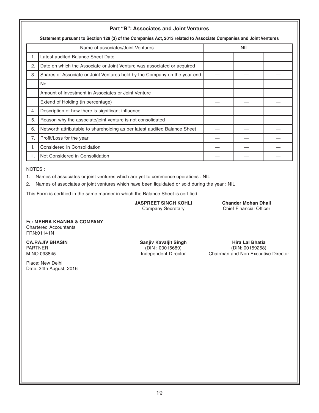# **Part "B": Associates and Joint Ventures**

# **Statement pursuant to Section 129 (3) of the Companies Act, 2013 related to Associate Companies and Joint Ventures**

|     | Name of associates/Joint Ventures                                         | <b>NIL</b> |  |
|-----|---------------------------------------------------------------------------|------------|--|
| 1.  | Latest audited Balance Sheet Date                                         |            |  |
| 2.  | Date on which the Associate or Joint Venture was associated or acquired   |            |  |
| 3.  | Shares of Associate or Joint Ventures held by the Company on the year end |            |  |
|     | No.                                                                       |            |  |
|     | Amount of Investment in Associates or Joint Venture                       |            |  |
|     | Extend of Holding (in percentage)                                         |            |  |
| 4.  | Description of how there is significant influence                         |            |  |
| 5.  | Reason why the associate/joint venture is not consolidated                |            |  |
| 6.  | Networth attributable to shareholding as per latest audited Balance Sheet |            |  |
| 7.  | Profit/Loss for the year                                                  |            |  |
| ۱.  | Considered in Consolidation                                               |            |  |
| ii. | Not Considered in Consolidation                                           |            |  |

# NOTES :

- 1. Names of associates or joint ventures which are yet to commence operations : NIL
- 2. Names of associates or joint ventures which have been liquidated or sold during the year : NIL

This Form is certified in the same manner in which the Balance Sheet is certified.

**JASPREET SINGH KOHLI Chander Mohan Dhall** Company Secretary **Chief Financial Officer** 

For **MEHRA KHANNA & COMPANY**

Chartered Accountants FRN:01141N

Place: New Delhi Date: 24th August, 2016

**CA.RAJIV BHASIN Sanjiv Kavaljit Singh Hira Lal Bhatia** PARTNER (DIN : 00015689) (DIN: 00159258) M.NO:093845 Independent Director Chairman and Non Executive Director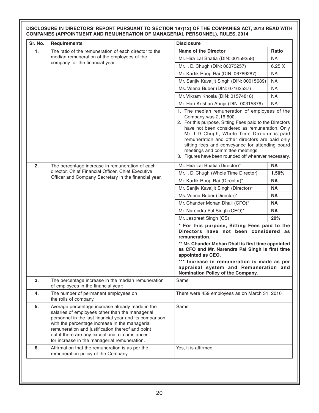| Sr. No. | <b>Requirements</b>                                                                                                                                                                                                                                                                                                                                                   | <b>Disclosure</b>                                                                                                                                                                                                                                                                                                                                                                                                                   |           |  |  |
|---------|-----------------------------------------------------------------------------------------------------------------------------------------------------------------------------------------------------------------------------------------------------------------------------------------------------------------------------------------------------------------------|-------------------------------------------------------------------------------------------------------------------------------------------------------------------------------------------------------------------------------------------------------------------------------------------------------------------------------------------------------------------------------------------------------------------------------------|-----------|--|--|
| 1.      | The ratio of the remuneration of each director to the                                                                                                                                                                                                                                                                                                                 | Name of the Director                                                                                                                                                                                                                                                                                                                                                                                                                | Ratio     |  |  |
|         | median remuneration of the employees of the                                                                                                                                                                                                                                                                                                                           | <b>NA</b><br>Mr. Hira Lal Bhatia (DIN: 00159258)                                                                                                                                                                                                                                                                                                                                                                                    |           |  |  |
|         | company for the financial year                                                                                                                                                                                                                                                                                                                                        | Mr. I. D. Chugh (DIN: 00073257)                                                                                                                                                                                                                                                                                                                                                                                                     | 6.25X     |  |  |
|         |                                                                                                                                                                                                                                                                                                                                                                       | Mr. Kartik Roop Rai (DIN: 06789287)<br><b>NA</b>                                                                                                                                                                                                                                                                                                                                                                                    |           |  |  |
|         |                                                                                                                                                                                                                                                                                                                                                                       | Mr. Sanjiv Kavaljit Singh (DIN: 00015689)                                                                                                                                                                                                                                                                                                                                                                                           | <b>NA</b> |  |  |
|         |                                                                                                                                                                                                                                                                                                                                                                       | Ms. Veena Buber (DIN: 07163537)                                                                                                                                                                                                                                                                                                                                                                                                     | <b>NA</b> |  |  |
|         |                                                                                                                                                                                                                                                                                                                                                                       | Mr. Vikram Khosla (DIN: 01574818)                                                                                                                                                                                                                                                                                                                                                                                                   | <b>NA</b> |  |  |
|         |                                                                                                                                                                                                                                                                                                                                                                       | Mr. Hari Krishan Ahuja (DIN: 00315876)                                                                                                                                                                                                                                                                                                                                                                                              | <b>NA</b> |  |  |
|         |                                                                                                                                                                                                                                                                                                                                                                       | 1. The median remuneration of employees of the<br>Company was 2,16,600.<br>2. For this purpose, Sitting Fees paid to the Directors<br>have not been considered as remuneration. Only<br>Mr. I D Chugh, Whole Time Director is paid<br>remuneration and other directors are paid only<br>sitting fees and conveyance for attending board<br>meetings and committee meetings.<br>3. Figures have been rounded off wherever necessary. |           |  |  |
| 2.      | The percentage increase in remuneration of each                                                                                                                                                                                                                                                                                                                       | Mr. Hira Lal Bhatia (Director)*                                                                                                                                                                                                                                                                                                                                                                                                     | <b>NA</b> |  |  |
|         | director, Chief Financial Officer, Chief Executive                                                                                                                                                                                                                                                                                                                    | Mr. I. D. Chugh (Whole Time Director)                                                                                                                                                                                                                                                                                                                                                                                               | 1.50%     |  |  |
|         | Officer and Company Secretary in the financial year.                                                                                                                                                                                                                                                                                                                  | Mr. Kartik Roop Rai (Director)*                                                                                                                                                                                                                                                                                                                                                                                                     | <b>NA</b> |  |  |
|         |                                                                                                                                                                                                                                                                                                                                                                       | Mr. Sanjiv Kavaljit Singh (Director)*                                                                                                                                                                                                                                                                                                                                                                                               | <b>NA</b> |  |  |
|         |                                                                                                                                                                                                                                                                                                                                                                       | Ms. Veena Buber (Director)*                                                                                                                                                                                                                                                                                                                                                                                                         | <b>NA</b> |  |  |
|         |                                                                                                                                                                                                                                                                                                                                                                       | Mr. Chander Mohan Dhall (CFO)*                                                                                                                                                                                                                                                                                                                                                                                                      | <b>NA</b> |  |  |
|         |                                                                                                                                                                                                                                                                                                                                                                       | Mr. Narendra Pal Singh (CEO)*                                                                                                                                                                                                                                                                                                                                                                                                       | NA.       |  |  |
|         |                                                                                                                                                                                                                                                                                                                                                                       | Mr. Jaspreet Singh (CS)                                                                                                                                                                                                                                                                                                                                                                                                             | 20%       |  |  |
|         |                                                                                                                                                                                                                                                                                                                                                                       | * For this purpose, Sitting Fees paid to the<br>Directors have not been considered as<br>remuneration.<br>** Mr. Chander Mohan Dhall is first time appointed<br>as CFO and Mr. Narendra Pal Singh is first time                                                                                                                                                                                                                     |           |  |  |
|         |                                                                                                                                                                                                                                                                                                                                                                       | appointed as CEO.                                                                                                                                                                                                                                                                                                                                                                                                                   |           |  |  |
|         |                                                                                                                                                                                                                                                                                                                                                                       | *** Increase in remuneration is made as per<br>appraisal system and Remuneration and<br>Nomination Policy of the Company.                                                                                                                                                                                                                                                                                                           |           |  |  |
| 3.      | The percentage increase in the median remuneration<br>of employees in the financial year:                                                                                                                                                                                                                                                                             | Same                                                                                                                                                                                                                                                                                                                                                                                                                                |           |  |  |
| 4.      | The number of permanent employees on<br>the rolls of company.                                                                                                                                                                                                                                                                                                         | There were 459 employees as on March 31, 2016                                                                                                                                                                                                                                                                                                                                                                                       |           |  |  |
| 5.      | Average percentage increase already made in the<br>salaries of employees other than the managerial<br>personnel in the last financial year and its comparison<br>with the percentage increase in the managerial<br>remuneration and justification thereof and point<br>out if there are any exceptional circumstances<br>for increase in the managerial remuneration. | Same                                                                                                                                                                                                                                                                                                                                                                                                                                |           |  |  |
| 6.      | Affirmation that the remuneration is as per the                                                                                                                                                                                                                                                                                                                       | Yes, it is affirmed.                                                                                                                                                                                                                                                                                                                                                                                                                |           |  |  |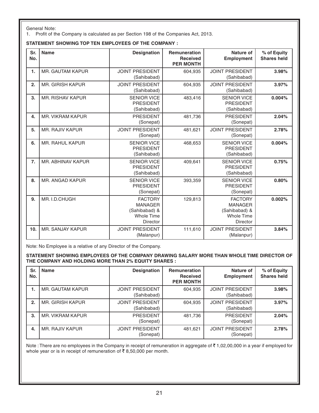General Note:

1. Profit of the Company is calculated as per Section 198 of the Companies Act, 2013.

**STATEMENT SHOWING TOP TEN EMPLOYEES OF THE COMPANY :**

| Sr.<br>No. | <b>Name</b>              | <b>Designation</b>                                                                        | <b>Remuneration</b><br><b>Received</b><br><b>PER MONTH</b> | Nature of<br><b>Employment</b>                                                     | % of Equity<br><b>Shares held</b> |
|------------|--------------------------|-------------------------------------------------------------------------------------------|------------------------------------------------------------|------------------------------------------------------------------------------------|-----------------------------------|
| 1.         | <b>MR. GAUTAM KAPUR</b>  | <b>JOINT PRESIDENT</b><br>(Sahibabad)                                                     | 604,935                                                    | <b>JOINT PRESIDENT</b><br>(Sahibabad)                                              | 3.98%                             |
| 2.         | <b>MR. GIRISH KAPUR</b>  | <b>JOINT PRESIDENT</b><br>(Sahibabad)                                                     | 604,935                                                    | <b>JOINT PRESIDENT</b><br>(Sahibabad)                                              | 3.97%                             |
| 3.         | <b>MR. RISHAV KAPUR</b>  | <b>SENIOR VICE</b><br><b>PRESIDENT</b><br>(Sahibabad)                                     | 483,416                                                    | <b>SENIOR VICE</b><br><b>PRESIDENT</b><br>(Sahibabad)                              | 0.004%                            |
| 4.         | <b>MR. VIKRAM KAPUR</b>  | <b>PRESIDENT</b><br>(Sonepat)                                                             | 481,736                                                    | <b>PRESIDENT</b><br>(Sonepat)                                                      | 2.04%                             |
| 5.         | MR. RAJIV KAPUR          | <b>JOINT PRESIDENT</b><br>(Sonepat)                                                       | 481,621                                                    | <b>JOINT PRESIDENT</b><br>(Sonepat)                                                | 2.78%                             |
| 6.         | <b>MR. RAHUL KAPUR</b>   | <b>SENIOR VICE</b><br><b>PRESIDENT</b><br>(Sahibabad)                                     | 468,653                                                    | <b>SENIOR VICE</b><br><b>PRESIDENT</b><br>(Sahibabad)                              | 0.004%                            |
| 7.         | <b>MR. ABHINAV KAPUR</b> | <b>SENIOR VICE</b><br><b>PRESIDENT</b><br>(Sahibabad)                                     | 409,641                                                    | <b>SENIOR VICE</b><br><b>PRESIDENT</b><br>(Sahibabad)                              | 0.75%                             |
| 8.         | <b>MR. ANGAD KAPUR</b>   | <b>SENIOR VICE</b><br><b>PRESIDENT</b><br>(Sonepat)                                       | 393,359                                                    | <b>SENIOR VICE</b><br><b>PRESIDENT</b><br>(Sonepat)                                | 0.80%                             |
| 9.         | MR. I.D.CHUGH            | <b>FACTORY</b><br><b>MANAGER</b><br>(Sahibabad) &<br><b>Whole Time</b><br><b>Director</b> | 129,813                                                    | <b>FACTORY</b><br><b>MANAGER</b><br>(Sahibabad) &<br><b>Whole Time</b><br>Director | 0.002%                            |
| 10.        | <b>MR. SANJAY KAPUR</b>  | <b>JOINT PRESIDENT</b><br>(Malanpur)                                                      | 111.610                                                    | <b>JOINT PRESIDENT</b><br>(Malanpur)                                               | 3.84%                             |

Note: No Employee is a relative of any Director of the Company.

**STATEMENT SHOWING EMPLOYEES OF THE COMPANY DRAWING SALARY MORE THAN WHOLE TIME DIRECTOR OF THE COMPANY AND HOLDING MORE THAN 2% EQUITY SHARES :**

| Sr.<br>No. | <b>Name</b>             | <b>Designation</b>                    | <b>Remuneration</b><br><b>Received</b><br><b>PER MONTH</b> | Nature of<br><b>Employment</b>        | % of Equity<br><b>Shares held</b> |
|------------|-------------------------|---------------------------------------|------------------------------------------------------------|---------------------------------------|-----------------------------------|
| 1.         | <b>MR. GAUTAM KAPUR</b> | <b>JOINT PRESIDENT</b><br>(Sahibabad) | 604.935                                                    | <b>JOINT PRESIDENT</b><br>(Sahibabad) | 3.98%                             |
| 2.         | <b>MR. GIRISH KAPUR</b> | <b>JOINT PRESIDENT</b><br>(Sahibabad) | 604,935                                                    | <b>JOINT PRESIDENT</b><br>(Sahibabad) | 3.97%                             |
| 3.         | MR. VIKRAM KAPUR        | <b>PRESIDENT</b><br>(Sonepat)         | 481,736                                                    | <b>PRESIDENT</b><br>(Sonepat)         | 2.04%                             |
| 4.         | MR. RAJIV KAPUR         | <b>JOINT PRESIDENT</b><br>(Sonepat)   | 481,621                                                    | <b>JOINT PRESIDENT</b><br>(Sonepat)   | 2.78%                             |

Note : There are no employees in the Company in receipt of remuneration in aggregate of ₹1,02,00,000 in a year if employed for whole year or is in receipt of remuneration of  $\overline{\tau}$  8,50,000 per month.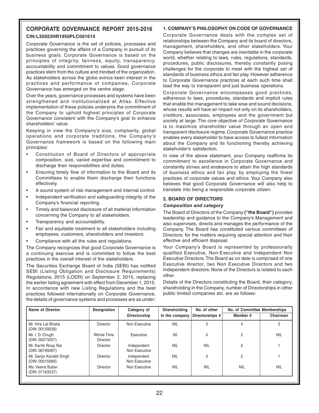# **CORPORATE GOVERNANCE REPORT 2015-2016 CIN:L35923HR1950PLC001614**

Corporate Governance is the set of policies, processes and practices governing the affairs of a Company in pursuit of its business goals. Corporate Governance is based on the principles of integrity, fairness, equity, transparency, accountability and commitment to values. Good governance practices stem from the culture and mindset of the organization. As stakeholders across the globe evince keen interest in the practices and performance of companies, Corporate Governance has emerged on the centre stage.

Over the years, governance processes and systems have been strengthened and institutionalized at Atlas. Effective implementation of these policies underpins the commitment of the Company to uphold highest principles of Corporate Governance consistent with the Company's goal to enhance shareholders' value.

Keeping in view the Company's size, complexity, global operations and corporate traditions, the Company's Governance framework is based on the following main principles:

- Constitution of Board of Directors of appropriate composition, size, varied expertise and commitment to discharge their responsibilities and duties.
- Ensuring timely flow of information to the Board and its Committees to enable them discharge their functions effectively.
- A sound system of risk management and internal control.
- Independent verification and safeguarding integrity of the Company's financial reporting.
- Timely and balanced disclosure of all material information concerning the Company to all stakeholders.
- Transparency and accountability.
- Fair and equitable treatment to all stakeholders including employees, customers, shareholders and investors.
- Compliance with all the rules and regulations.

The Company recognizes that good Corporate Governance is a continuing exercise and is committed to follow the best practices in the overall interest of the stakeholders.

The Securities Exchange Board of India (SEBI) has notified SEBI (Listing Obligation and Disclosure Requirements) Regulations, 2015 (LODR) on September 2, 2015, replacing the earlier listing agreement with effect from December 1, 2015. In accordance with new Listing Regulations and the best practices followed internationally on Corporate Governance, the details of governance systems and processes are as under:

# **1. COMPANY'S PHILOSOPHY ON CODE OF GOVERNANCE**

Corporate Governance deals with the complex set of relationships between the Company and its board of directors, management, shareholders, and other stakeholders. Your Company believes that changes are inevitable in the corporate world, whether relating to laws, rules, regulations, standards, procedures, public disclosures, thereby constantly posing challenges for the corporate to meet with the highest set of standards of business ethics and fair play. However adherence to Corporate Governance practices at each such time shall lead the way to transparent and just business operations.

Corporate Governance encompasses good practices, adherence to laws, procedures, standards and implicit rules that enable the management to take wise and sound decisions, whose results will have an impact not only on its shareholders, creditors, associates, employees and the government but society at large. The core objective of Corporate Governance is to maximize shareholder value through an open and transparent disclosure regime. Corporate Governance practice enables every stakeholder to have access to fullest information about the Company and its functioning thereby achieving stakeholder's satisfaction.

In view of the above statement, your Company reaffirms its commitment to excellence in Corporate Governance and constantly strives and endeavors to attain the high standards of business ethics and fair play, by employing the finest practices of corporate values and ethics. Your Company also believes that good Corporate Governance will also help to translate into being a responsible corporate citizen.

# **2. BOARD OF DIRECTORS**

# *Composition and category*

The Board of Directors of the Company **("the Board")** provides leadership and guidance to the Company's Management and also supervises, directs and manages the performance of the Company. The Board has constituted various committees of Directors, for the matters requiring special attention and their effective and efficient disposal.

Your Company's Board is represented by professionally qualified Executive, Non-Executive and Independent Non Executive Directors. The Board as on date is comprised of one Executive director, two Non Executive Directors and two Independent directors. None of the Directors is related to each other.

Details of the Directors constituting the Board, their category, shareholding in the Company, number of Directorships in other public limited companies etc. are as follows:

| Name of Director                             | Designation            | Category of                  | Shareholding   | No. of other    | No. of Committee Memberships |            |
|----------------------------------------------|------------------------|------------------------------|----------------|-----------------|------------------------------|------------|
|                                              |                        | Directorship                 | in the company | Directorships # | Member #                     | Chairman   |
| Mr. Hira Lal Bhatia<br>(DIN: 00159258)       | Director               | Non Executive                | <b>NIL</b>     | 3               | 4                            | 2          |
| Mr. I. D. Chugh<br>(DIN: 00073257)           | Whole Time<br>Director | Executive                    | 60             | 4               | 2                            | <b>NIL</b> |
| Mr. Kartik Roop Rai<br>(DIN: 06789287)       | Director               | Independent<br>Non Executive | <b>NIL</b>     | <b>NIL</b>      | 2                            |            |
| Mr. Sanjiv Kavaljit Singh<br>(DIN: 00015689) | Director               | Independent<br>Non Executive | <b>NIL</b>     | 3               | 2                            |            |
| Ms. Veena Buber<br>(DIN: 07163537)           | Director               | Non Executive                | <b>NIL</b>     | <b>NIL</b>      | <b>NIL</b>                   | <b>NIL</b> |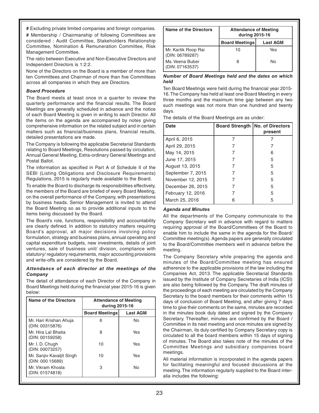23

ten Committees and Chairman of more than five Committees across all companies in which they are Directors. *Board Procedure* The Board meets at least once in a quarter to review the quarterly performance and the financial results. The Board Meetings are generally scheduled in advance and the notice of each Board Meeting is given in writing to each Director. All the items on the agenda are accompanied by notes giving comprehensive information on the related subject and in certain matters such as financial/business plans, financial results, detailed presentations are made. The Company is following the applicable Secretarial Standards

**#** Excluding private limited companies and foreign companies. **#** Membership / Chairmanship of following Committees are considered : Audit Committee, Stakeholders Relationship Committee, Nomination & Remuneration Committee, Risk

The ratio between Executive and Non-Executive Directors and

None of the Directors on the Board is a member of more than

Management Committee.

Independent Directors is 1:2:2.

relating to Board Meetings, Resolutions passed by circulation, Annual General Meeting, Extra-ordinary General Meetings and Postal Ballot.

The information as specified in Part A of Schedule II of the SEBI (Listing Obligations and Disclosure Requirements) Regulations, 2015 is regularly made available to the Board.

To enable the Board to discharge its responsibilities effectively, the members of the Board are briefed of every Board Meeting, on the overall performance of the Company, with presentations by business heads. Senior Management is invited to attend the Board Meeting so as to provide additional inputs to the items being discussed by the Board.

The Board's role, functions, responsibility and accountability are clearly defined. In addition to statutory matters requiring Board's approval, all major decisions involving policy formulation, strategy and business plans, annual operating and capital expenditure budgets, new investments, details of joint ventures, sale of business unit/ division, compliance with statutory/ regulatory requirements, major accounting provisions and write-offs are considered by the Board.

# *Attendance of each director at the meetings of the Company*

The detail of attendance of each Director of the Company in Board Meetings held during the financial year 2015-16 is given below:

| Name of the Directors                         | <b>Attendance of Meeting</b><br>during 2015-16 |                 |
|-----------------------------------------------|------------------------------------------------|-----------------|
|                                               | <b>Board Meetings</b>                          | <b>Last AGM</b> |
| Mr. Hari Krishan Ahuja<br>(DIN: 00315876)     | 6                                              | No              |
| Mr. Hira Lal Bhatia<br>(DIN: 00159258)        | 8                                              | Yes             |
| Mr. I. D. Chugh<br>(DIN: 00073257)            | 10                                             | Yes             |
| Mr. Sanjiv Kavaljit Singh<br>(DIN: 000 15689) | 10                                             | Yes             |
| Mr. Vikram Khosla<br>(DIN: 01574818)          | з                                              | No              |

| Name of the Directors                  | <b>Attendance of Meeting</b><br>during 2015-16 |                 |
|----------------------------------------|------------------------------------------------|-----------------|
|                                        | <b>Board Meetings</b>                          | <b>Last AGM</b> |
| Mr. Kartik Roop Rai<br>(DIN: 06789287) | 10                                             | Yes             |
| Ms. Veena Buber<br>(DIN: 07163537)     | 8                                              | No              |

# *Number of Board Meetings held and the dates on which held*

Ten Board Meetings were held during the financial year 2015- 16. The Company has held at least one Board Meeting in every three months and the maximum time gap between any two such meetings was not more than one hundred and twenty days.

The details of the Board Meetings are as under:

| Date              |   | Board Strength   No. of Directors<br>present |
|-------------------|---|----------------------------------------------|
| April 6, 2015     |   |                                              |
| April 29, 2015    |   |                                              |
| May 14, 2015      |   | 6                                            |
| June 17, 2015     |   | 5                                            |
| August 13, 2015   |   | 5                                            |
| September 7, 2015 |   | 5                                            |
| November 12, 2015 |   | 5                                            |
| December 26, 2015 |   | 5                                            |
| February 12, 2016 |   | 5                                            |
| March 25, 2016    | հ | 5                                            |

# *Agenda and Minutes*

All the departments of the Company communicate to the Company Secretary well in advance with regard to matters requiring approval of the Board/Committees of the Board to enable him to include the same in the agenda for the Board/ Committee meeting(s). Agenda papers are generally circulated to the Board/Committee members well in advance before the meeting.

The Company Secretary while preparing the agenda and minutes of the Board/Committee meeting has ensured adherence to the applicable provisions of the law including the Companies Act, 2013. The applicable Secretarial Standards issued by the Institute of Company Secretaries of India (ICSI) are also being followed by the Company. The draft minutes of the proceedings of each meeting are circulated by the Company Secretary to the board members for their comments within 15 days of conclusion of Board Meeting, and after giving 7 days time to give their comments on the same, minutes are recorded in the minutes book duly dated and signed by the Company Secretary. Thereafter, minutes are confirmed by the Board / Committee in its next meeting and once minutes are signed by the Chairman, its duly certified by Company Secretary copy is circulated to all the board members within 15 days of signing of minutes. The Board also takes note of the minutes of the Committee Meetings and subsidiary companies board meetings.

All material information is incorporated in the agenda papers for facilitating meaningful and focused discussions at the meeting. The information regularly supplied to the Board interalia includes the following: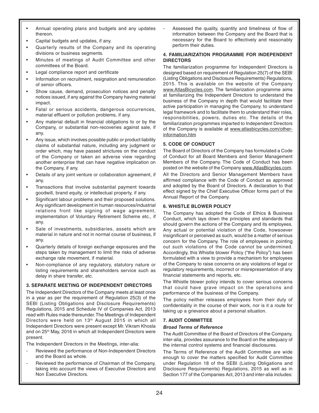- Annual operating plans and budgets and any updates thereon.
- Capital budgets and updates, if any.
- Quarterly results of the Company and its operating divisions or business segments.
- Minutes of meetings of Audit Committee and other committees of the Board.
- Legal compliance report and certificate
- Information on recruitment, resignation and remuneration of senior officers.
- Show cause, demand, prosecution notices and penalty notices issued, if any against the Company having material impact.
- Fatal or serious accidents, dangerous occurrences, material effluent or pollution problems, if any.
- Any material default in financial obligations to or by the Company, or substantial non-recoveries against sale, if any.
- Any issue, which involves possible public or product liability claims of substantial nature, including any judgment or order which, may have passed strictures on the conduct of the Company or taken an adverse view regarding another enterprise that can have negative implication on the Company, if any.
- Details of any joint venture or collaboration agreement, if any.
- Transactions that involve substantial payment towards goodwill, brand equity, or intellectual property, if any.
- Significant labour problems and their proposed solutions. Any significant development in human resources/industrial relations front like signing of wage agreement, implementation of Voluntary Retirement Scheme etc., if any.
- Sale of investments, subsidiaries, assets which are material in nature and not in normal course of business, if any.
- Quarterly details of foreign exchange exposures and the steps taken by management to limit the risks of adverse exchange rate movement, if material.
- Non-compliance of any regulatory, statutory nature or listing requirements and shareholders service such as delay in share transfer, etc.

# **3. SEPARATE MEETING OF INDEPENDENT DIRECTORS**

The Independent Directors of the Company meets at least once in a year as per the requirement of Regulation 25(3) of the SEBI (Listing Obligations and Disclosure Requirements) Regulations, 2015 and Schedule IV of Companies Act, 2013 read with Rules made thereunder. The Meetings of Independent Directors were held on 13<sup>th</sup> August 2015 in which all Independent Directors were present except Mr. Vikram Khosla and on 25<sup>th</sup> May, 2016 in which all Independent Directors were present.

The Independent Directors in the Meetings, inter-alia:

- Reviewed the performance of Non-Independent Directors and the Board as whole.
- Reviewed the performance of Chairman of the Company, taking into account the views of Executive Directors and Non Executive Directors.

Assessed the quality, quantity and timeliness of flow of information between the Company and the Board that is necessary for the Board to effectively and reasonably perform their duties.

# **4. FAMILIARIZATION PROGRAMME FOR INDEPENDENT DIRECTORS**

The familiarization programme for Independent Directors is designed based on requirement of Regulation 25(7) of the SEBI (Listing Obligations and Disclosure Requirements) Regulations, 2015. This is available on the website of the Company www.AtlasBicycles.com. The familiarization programme aims at familiarizing the Independent Directors to understand the business of the Company in depth that would facilitate their active participation in managing the Company, to understand legal framework and to facilitate them to understand their roles, responsibilities, powers, duties etc. The details of the familiarization programmes imparted to Independent Directors of the Company is available at www.atlasbicycles.com/otherinformation.htm

# **5. CODE OF CONDUCT**

The Board of Directors of the Company has formulated a Code of Conduct for all Board Members and Senior Management Members of the Company. The Code of Conduct has been posted on the website of the Company www.AtlasBicycles.com. All the Directors and Senior Management Members have affirmed compliance with the Code of Conduct as approved and adopted by the Board of Directors. A declaration to that effect signed by the Chief Executive Officer forms part of the Annual Report of the Company.

# **6. WHISTLE BLOWER POLICY**

The Company has adopted the Code of Ethics & Business Conduct, which lays down the principles and standards that should govern the actions of the Company and its employees. Any actual or potential violation of the Code, howsoever insignificant or perceived as such, would be a matter of serious concern for the Company. The role of employees in pointing out such violations of the Code cannot be undermined. Accordingly, this Whistle blower Policy ("the Policy") has been formulated with a view to provide a mechanism for employees of the Company to raise concerns on any violations of legal or regulatory requirements, incorrect or misrepresentation of any financial statements and reports, etc.

The Whistle blower policy intends to cover serious concerns that could have grave impact on the operations and performance of the business of the Company.

The policy neither releases employees from their duty of confidentiality in the course of their work, nor is it a route for taking up a grievance about a personal situation.

# **7. AUDIT COMMITTEE** *Broad Terms of Reference*

The Audit Committee of the Board of Directors of the Company, inter-alia, provides assurance to the Board on the adequacy of the internal control systems and financial disclosures.

The Terms of Reference of the Audit Committee are wide enough to cover the matters specified for Audit Committee under Regulation 18 of the SEBI (Listing Obligations and Disclosure Requirements) Regulations, 2015 as well as in Section 177 of the Companies Act, 2013 and inter-alia includes: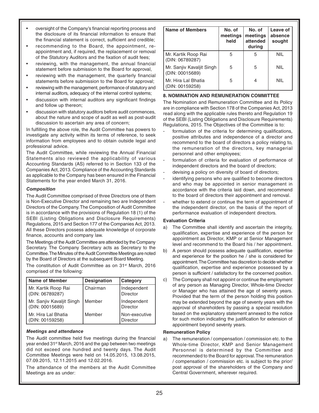- oversight of the Company's financial reporting process and the disclosure of its financial information to ensure that the financial statement is correct, sufficient and credible;
- recommending to the Board, the appointment, reappointment and, if required, the replacement or removal of the Statutory Auditors and the fixation of audit fees;
- reviewing, with the management, the annual financial statement before submission to the Board for approval,
- reviewing with the management, the quarterly financial statements before submission to the Board for approval;
- reviewing with the management, performance of statutory and internal auditors, adequacy of the internal control systems;
- discussion with internal auditors any significant findings and follow up thereon;
- discussion with statutory auditors before audit commences, about the nature and scope of audit as well as post-audit discussion to ascertain any area of concern;

In fulfilling the above role, the Audit Committee has powers to investigate any activity within its terms of reference, to seek information from employees and to obtain outside legal and professional advice.

The Audit Committee, while reviewing the Annual Financial Statements also reviewed the applicability of various Accounting Standards (AS) referred to in Section 133 of the Companies Act, 2013. Compliance of the Accounting Standards as applicable to the Company has been ensured in the Financial Statements for the year ended March 31, 2016.

# *Composition*

The Audit Committee comprised of three Directors one of them is Non-Executive Director and remaining two are Independent Directors of the Company. The Composition of Audit Committee is in accordance with the provisions of Regulation 18 (1) of the SEBI (Listing Obligations and Disclosure Requirements) Regulations, 2015 and Section 177 of the Companies Act, 2013. All these Directors possess adequate knowledge of corporate finance, accounts and company law.

The Meetings of the Audit Committee are attended by the Company Secretary. The Company Secretary acts as Secretary to the Committee. The Minutes of the Audit Committee Meetings are noted by the Board of Directors at the subsequent Board Meeting.

The constitution of Audit Committee as on 31<sup>st</sup> March, 2016 comprised of the following:

| <b>Name of Member</b>                        | <b>Designation</b> | <b>Category</b>                  |
|----------------------------------------------|--------------------|----------------------------------|
| Mr. Kartik Roop Rai<br>(DIN: 06789287)       | Chairman           | Independent<br>Director          |
| Mr. Sanjiv Kavaljit Singh<br>(DIN: 00015689) | Member             | Independent<br>Director          |
| Mr. Hira Lal Bhatia<br>(DIN: 00159258)       | Member             | Non-executive<br><b>Director</b> |

# *Meetings and attendance*

The Audit committee held five meetings during the financial year ended 31<sup>st</sup> March, 2016 and the gap between two meetings did not exceed one hundred and twenty days. The Audit Committee Meetings were held on 14.05.2015, 13.08.2015, 07.09.2015, 12.11.2015 and 12.02.2016.

The attendance of the members at the Audit Committee Meetings are as under:

| <b>Name of Members</b>                       | No. of<br>meetings<br>held | No. of<br>meetings<br>attended<br>during | Leave of<br>absence<br>sought |
|----------------------------------------------|----------------------------|------------------------------------------|-------------------------------|
| Mr. Kartik Roop Rai<br>(DIN: 06789287)       | 5                          | 5                                        | <b>NIL</b>                    |
| Mr. Sanjiv Kavaljit Singh<br>(DIN: 00015689) | 5                          | 5                                        | <b>NIL</b>                    |
| Mr. Hira Lal Bhatia<br>(DIN: 00159258)       | 5                          | 4                                        | NIL                           |

# **8. NOMINATION AND REMUNERATION COMMITTEE**

The Nomination and Remuneration Committee and its Policy are in compliance with Section 178 of the Companies Act, 2013 read along with the applicable rules thereto and Regulation 19 of the SEBI (Listing Obligations and Disclosure Requirements) Regulations, 2015. The Objectives of the Committee is to:

- formulation of the criteria for determining qualifications, positive attributes and independence of a director and recommend to the board of directors a policy relating to, the remuneration of the directors, key managerial personnel and other employees;
- formulation of criteria for evaluation of performance of independent directors and the board of directors;
- devising a policy on diversity of board of directors;
- identifying persons who are qualified to become directors and who may be appointed in senior management in accordance with the criteria laid down, and recommend to the board of directors their appointment and removal.
- whether to extend or continue the term of appointment of the independent director, on the basis of the report of performance evaluation of independent directors.

# **Evaluation Criteria**

- a) The Committee shall identify and ascertain the integrity, qualification, expertise and experience of the person for appointment as Director, KMP or at Senior Management level and recommend to the Board his / her appointment.
- b) A person should possess adequate qualification, expertise and experience for the position he / she is considered for appointment. The Committee has discretion to decide whether qualification, expertise and experience possessed by a person is sufficient / satisfactory for the concerned position.
- c) The Company shall not appoint or continue the employment of any person as Managing Director, Whole-time Director or Manager who has attained the age of seventy years. Provided that the term of the person holding this position may be extended beyond the age of seventy years with the approval of shareholders by passing a special resolution based on the explanatory statement annexed to the notice for such motion indicating the justification for extension of appointment beyond seventy years.

# **Remuneration Policy**

a) The remuneration / compensation / commission etc. to the Whole-time Director, KMP and Senior Management Personnel is determined by the Committee and recommended to the Board for approval. The remuneration / compensation / commission etc. is subject to the prior/ post approval of the shareholders of the Company and Central Government, wherever required.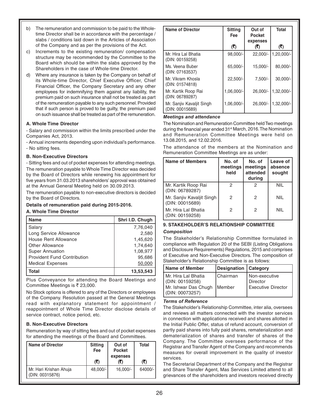- b) The remuneration and commission to be paid to the Wholetime Director shall be in accordance with the percentage / slabs / conditions laid down in the Articles of Association of the Company and as per the provisions of the Act.
- c) Increments to the existing remuneration/ compensation structure may be recommended by the Committee to the Board which should be within the slabs approved by the Shareholders in the case of Whole-time Director.
- d) Where any insurance is taken by the Company on behalf of its Whole-time Director, Chief Executive Officer, Chief Financial Officer, the Company Secretary and any other employees for indemnifying them against any liability, the premium paid on such insurance shall not be treated as part of the remuneration payable to any such personnel. Provided that if such person is proved to be guilty, the premium paid on such issuance shall be treated as part of the remuneration.

# **A. Whole Time Director**

- Salary and commission within the limits prescribed under the Companies Act, 2013.

- Annual increments depending upon individual's performance. - No sitting fees.

# **B. Non-Executive Directors**

- Sitting fees and out of pocket expenses for attending meetings. The remuneration payable to Whole Time Director was decided by the Board of Directors while renewing his appointment for five years from 31.03.2013 shareholders' approval was obtained at the Annual General Meeting held on 30.09.2013.

The remuneration payable to non-executive directors is decided by the Board of Directors.

# **Details of remuneration paid during 2015-2016.**

# **A. Whole Time Director**

| <b>Name</b>                        | Shri I.D. Chugh |
|------------------------------------|-----------------|
| Salary                             | 7,76,040        |
| Long Service Allowance             | 2,580           |
| House Rent Allowance               | 1,45,620        |
| <b>Other Allowance</b>             | 1,74,640        |
| <b>Super Annuation</b>             | 1,08,977        |
| <b>Provident Fund Contribution</b> | 95,686          |
| <b>Medical Expenses</b>            | 50,000          |
| Total                              | 13,53,543       |

Plus Conveyance for attending the Board Meetings and Committee Meetings is  $\overline{\xi}$  23,000.

No Stock options is offered to any of the Directors or employees of the Company. Resolution passed at the General Meetings read with explanatory statement for appointment / reappointment of Whole Time Director disclose details of service contract, notice period, etc.

# **B. Non-Executive Directors**

Remuneration by way of sitting fees and out of pocket expenses for attending the meetings of the Board and Committees.

| <b>Name of Director</b>                   | <b>Sitting</b><br>Fee<br>(₹) | Out of<br><b>Pocket</b><br>expenses<br>(₹) | Total<br>(₹) |
|-------------------------------------------|------------------------------|--------------------------------------------|--------------|
| Mr. Hari Krishan Ahuja<br>(DIN: 00315876) | 48,000/-                     | 16,000/-                                   | 64000/-      |

| <b>Name of Director</b>                      | <b>Sitting</b><br><b>Fee</b> | Out of<br><b>Pocket</b><br>expenses | <b>Total</b> |
|----------------------------------------------|------------------------------|-------------------------------------|--------------|
|                                              | (₹)                          | (₹)                                 | (₹)          |
| Mr. Hira Lal Bhatia<br>(DIN: 00159258)       | 98,000/-                     | 22.000/-                            | 1,20,000/-   |
| Ms. Veena Buber<br>(DIN: 07163537)           | 65,000/-                     | 15.000/-                            | 80,000/-     |
| Mr. Vikram Khosla<br>(DIN: 01574818)         | 22,500/-                     | $7.500/-$                           | $30.000/-$   |
| Mr. Kartik Roop Rai<br>(DIN: 06789287)       | 1,06,000/-                   | 26,000/-                            | 1,32,000/-   |
| Mr. Sanjiv Kavaljit Singh<br>(DIN: 00015689) | 1,06,000/-                   | 26.000/-                            | 1,32,000/-   |

# *Meetings and attendance*

The Nomination and Remuneration Committee held Two meetings during the financial year ended 31<sup>st</sup> March, 2016. The Nomination and Remuneration Committee Meetings were held on 13.08.2015, and 12.02.2016.

The attendance of the members at the Nomination and Remuneration Committee Meetings are as under:

| <b>Name of Members</b>                       | No. of<br>meetings<br>held | No. of<br>meetings<br>attended<br>during | Leave of<br>absence<br>sought |
|----------------------------------------------|----------------------------|------------------------------------------|-------------------------------|
| Mr. Kartik Roop Rai<br>(DIN: 06789287)       | 2                          | 2                                        | <b>NIL</b>                    |
| Mr. Sanjiv Kavaljit Singh<br>(DIN: 00015689) | 2                          | 2                                        | <b>NIL</b>                    |
| Mr. Hira Lal Bhatia<br>(DIN: 00159258)       | 2                          | 2                                        | <b>NIL</b>                    |

# **9. STAKEHOLDER'S RELATIONSHIP COMMITTEE** *Composition*

The Stakeholder's Relationship Committee formulated in compliance with Regulation 20 of the SEBI (Listing Obligations and Disclosure Requirements) Regulations, 2015 and comprises of Executive and Non-Executive Directors. The composition of Stakeholder's Relationship Committee is as follows:

| Designation   Category                          |                                                   |
|-------------------------------------------------|---------------------------------------------------|
| Non-executive<br>Director<br>Executive Director |                                                   |
|                                                 | <b>IChairman</b><br>Mr. Ishwar Das Chugh   Member |

# *Terms of Reference*

The Stakeholder's Relationship Committee, inter alia, oversees and reviews all matters connected with the investor services in connection with applications received and shares allotted in the Initial Public Offer, status of refund account, conversion of partly paid shares into fully paid shares, rematerialization and dematerialization of shares and transfer of shares of the Company. The Committee oversees performance of the Registrar and Transfer Agent of the Company and recommends measures for overall improvement in the quality of investor services.

The Secretarial Department of the Company and the Registrar and Share Transfer Agent, Mas Services Limited attend to all grievances of the shareholders and investors received directly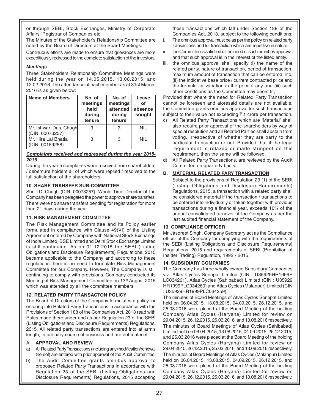or through SEBI, Stock Exchanges, Ministry of Corporate Affairs, Registrar of Companies etc.

The Minutes of the Stakeholder's Relationship Committee are noted by the Board of Directors at the Board Meetings.

Continuous efforts are made to ensure that grievances are more expeditiously redressed to the complete satisfaction of the investors.

# *Meetings*

Three Stakeholders Relationship Committee Meetings were held during the year on 14.05.2015, 13.08.2015, and 12.02.2016. The attendance of each member as at 31st March, 2016 is as given below:

| <b>Name of Members</b>                    | No. of<br>meetings<br>held<br>during<br>tenure | No. of<br>meetings<br>attended<br>during<br>tenure | Leave<br>οf<br>absence<br>sought |
|-------------------------------------------|------------------------------------------------|----------------------------------------------------|----------------------------------|
| Mr. Ishwar. Das. Chugh<br>(DIN: 00073257) | 3                                              | З                                                  | <b>NIL</b>                       |
| Mr. Hira Lal Bhatia<br>(DIN: 00159258)    | 3                                              | 3                                                  | <b>NIL</b>                       |

# *Complaints received and redressed during the year 2015- 2016*

During the year 5 complaints were received from shareholders / debenture holders all of which were replied / resolved to the full satisfaction of the shareholders.

# **10. SHARE TRANSFER SUB-COMMITTEE**

Shri I.D. Chugh (DIN: 00073257), Whole Time Director of the Company has been delegated the power to approve share transfers. There were no share transfers pending for registration for more than 21 days during the year.

# **11. RISK MANAGEMENT COMMITTEE**

The Risk Management Committee and its Policy earlier formulated in compliance with Clause 49(VI) of the Listing Agreement entered by Company with National Stock Exchange of India Limited, BSE Limited and Delhi Stock Exchange Limited is still continuing. As on 01.12.2015 the SEBI (Listing Obligations and Disclosure Requirements) Regulations, 2015 became applicable to the Company and according to these regulations there is no need to formulate Risk Management Committee for our Company. However, The Company is still continuing to comply with provisions. Company conducted its Meeting of Risk Management Committee on 13<sup>th</sup> August 2015 which was attended by all the committee members.

# **12. RELATED PARTY TRANSACTON POLICY**

The Board of Directors of the Company formulates a policy for entering into Related Party Transactions in accordance with the Provisions of Section 188 of the Companies Act, 2013 read with Rules made there under and as per Regulation 23 of the SEBI (Listing Obligations and Disclosure Requirements) Regulations, 2015. All related party transactions are entered into at arm's length, in ordinary course of business and are not material.

# A. **APPROVAL AND REVIEW**

- a) All Related Party Transactions (including any modification/renewal thereof) are entered with prior approval of the Audit Committee.
- b) The Audit Committee grants omnibus approval to proposed Related Party Transactions in accordance with Regulation 23 of the SEBI (Listing Obligations and Disclosure Requirements) Regulations, 2015 accepting

those transactions which fall under Section 188 of the Companies Act, 2013, subject to the following conditions:

- i. The omnibus approval must be as per the policy on related party transactions and for transaction which are repetitive in nature;
- ii. the Committee is satisfied of the need of such omnibus approval and that such approval is in the interest of the listed entity.
- iii. the omnibus approval shall specify (i) the name of the related party, nature of transaction, period of transaction, maximum amount of transaction that can be entered into, (ii) the indicative base price / current contracted price and the formula for variation in the price if any and (iii) such other conditions as the Committee may deem fit;

Provided that where the need for Related Party Transaction cannot be foreseen and aforesaid details are not available, the Committee grants omnibus approval for such transactions subject to their value not exceeding  $\bar{\tau}$  1 crore per transaction.

- c) All Related Party Transactions which are 'Material' shall also require prior approval of the shareholders by way of special resolution and all Related Parties shall abstain from voting, irrespective of whether they are party to the particular transaction or not. Provided that if the legal requirement is relaxed or made stringent on this requirement, then the same will be followed.
- d) All Related Party Transactions, are reviewed by the Audit Committee on quarterly basis.

# **B. MATERIAL RELATED PARY TRANSACTION**

Subject to the provisions of Regulation 23 (1) of the SEBI (Listing Obligations and Disclosure Requirements) Regulations, 2015, a transaction with a related party shall be considered material if the transaction / transactions to be entered into individually or taken together with previous transactions during a financial year, exceeds 10% of the annual consolidated turnover of the Company as per the last audited financial statement of the Company.

# **13. COMPLIANCE OFFICER**

Mr. Jaspreet Singh, Company Secretary act as the Compliance officer of the Company for complying with the requirements of the SEBI (Listing Obligations and Disclosure Requirements) Regulations, 2015 and requirements of SEBI (Prohibition of Insider Trading) Regulation, 1992 / 2015.

# **14. SUBSIDIARY COMPANIES**

The Company has three wholly owned Subsidiary Companies viz. Atlas Cycles Sonepat Limited (CIN : U35929HR1999P LC034261), Atlas Cycles (Sahibabad) Limited (CIN : U35929 HR1999PLC034260) and Atlas Cycles (Malanpur) Limited (CIN : U35929HR1999PLC034259).

The minutes of Board Meetings of Atlas Cycles Sonepat Limited held on 06.04.2015, 13.08.2015, 04.09.2015, 26.12.2015, and 25.03.2016 were placed at the Board Meeting of the holding Company Atlas Cycles (Haryana) Limited for review on 29.04.2015, 26.12.2015, 25.03.2016, and 13.08.2016 respectively. The minutes of Board Meetings of Atlas Cycles (Sahibabad) Limited held on 06.04.2015, 13.08.2015, 04.09.2015, 26.12.2015, and 25.03.2016 were placed at the Board Meeting of the holding Company Atlas Cycles (Haryana) Limited for review on 29.04.2015, 26.12.2015, 25.03.2016, and 13.08.2016 respectively. The minutes of Board Meetings of Atlas Cycles (Malanpur) Limited held on 06.04.2015, 13.08.2015, 04.09.2015, 26.12.2015, and 25.03.2016 were placed at the Board Meeting of the holding Company Atlas Cycles (Haryana) Limited for review on 29.04.2015, 26.12.2015, 25.03.2016, and 13.08.2016 respectively.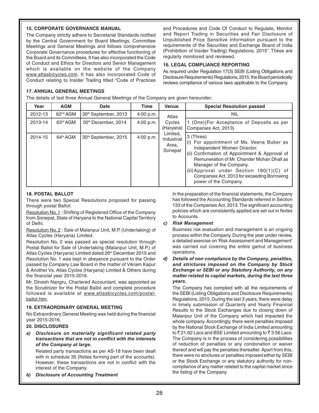# **15. CORPORATE GOVERNANCE MANUAL**

The Company strictly adhere to Secretarial Standards notified by the Central Government for Board Meetings, Committee Meetings and General Meetings and follows comprehensive Corporate Governance procedures for effective functioning of the Board and its Committees. It has also incorporated the Code of Conduct and Ethics for Directors and Senior Management which is available on the website of the Company www.atlasbicycles.com. It has also incorporated Code of Conduct relating to Insider Trading titled "Code of Practices and Procedures and Code Of Conduct to Regulate, Monitor and Report Trading in Securities and Fair Disclosure of Unpublished Price Sensitive Information pursuant to the requirements of the Securities and Exchange Board of India (Prohibition of Insider Trading) Regulations, 2015". These are regularly monitored and reviewed.

# **16. LEGAL COMPLIANCE REPORTING**

As required under Regulation 17(3) SEBI (Listing Obligations and Disclosure Requirements) Regulations, 2015, the Board periodically reviews compliance of various laws applicable to the Company.

# **17. ANNUAL GENERAL MEETINGS**

The details of last three Annual General Meetings of the Company are given hereunder:

| Year    | <b>AGM</b>           | Date                 | <b>Time</b> | <b>Venue</b>                               | <b>Special Resolution passed</b>                                                                                                                                                                                                                                                                                                        |
|---------|----------------------|----------------------|-------------|--------------------------------------------|-----------------------------------------------------------------------------------------------------------------------------------------------------------------------------------------------------------------------------------------------------------------------------------------------------------------------------------------|
| 2012-13 | 62 <sup>nd</sup> AGM | 30th September, 2013 | 4:00 p.m.   | Atlas                                      | <b>NIL</b>                                                                                                                                                                                                                                                                                                                              |
| 2013-14 | 63rd AGM             | 30th December, 2014  | 4:00 p.m.   | Cycles<br>(Haryana)                        | (One)(For Acceptance of Deposits as per<br>Companies Act, 2013)                                                                                                                                                                                                                                                                         |
| 2014-15 | 64 <sup>th</sup> AGM | 30th September, 2015 | 4:00 p.m.   | Limited,<br>Industrial<br>Area,<br>Sonepat | 3 (Three)<br>(i) For appointment of Ms. Veena Buber as<br>Independent Women Director.<br>(ii) Confirmation of Appointment & Approval of<br>Remuneration of Mr. Chander Mohan Dhall as<br>Manager of the Company.<br>(iii) Approval under Section $180(1)(C)$ of<br>Companies Act, 2013 for exceeding Borrowing<br>power of the Company. |

# **18. POSTAL BALLOT**

There were two Special Resolutions proposed for passing through postal Ballot:

Resolution No. 1: Shifting of Registered Office of the Company from Sonepat, State of Haryana to the National Capital Territory of Delhi.

Resolution No. 2 : Sale of Malanpur Unit, M.P. (Undertaking) of Atlas Cycles (Haryana) Limited.

Resolution No. 2 was passed as special resolution through Postal Ballot for Sale of Undertaking (Malanpur Unit, M.P.) of Atlas Cycles (Haryana) Limited dated 26<sup>th</sup> December 2015 and Resolution No. 1 was kept in abeyance pursuant to the Order passed by Company Law Board in the matter of Vikram Kapur & Another Vs. Atlas Cycles (Haryana) Limited & Others during the financial year 2015-2016.

Mr. Dinesh Nangru, Chartered Accountant, was appointed as the Scrutinizer for the Postal Ballot and complete procedure followed is available at www.atlasbicycles.com/postalballot.htm.

# **19. EXTRAORDINARY GENERAL MEETING**

No Extraordinary General Meeting was held during the financial year 2015-2016.

# **20. DISCLOSURES**

*a) Disclosure on materially significant related party transactions that are not in conflict with the interests of the Company at large.*

Related party transactions as per AS-18 have been dealt with in schedule 35 (Notes forming part of the accounts). However, these transactions are not in conflict with the interest of the Company.

*b) Disclosure of Accounting Treatment*

In the preparation of the financial statements, the Company has followed the Accounting Standards referred in Section 133 of the Companies Act, 2013. The significant accounting policies which are consistently applied are set out in Notes to Accounts.

# *c) Risk Management*

Business risk evaluation and management is an ongoing process within the Company. During the year under review, a detailed exercise on 'Risk Assessment and Management' was carried out covering the entire gamut of business operations.

# *d) Details of non compliance by the Company, penalties, and strictures imposed on the Company by Stock Exchange or SEBI or any Statutory Authority, on any matter related to capital markets, during the last three years.*

The Company has complied with all the requirements of the SEBI (Listing Obligations and Disclosure Requirements) Regulations, 2015. During the last 3 years, there were delay in timely submission of Quarterly and Yearly Financial Results to the Stock Exchanges due to closing down of Malanpur Unit of the Company which had impacted the whole company. Accordingly, there were penalties imposed by the National Stock Exchange of India Limited amounting to  $\bar{\tau}$  21.62 Lacs and BSE Limited amounting to  $\bar{\tau}$  3.56 Lacs. The Company is in the process of considering possibilities of reduction of penalties or any condonation or waiver thereof and will pay the penalties thereafter. Apart from this, there were no strictures or penalties imposed either by SEBI or the Stock Exchange or any statutory authority for noncompliance of any matter related to the capital market since the listing of the Company.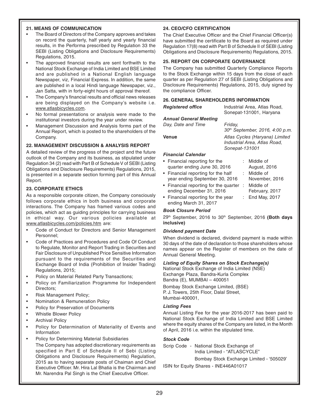# **21. MEANS OF COMMUNICATION**

- The Board of Directors of the Company approves and takes on record the quarterly, half yearly and yearly financial results, in the Performa prescribed by Regulation 33 the SEBI (Listing Obligations and Disclosure Requirements) Regulations, 2015.
- The approved financial results are sent forthwith to the National Stock Exchange of India Limited and BSE Limited and are published in a National English language Newspaper, viz, Financial Express. In addition, the same are published in a local Hindi language Newspaper, viz., Jan Satta, with in forty-eight hours of approval thereof.
- The Company's financial results and official news releases are being displayed on the Company's website i.e. www.atlasbicycles.com.
- No formal presentations or analysis were made to the institutional investors during the year under review.
- Management Discussion and Analysis forms part of the Annual Report, which is posted to the shareholders of the Company.

# **22. MANAGEMENT DISCUSSION & ANALYSIS REPORT**

A detailed review of the progress of the project and the future outlook of the Company and its business, as stipulated under Regulation 34 (2) read with Part B of Schedule V of SEBI (Listing Obligations and Disclosure Requirements) Regulations, 2015, is presented in a separate section forming part of this Annual Report.

# **23. CORPORATE ETHICS**

As a responsible corporate citizen, the Company consciously follows corporate ethics in both business and corporate interactions. The Company has framed various codes and policies, which act as guiding principles for carrying business in ethical way. Our various policies available at www.atlasbicycles.com/policies.htm are:

- Code of Conduct for Directors and Senior Management Personnel;
- Code of Practices and Procedures and Code Of Conduct to Regulate, Monitor and Report Trading in Securities and Fair Disclosure of Unpublished Price Sensitive Information pursuant to the requirements of the Securities and Exchange Board of India (Prohibition of Insider Trading) Regulations, 2015;
- Policy on Material Related Party Transactions;
- Policy on Familiarization Programme for Independent Directors;
- Risk Management Policy;
- Nomination & Remuneration Policy
- Policy for Preservation of Documents
- Whistle Blower Policv
- **Archival Policy**
- Policy for Determination of Materiality of Events and Information
- Policy for Determining Material Subsidiaries The Company has adopted discretionary requirements as specified in Part E of Schedule II of Sebi (Listing Obligations and Disclosure Requirements) Regulation, 2015 as to having separate posts of Chaiman and Chief Executive Officer. Mr. Hira Lal Bhatia is the Chairman and Mr. Narendra Pal Singh is the Chief Executive Officer.

# **24. CEO/CFO CERTIFICATION**

The Chief Executive Officer and the Chief Financial Officer(s) have submitted the certificate to the Board as required under Regulation 17(8) read with Part B of Schedule II of SEBI (Listing Obligations and Disclosure Requirements) Regulations, 2015.

# **25. REPORT ON CORPORATE GOVERNANCE**

The Company has submitted Quarterly Compliance Reports to the Stock Exchange within 15 days from the close of each quarter as per Regulation 27 of SEBI (Listing Obligations and Disclosure Requirements) Regulations, 2015, duly signed by the compliance Officer.

# **26. GENERAL SHAREHOLDERS INFORMATION**

# **Registered office** Industrial Area, Atlas Road,

Sonepat-131001, Haryana

*30th September, 2016, 4:00 p.m.*

*Industrial Area, Atlas Road,*

*Sonepat-131001*

# *Annual General Meeting*

*Day, Date and Time Friday,*

**Venue** *Atlas Cycles (Haryana) Limited*

# *Financial Calendar*

- Financial reporting for the : Middle of quarter ending June 30, 2016 August, 2016
- Financial reporting for the half : Middle of year ending September 30, 2016 November, 2016
- 
- Financial reporting for the quarter : Middle of ending December 31, 2016 February, 2017
	-
- Financial reporting for the year : End May, 2017 ending March 31, 2017

# *Book Closure Period*

29th September, 2016 to 30th September, 2016 **(Both days inclusive)**

# *Dividend payment Date*

When dividend is declared, dividend payment is made within 30 days of the date of declaration to those shareholders whose names appear on the Register of members on the date of Annual General Meeting.

# *Listing of Equity Shares on Stock Exchange(s)*

National Stock Exchange of India Limited (NSE) Exchange Plaza, Bandra-Kurla Complex Bandra (E), MUMBAI – 400051 Bombay Stock Exchange Limited, (BSE)

P. J. Towers, 25th Floor, Dalal Street, Mumbai-400001,

# *Listing Fees*

Annual Listing Fee for the year 2016-2017 has been paid to National Stock Exchange of India Limited and BSE Limited where the equity shares of the Company are listed, in the Month of April, 2016 i.e. within the stipulated time.

# *Stock Code*

Scrip Code - National Stock Exchange of India Limited - "ATLASCYCLE"

Bombay Stock Exchange Limited - '505029'

ISIN for Equity Shares - INE446A01017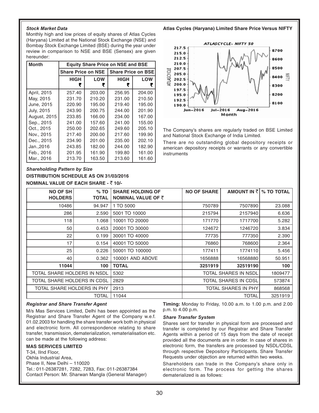# *Stock Market Data*

Monthly high and low prices of equity shares of Atlas Cycles (Haryana) Limited at the National Stock Exchange (NSE) and Bombay Stock Exchange Limited (BSE) during the year under review in comparison to NSE and BSE (Sensex) are given hereunder:

| <b>Month</b> | <b>Equity Share Price on NSE and BSE</b> |            |                           |            |  |  |
|--------------|------------------------------------------|------------|---------------------------|------------|--|--|
|              | <b>Share Price on NSE</b>                |            | <b>Share Price on BSE</b> |            |  |  |
|              | <b>HIGH</b>                              | <b>LOW</b> | <b>HIGH</b>               | <b>LOW</b> |  |  |
|              | ₹                                        |            | ₹                         |            |  |  |
| April, 2015  | 257.40                                   | 203.00     | 256.95                    | 204.00     |  |  |
| May, 2015    | 231.70                                   | 210.20     | 231.00                    | 210.50     |  |  |
| June, 2015   | 220.90                                   | 195.00     | 219.40                    | 195.00     |  |  |
| July, 2015   | 243.90                                   | 200.75     | 244.00                    | 201.90     |  |  |
| August, 2015 | 233.85                                   | 166.00     | 234.00                    | 167.00     |  |  |
| Sep., 2015   | 241.00                                   | 157.60     | 241.00                    | 155.00     |  |  |
| Oct., 2015   | 250.00                                   | 202.65     | 249.60                    | 205.10     |  |  |
| Nov., 2015   | 217.40                                   | 200.00     | 217.60                    | 199.90     |  |  |
| Dec., 2015   | 234.90                                   | 201.00     | 235.00                    | 202.10     |  |  |
| Jan., 2016   | 243.85                                   | 182.00     | 244.00                    | 182.90     |  |  |
| Feb., 2016   | 201.95                                   | 161.90     | 199.80                    | 161.00     |  |  |
| Mar., 2016   | 213.70                                   | 163.50     | 213.60                    | 161.60     |  |  |

# *Shareholding Pattern by Size* **DISTRIBUTION SCHEDULE AS ON 31/03/2016 NOMINAL VALUE OF EACH SHARE -** ` **10/-**

# **Atlas Cycles (Haryana) Limited Share Price Versus NIFTY**



The Company's shares are regularly traded on BSE Limited and National Stock Exchange of India Limited.

There are no outstanding global depository receipts or american depository receipts or warrants or any convertible instruments

| <b>NO OF SH</b><br><b>HOLDERS</b> | $%$ TO<br><b>TOTAL</b> | <b>SHARE HOLDING OF</b><br><b>NOMINAL VALUE OF ₹</b> | <b>NO OF SHARE</b>          | <b>AMOUNT IN ₹ % TO TOTAL</b> |        |
|-----------------------------------|------------------------|------------------------------------------------------|-----------------------------|-------------------------------|--------|
| 10486                             | 94.947                 | 1 TO 5000                                            | 750789                      | 7507890                       | 23.088 |
| 286                               | 2.590                  | 5001 TO 10000                                        | 215794                      | 2157940                       | 6.636  |
| 118                               | 1.068                  | 10001 TO 20000                                       | 171770                      | 1717700                       | 5.282  |
| 50                                | 0.453                  | 20001 TO 30000                                       | 124672                      | 1246720                       | 3.834  |
| 22                                | 0.199                  | 30001 TO 40000                                       | 77735                       | 777350                        | 2.390  |
| 17                                | 0.154                  | 40001 TO 50000                                       | 76860                       | 768600                        | 2.364  |
| 25                                | 0.226                  | 50001 TO 100000                                      | 177411                      | 1774110                       | 5.456  |
| 40                                | 0.362                  | 100001 AND ABOVE                                     | 1656888                     | 16568880                      | 50.951 |
| 11044                             | 100                    | <b>TOTAL</b>                                         | 3251919                     | 32519190                      | 100    |
| TOTAL SHARE HOLDERS IN NSDL       |                        | 5302                                                 |                             | TOTAL SHARES IN NSDL          |        |
| TOTAL SHARE HOLDERS IN CDSL       |                        | 2829                                                 | <b>TOTAL SHARES IN CDSL</b> |                               | 573874 |
| TOTAL SHARE HOLDERS IN PHY        |                        | 2913                                                 | <b>TOTAL SHARES IN PHY</b>  |                               | 868568 |
| <b>TOTAL</b>                      |                        | 11044                                                |                             | <b>TOTAL</b>                  |        |

# *Registrar and Share Transfer Agent*

M/s Mas Services Limited, Delhi has been appointed as the Registrar and Share Transfer Agent of the Company w.e.f. 01.02.2003 for handling the share transfer work both in physical and electronic form. All correspondence relating to share transfer, transmission, dematerialization, rematerialisation etc. can be made at the following address:

# **MAS SERVICES LIMITED**

T-34, IInd Floor, Okhla Industrial Area, Phase II, New Delhi – 110020 Tel.: 011-26387281, 7282, 7283, Fax: 011-26387384 Contact Person: Mr. Sharwan Mangla (General Manager) **Timing:** Monday to Friday, 10.00 a.m. to 1.00 p.m. and 2.00 p.m. to 4.00 p.m.

#### *Share Transfer System*

Shares sent for transfer in physical form are processed and transfer is completed by our Registrar and Share Transfer Agents within a period of 15 days from the date of receipt provided all the documents are in order. In case of shares in electronic form, the transfers are processed by NSDL/CDSL through respective Depository Participants. Share Transfer Requests under objection are returned within two weeks.

Shareholders can trade in the Company's share only in electronic form. The process for getting the shares dematerialized is as follows: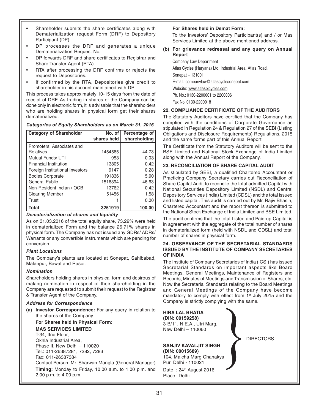- Shareholder submits the share certificates along with Dematerialization request Form (DRF) to Depository Participant (DP).
- DP processes the DRF and generates a unique Dematerialization Request No.
- DP forwards DRF and share certificates to Registrar and Share Transfer Agent (RTA).
- RTA after processing the DRF confirms or rejects the request to Depositories.
- If confirmed by the RTA, Depositories give credit to shareholder in his account maintained with DP.

This process takes approximately 10-15 days from the date of receipt of DRF. As trading in shares of the Company can be done only in electronic form, it is advisable that the shareholders who are holding shares in physical form get their shares dematerialized.

| <b>Category of Shareholder</b>  | No. of<br>shares held | Percentage of<br>shareholding |
|---------------------------------|-----------------------|-------------------------------|
| Promoters, Associates and       |                       |                               |
| <b>Relatives</b>                | 1454565               | 44.73                         |
| Mutual Funds/ UTI               | 953                   | 0.03                          |
| <b>Financial Institution</b>    | 13805                 | 0.42                          |
| Foreign Institutional Investors | 9147                  | 0.28                          |
| <b>Bodies Corporate</b>         | 191836                | 5.90                          |
| <b>General Public</b>           | 1516394               | 46.63                         |
| Non-Resident Indian / OCB       | 13762                 | 0.42                          |
| <b>Clearing Member</b>          | 51456                 | 1.58                          |
| Trust                           |                       | 0.00                          |
| Total                           | 3251919               | 100.00                        |

#### *Categories of Equity Shareholders as on March 31, 2016*

# *Dematerialization of shares and liquidity*

As on 31.03.2016 of the total equity share, 73.29% were held in dematerialized Form and the balance 26.71% shares in physical form. The Company has not issued any GDRs/ ADRs/ Warrants or any convertible instruments which are pending for conversion.

# *Plant Locations*

The Company's plants are located at Sonepat, Sahibabad, Malanpur, Bawal and Rasoi.

# *Nomination*

Shareholders holding shares in physical form and desirous of making nomination in respect of their shareholding in the Company are requested to submit their request to the Registrar & Transfer Agent of the Company.

# *Address for Correspondence*

**(a) Investor Correspondence:** For any query in relation to the shares of the Company.

**For Shares held in Physical Form:**

# **MAS SERVICES LIMITED**

T-34, IInd Floor, Okhla Industrial Area, Phase II, New Delhi – 110020 Tel.: 011-26387281, 7282, 7283 Fax: 011-26387384 Contact Person: Mr. Sharwan Mangla (General Manager) **Timing:** Monday to Friday, 10.00 a.m. to 1.00 p.m. and 2.00 p.m. to 4.00 p.m.

# **For Shares held in Demat Form:**

To the Investors' Depository Participant(s) and / or Mas Services Limited at the above mentioned address.

**(b) For grievance redressal and any query on Annual Report**

Company Law Department

Atlas Cycles (Haryana) Ltd, Industrial Area, Atlas Road,

Sonepat – 131001

E-mail: companylaw@atlascyclesonepat.com

Website: www.atlasbicycles.com

Ph. No.: 0130-2200001 to 2200006

Fax No. 0130-2200018

# **22. COMPLIANCE CERTIFICATE OF THE AUDITORS**

The Statutory Auditors have certified that the Company has complied with the conditions of Corporate Governance as stipulated in Regulation 24 & Regulation 27 of the SEBI (Listing Obligations and Disclosure Requirements) Regulations, 2015 and the same forms part of this Annual Report.

The Certificate from the Statutory Auditors will be sent to the BSE Limited and National Stock Exchange of India Limited along with the Annual Report of the Company.

# **23. RECONCILIATION OF SHARE CAPITAL AUDIT**

As stipulated by SEBI, a qualified Chartered Accountant or Practicing Company Secretary carries out Reconciliation of Share Capital Audit to reconcile the total admitted Capital with National Securities Depository Limited (NSDL) and Central Depository Services (India) Limited (CDSL) and the total issued and listed capital. This audit is carried out by Mr. Rajiv Bhasin, Chartered Accountant and the report thereon is submitted to the National Stock Exchange of India Limited and BSE Limited.

The audit confirms that the total Listed and Paid-up Capital is in agreement with the aggregate of the total number of shares in dematerialized form (held with NSDL and CDSL) and total number of shares in physical form.

# **24. OBSERVANCE OF THE SECRETARIAL STANDARDS ISSUED BY THE INSTITUTE OF COMPANY SECRETARIES OF INDIA**

The Institute of Company Secretaries of India (ICSI) has issued Secretarial Standards on important aspects like Board Meetings, General Meetings, Maintenance of Registers and Records, Minutes of Meetings and Transmission of Shares, etc. Now the Secretarial Standards relating to the Board Meetings and General Meetings of the Company have become mandatory to comply with effect from 1<sup>st</sup> July 2015 and the Company is strictly complying with the same.

**HIRA LAL BHATIA (DIN: 00159258)** 3-B/11, N.E.A., Utri Marg, New Delhi – 110060 DIRECTORS **SANJIV KAVALJIT SINGH (DIN: 00015689)** 104, Malcha Marg Chanakya Puri Delhi - 110021 Date: 24<sup>th</sup> August 2016 Place : Delhi }<br>a <br>}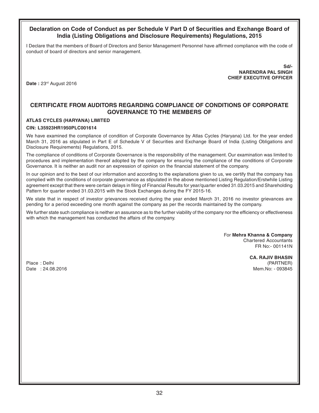# **Declaration on Code of Conduct as per Schedule V Part D of Securities and Exchange Board of India (Listing Obligations and Disclosure Requirements) Regulations, 2015**

I Declare that the members of Board of Directors and Senior Management Personnel have affirmed compliance with the code of conduct of board of directors and senior management.

> **Sd/- NARENDRA PAL SINGH CHIEF EXECUTIVE OFFICER**

Date: 23<sup>rd</sup> August 2016

# **CERTIFICATE FROM AUDITORS REGARDING COMPLIANCE OF CONDITIONS OF CORPORATE GOVERNANCE TO THE MEMBERS OF**

# **ATLAS CYCLES (HARYANA) LIMITED**

# **CIN: L35923HR1950PLC001614**

We have examined the compliance of condition of Corporate Governance by Atlas Cycles (Haryana) Ltd. for the year ended March 31, 2016 as stipulated in Part E of Schedule V of Securities and Exchange Board of India (Listing Obligations and Disclosure Requirements) Regulations, 2015.

The compliance of conditions of Corporate Governance is the responsibility of the management. Our examination was limited to procedures and implementation thereof adopted by the company for ensuring the compliance of the conditions of Corporate Governance. It is neither an audit nor an expression of opinion on the financial statement of the company.

In our opinion and to the best of our information and according to the explanations given to us, we certify that the company has complied with the conditions of corporate governance as stipulated in the above mentioned Listing Regulation/Erstwhile Listing agreement except that there were certain delays in filing of Financial Results for year/quarter ended 31.03.2015 and Shareholding Pattern for quarter ended 31.03.2015 with the Stock Exchanges during the FY 2015-16.

We state that in respect of investor grievances received during the year ended March 31, 2016 no investor grievances are pending for a period exceeding one month against the company as per the records maintained by the company.

We further state such compliance is neither an assurance as to the further viability of the company nor the efficiency or effectiveness with which the management has conducted the affairs of the company.

> For **Mehra Khanna & Company** Chartered Accountants FR No:- 001141N

**CA. RAJIV BHASIN** Place : Delhi (PARTNER) Date : 24.08.2016 Mem.No: - 093845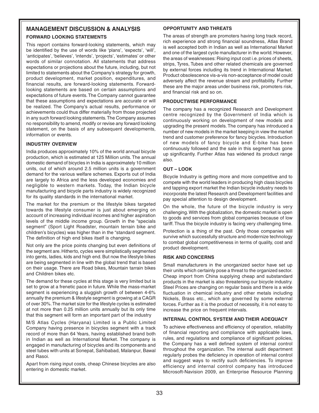# **MANAGEMENT DISCUSSION & ANALYSIS FORWARD LOOKING STATEMENTS**

This report contains forward-looking statements, which may be identified by the use of words like 'plans', 'expects', 'will', 'anticipates', 'believes', 'intends', 'projects', 'estimates' or other words of similar connotation. All statements that address expectations or projections about the future, including, but not limited to statements about the Company's strategy for growth, product development, market position, expenditures, and financial results, are forward-looking statements. Forwardlooking statements are based on certain assumptions and expectations of future events. The Company cannot guarantee that these assumptions and expectations are accurate or will be realized. The Company's actual results, performance or achievements could thus differ materially from those projected in any such forward looking statements. The Company assumes no responsibility to amend, modify or revise any forward looking statement, on the basis of any subsequent developments, information or events.

# **INDUSTRY OVERVIEW**

India produces approximately 10% of the world annual bicycle production, which is estimated at 125 Million units. The annual domestic demand of bicycles in India is approximately 10 million units, out of which around 2.5 million units is a government demand for the various welfare schemes. Exports out of India are largely to Africa and the less developed economies and negligible to western markets. Today, the Indian bicycle manufacturing and bicycle parts industry is widely recognized for its quality standards in the international market.

The market for the premium or the lifestyle bikes targeted towards the lifestyle consumer is just about emerging on account of increasing individual incomes and higher aspiration levels of the middle income group. Growth in the "specials segment" (Sport Light Roadster, mountain terrain bike and children's bicycles) was higher than in the "standard segment. The definition of high end bikes itself is changing.

Not only are the price points changing but even definitions of the segment are. Hitherto, cycles were simplistically segmented into gents, ladies, kids and high end. But now the lifestyle bikes are being segmented in line with the global trend that is based on their usage. There are Road bikes, Mountain tarrain bikes and Children bikes etc.

The demand for these cycles at this stage is very limited but is set to grow at a frenetic pace in future. While the mass-market segment is experiencing a sluggish growth of between 4-6% annually the premium & lifestyle segment is growing at a CAGR of over 30%. The market size for the lifestyle cycles is estimated at not more than 0.25 million units annually but its only time that this segment will form an important part of the industry

M/S Atlas Cycles (Haryana) Limited is a Public Limited Company having presence in bicycles segment with a track record of more than 64 Years, having established brand both in Indian as well as International Market. The company is engaged in manufacturing of bicycles and its components and steel tubes with units at Sonepat, Sahibabad, Malanpur, Bawal and Rasoi.

Apart from rising input costs, cheap Chinese bicycles are also entering in domestic market.

# **OPPORTUNITY AND THREATS**

The areas of strength are promoters having long track record, rich experience and strong financial soundness, Atlas Brand is well accepted both in Indian as well as International Market and one of the largest cycle manufacturer in the world. However, the areas of weaknesses: Rising input cost i.e. prices of sheets, strips, Tyres, Tubes and other related chemicals are governed by external forces including its trend in International Market. Product obsolescence vis-a-vis non-acceptance of model could adversely affect the revenue stream and profitability. Further these are the major areas under business risk, promoters risk, and financial risk and so on.

# **PRODUCTWISE PERFORMANCE**

The company has a recognized Research and Development centre recognized by the Government of India which is continuously working on development of new models and upgrading the present models. The company has introduced a number of new models in the market keeping in view the market trend and customer preference for fancy bicycles. Introduction of new models of fancy bicycle and E-bike has been continuously followed and the sale in this segment has gone up significantly. Further Atlas has widened its product range also.

# **OUT – LOOK**

Bicycle Industry is getting more and more competitive and to compete with the world leaders in producing high class bicycles and tapping export market the Indian bicycle industry needs to incorporate the latest Research and Development facilities and pay special attention to design development.

On the whole, the future of the bicycle industry is very challenging. With the globalization, the domestic market is open to goods and services from global companies because of low tariff. Thus the bicycle industry is facing very challenging time.

Protection is a thing of the past. Only those companies will survive which successfully structure and modernize technology to combat global competitiveness in terms of quality, cost and product development.

# **RISK AND CONCERNS**

Small manufacturers in the unorganized sector have set up their units which certainly pose a threat to the organized sector. Cheap import from China supplying cheap and substandard products in the market is also threatening our bicycle industry. Steel Prices are changing on regular basis and there is a wide fluctuation in chemical industry and other metals including Nickels, Brass etc., which are governed by some external forces. Further as it is the product of necessity, it is not easy to increase the price on frequent intervals.

# **INTERNAL CONTROL SYSTEM AND THEIR ADEQUACY**

To achieve effectiveness and efficiency of operation, reliability of financial reporting and compliance with applicable laws, rules, and regulations and compliance of significant policies, the Company has a well defined system of internal control throughout the organization. The internal audit department regularly probes the deficiency in operation of internal control and suggest ways to rectify such deficiencies. To improve efficiency and internal control company has introduced Microsoft-Navision 2009, an Enterprise Resource Planning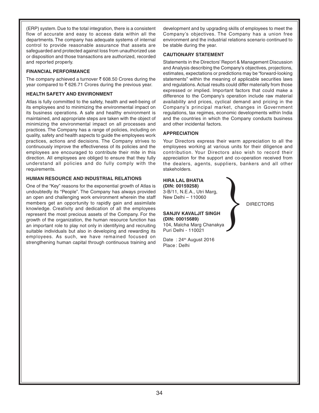(ERP) system. Due to the total integration, there is a consistent flow of accurate and easy to access data within all the departments. The company has adequate systems of internal control to provide reasonable assurance that assets are safeguarded and protected against loss from unauthorized use or disposition and those transactions are authorized, recorded and reported properly.

# **FINANCIAL PERFORMANCE**

The company achieved a turnover  $\bar{\tau}$  608.50 Crores during the year compared to  $\bar{\tau}$  626.71 Crores during the previous year.

# **HEALTH SAFETY AND ENVIRONMENT**

Atlas is fully committed to the safety, health and well-being of its employees and to minimizing the environmental impact on its business operations. A safe and healthy environment is maintained, and appropriate steps are taken with the object of minimizing the environmental impact on all processes and practices. The Company has a range of policies, including on quality, safety and health aspects to guide the employees work practices, actions and decisions. The Company strives to continuously improve the effectiveness of its policies and the employees are encouraged to contribute their mite in this direction. All employees are obliged to ensure that they fully understand all policies and do fully comply with the requirements.

# **HUMAN RESOURCE AND INDUSTRIAL RELATIONS**

One of the "Key" reasons for the exponential growth of Atlas is undoubtedly its "People". The Company has always provided an open and challenging work environment wherein the staff members get an opportunity to rapidly gain and assimilate knowledge. Creativity and dedication of all the employees represent the most precious assets of the Company. For the growth of the organization, the human resource function has an important role to play not only in identifying and recruiting suitable individuals but also in developing and rewarding its employees. As such, we have remained focused on strengthening human capital through continuous training and

development and by upgrading skills of employees to meet the Company's objectives. The Company has a union free environment and the industrial relations scenario continued to be stable during the year.

# **CAUTIONARY STATEMENT**

Statements in the Directors' Report & Management Discussion and Analysis describing the Company's objectives, projections, estimates, expectations or predictions may be "forward-looking statements" within the meaning of applicable securities laws and regulations. Actual results could differ materially from those expressed or implied. Important factors that could make a difference to the Company's operation include raw material availability and prices, cyclical demand and pricing in the Company's principal market, changes in Government regulations, tax regimes, economic developments within India and the countries in which the Company conducts business and other incidental factors.

# **APPRECIATION**

Your Directors express their warm appreciation to all the employees working at various units for their diligence and contribution. Your Directors also wish to record their appreciation for the support and co-operation received from the dealers, agents, suppliers, bankers and all other stakeholders.

# **HIRA LAL BHATIA**

**(DIN: 00159258)** 3-B/11, N.E.A., Utri Marg, New Delhi – 110060

# **SANJIV KAVALJIT SINGH (DIN: 00015689)**

104, Malcha Marg Chanakya Puri Delhi - 110021  $\left\{\right\}$ 

Date: 24<sup>th</sup> August 2016 Place : Delhi

**DIRECTORS**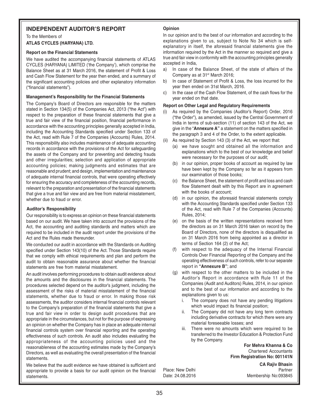# **INDEPENDENT AUDITOR'S REPORT**

To the Members of

# **ATLAS CYCLES (HARYANA) LTD.**

# **Report on the Financial Statements**

We have audited the accompanying financial statements of ATLAS CYCLES (HARYANA) LIMITED ('the Company'), which comprise the Balance Sheet as at 31 March 2016, the statement of Profit & Loss and Cash Flow Statement for the year then ended, and a summary of the significant accounting policies and other explanatory information ("financial statements").

# **Management's Responsibility for the Financial Statements**

The Company's Board of Directors are responsible for the matters stated in Section 134(5) of the Companies Act, 2013 ("the Act") with respect to the preparation of these financial statements that give a true and fair view of the financial position, financial performance in accordance with the accounting principles generally accepted in India, including the Accounting Standards specified under Section 133 of the Act, read with Rule 7 of the Companies (Accounts) Rules, 2014. This responsibility also includes maintenance of adequate accounting records in accordance with the provisions of the Act for safeguarding the assets of the Company and for preventing and detecting frauds and other irregularities; selection and application of appropriate accounting policies; making judgments and estimates that are reasonable and prudent; and design, implementation and maintenance of adequate internal financial controls, that were operating effectively for ensuring the accuracy and completeness of the accounting records, relevant to the preparation and presentation of the financial statements that give a true and fair view and are free from material misstatement, whether due to fraud or error.

# **Auditor's Responsibility**

Our responsibility is to express an opinion on these financial statements based on our audit. We have taken into account the provisions of the Act, the accounting and auditing standards and matters which are required to be included in the audit report under the provisions of the Act and the Rules made thereunder.

We conducted our audit in accordance with the Standards on Auditing specified under Section 143(10) of the Act. Those Standards require that we comply with ethical requirements and plan and perform the audit to obtain reasonable assurance about whether the financial statements are free from material misstatement.

An audit involves performing procedures to obtain audit evidence about the amounts and the disclosures in the financial statements. The procedures selected depend on the auditor's judgment, including the assessment of the risks of material misstatement of the financial statements, whether due to fraud or error. In making those risk assessments, the auditor considers internal financial controls relevant to the Company's preparation of the financial statements that give a true and fair view in order to design audit procedures that are appropriate in the circumstances, but not for the purpose of expressing an opinion on whether the Company has in place an adequate internal financial controls system over financial reporting and the operating effectiveness of such controls. An audit also includes evaluating the appropriateness of the accounting policies used and the reasonableness of the accounting estimates made by the Company's Directors, as well as evaluating the overall presentation of the financial statements.

We believe that the audit evidence we have obtained is sufficient and appropriate to provide a basis for our audit opinion on the financial statements.

# **Opinion**

In our opinion and to the best of our information and according to the explanations given to us, subject to Note No 34 which is selfexplanatory in itself, the aforesaid financial statements give the information required by the Act in the manner so required and give a true and fair view in conformity with the accounting principles generally accepted in India,

- a) In case of the Balance Sheet, of the state of affairs of the Company as at 31<sup>st</sup> March 2016;
- b) In case of Statement of Profit & Loss, the loss incurred for the year then ended on 31st March, 2016.
- c) In the case of the Cash Flow Statement, of the cash flows for the year ended on that date.

# **Report on Other Legal and Regulatory Requirements**

- (i) As required by the Companies (Auditor's Report) Order, 2016 ("the Order"), as amended, issued by the Central Government of India in terms of sub-section (11) of section 143 of the Act, we give in the "**Annexure A"** a statement on the matters specified in the paragraph 3 and 4 of the Order, to the extent applicable.
- (ii) As required by Section 143 (3) of the Act, we report that:
	- (a) we have sought and obtained all the information and explanations which to the best of our knowledge and belief were necessary for the purposes of our audit;
	- (b) in our opinion, proper books of account as required by law have been kept by the Company so far as it appears from our examination of those books;
	- (c) the Balance Sheet, the statement of profit and loss and cash flow Statement dealt with by this Report are in agreement with the books of account;
	- (d) in our opinion, the aforesaid financial statements comply with the Accounting Standards specified under Section 133 of the Act, read with Rule 7 of the Companies (Accounts) Rules, 2014;
	- (e) on the basis of the written representations received from the directors as on 31 March 2016 taken on record by the Board of Directors, none of the directors is disqualified as on 31 March 2016 from being appointed as a director in terms of Section 164 (2) of the Act;
	- (f) with respect to the adequacy of the Internal Financial Controls Over Financial Reporting of the Company and the operating effectiveness of such controls, refer to our separate report in **"Annexure B"**; and
	- (g) with respect to the other matters to be included in the Auditor's Report in accordance with Rule 11 of the Companies (Audit and Auditors) Rules, 2014, in our opinion and to the best of our information and according to the explanations given to us:
		- i. The company does not have any pending litigations which would impact its financial position;
		- ii. The Company did not have any long term contracts including derivative contracts for which there were any material foreseeable losses; and
		- iii. There were no amounts which were required to be transferred to the Investor Education & Protection Fund by the Company.

**For Mehra Khanna & Co** Chartered Accountants **Firm Registration No: 001141N**

**CA Rajiv Bhasin** Place: New Delhi **Partner** Date: 24.08.2016 Membership No:093845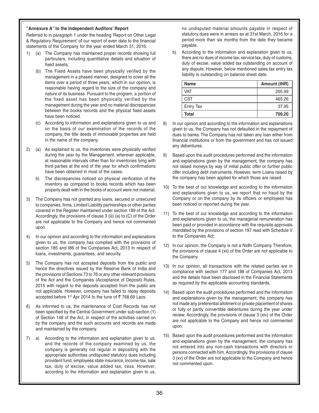# **"Annexure A" to the Independent Auditors' Report**

Referred to in paragraph 1 under the heading 'Report on Other Legal & Regulatory Requirement' of our report of even date to the financial statements of the Company for the year ended March 31, 2016:

- 1) (a) The Company has maintained proper records showing full particulars, including quantitative details and situation of fixed assets;
	- (b) The Fixed Assets have been physically verified by the management in a phased manner, designed to cover all the items over a period of three years, which in our opinion, is reasonable having regard to the size of the company and nature of its business. Pursuant to the program, a portion of the fixed asset has been physically verified by the management during the year and no material discrepancies between the books records and the physical fixed assets have been noticed.
	- (c) According to information and explanations given to us and on the basis of our examination of the records of the company, the title deeds of immovable properties are held in the name of the company.
- 2) (a) As explained to us, the inventories were physically verified during the year by the Management, wherever applicable, at reasonable intervals other than for inventories lying with third parties at the end of the year for which confirmations have been obtained in most of the cases.
	- b) The discrepancies noticed on physical verification of the inventory as compared to books records which has been properly dealt with in the books of account were not material.
- 3) The Company has not granted any loans, secured or unsecured to companies, firms, Limited Liability partnerships or other parties covered in the Register maintained under section 189 of the Act. Accordingly, the provisions of clause 3 (iii) (a) to (C) of the Order are not applicable to the Company and hence not commented upon.
- 4) In our opinion and according to the information and explanations given to us, the company has complied with the provisions of section 185 and I86 of the Companies Act, 2013 In respect of loans, investments, guarantees, and security.
- 5) The Company has not accepted deposits from the public and hence the directives issued by the Reserve Bank of India and the provisions of Sections 73 to 76 or any other relevant provisions of the Act and the Companies (Acceptance of Deposit) Rules, 2015 with regard to the deposits accepted from the public are not applicable. However, company has failed to repay deposits accepted before 1<sup>st</sup> Apr 2014 to the tune of  $\overline{5}$  768.69 Lacs.
- 6) As informed to us, the maintenance of Cost Records has not been specified by the Central Government under sub-section (1) of Section 148 of the Act, in respect of the activities carried on by the company and the such accounts and records are made and maintained by the company.
- 7) a) According to the information and explanation given to us, and the records of the company examined by us, the company is generally not regular in depositing with the appropriate authorities undisputed statutory dues including provident fund, employees state insurance, income-tax, sale tax, duty of excise, value added tax, cess. However, according to the information and explanation given to us,

no undisputed material amounts payable in respect of statutory dues were in arrears as at 31st March, 2016 for a period more than six months from the date they became payable.

b) According to the information and explanation given to us, there are no dues of income tax, service tax, duty of customs, duty of excise, value added tax outstanding on account of any dispute. However, below mentioned sales tax entry tax liability is outstanding on balance sheet date.

| Name             | Amount (INR) |
|------------------|--------------|
| VAT              | 205.99       |
| <b>CST</b>       | 465.26       |
| <b>Entry Tax</b> | 37.95        |
| Total            | 709.20       |

- 8) In our opinion and according to the information and explanations given to us, the Company has not defaulted in the repayment of dues to banks. The Company has not taken any loan either from financial institutions or from the government and has not issued any debentures.
- 9) Based upon the audit procedures performed and the information and explanations given by the management, the company has not raised moneys by way of initial public offer or further public offer including debt instruments. However, term Loans raised by the company has been applied for which those are raised.
- 10) To the best of our knowledge and according to the information and explanations given to us, we report that no fraud by the Company or on the company by its officers or employees has been noticed or reported during the year.
- 11) To the best of our knowledge and according to the information and explanations given to us, the managerial remuneration has been paid or provided in accordance with the requisite approvals mandated by the provisions of section 197 read with Schedule V to the Companies Act;
- 12) In our opinion, the Company is not a Nidhi Company. Therefore, the provisions of clause 4 (xii) of the Order are not applicable to the Company.
- 13) In our opinion, all transactions with the related parties are in compliance with section 177 and 188 of Companies Act, 2013 and the details have been disclosed in the Financial Statements as required by the applicable accounting standards.
- 14) Based upon the audit procedures performed and the information and explanations given by the management, the company has not made any preferential allotment or private placement of shares or fully or partly convertible debentures during the year under review. Accordingly, the provisions of clause 3 (xiv) of the Order are not applicable to the Company and hence not commented upon.
- 15) Based upon the audit procedures performed and the information and explanations given by the management, the company has not entered into any non-cash transactions with directors or persons connected with him. Accordingly, the provisions of clause 3 (xv) of the Order are not applicable to the Company and hence not commented upon.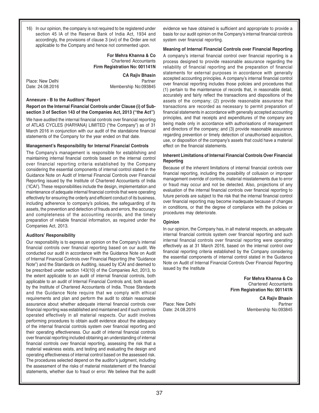16) In our opinion, the company is not required to be registered under section 45 IA of the Reserve Bank of India Act, 1934 and accordingly, the provisions of clause 3 (xvi) of the Order are not applicable to the Company and hence not commented upon.

#### **For Mehra Khanna & Co** Chartered Accountants **Firm Registration No: 001141N**

**CA Rajiv Bhasin**

Place: New Delhi **Place:** New Delhi **Partner** Date: 24.08.2016 Membership No:093845

# **Annexure - B to the Auditors' Report**

# **Report on the Internal Financial Controls under Clause (i) of Subsection 3 of Section 143 of the Companies Act, 2013 ("the Act")**

We have audited the internal financial controls over financial reporting of ATLAS CYCLES (HARYANA) LIMITED ("the Company") as of 31 March 2016 in conjunction with our audit of the standalone financial statements of the Company for the year ended on that date.

# **Management's Responsibility for Internal Financial Controls**

The Company's management is responsible for establishing and maintaining internal financial controls based on the internal control over financial reporting criteria established by the Company considering the essential components of internal control stated in the Guidance Note on Audit of Internal Financial Controls over Financial Reporting issued by the Institute of Chartered Accountants of India ('ICAI'). These responsibilities include the design, implementation and maintenance of adequate internal financial controls that were operating effectively for ensuring the orderly and efficient conduct of its business, including adherence to company's policies, the safeguarding of its assets, the prevention and detection of frauds and errors, the accuracy and completeness of the accounting records, and the timely preparation of reliable financial information, as required under the Companies Act, 2013.

#### **Auditors' Responsibility**

Our responsibility is to express an opinion on the Company's internal financial controls over financial reporting based on our audit. We conducted our audit in accordance with the Guidance Note on Audit of Internal Financial Controls over Financial Reporting (the "Guidance Note") and the Standards on Auditing, issued by ICAI and deemed to be prescribed under section 143(10) of the Companies Act, 2013, to the extent applicable to an audit of internal financial controls, both applicable to an audit of Internal Financial Controls and, both issued by the Institute of Chartered Accountants of India. Those Standards and the Guidance Note require that we comply with ethical requirements and plan and perform the audit to obtain reasonable assurance about whether adequate internal financial controls over financial reporting was established and maintained and if such controls operated effectively in all material respects. Our audit involves performing procedures to obtain audit evidence about the adequacy of the internal financial controls system over financial reporting and their operating effectiveness. Our audit of internal financial controls over financial reporting included obtaining an understanding of internal financial controls over financial reporting, assessing the risk that a material weakness exists, and testing and evaluating the design and operating effectiveness of internal control based on the assessed risk. The procedures selected depend on the auditor's judgment, including the assessment of the risks of material misstatement of the financial statements, whether due to fraud or error. We believe that the audit

evidence we have obtained is sufficient and appropriate to provide a basis for our audit opinion on the Company's internal financial controls system over financial reporting.

# **Meaning of Internal Financial Controls over Financial Reporting**

A company's internal financial control over financial reporting is a process designed to provide reasonable assurance regarding the reliability of financial reporting and the preparation of financial statements for external purposes in accordance with generally accepted accounting principles. A company's internal financial control over financial reporting includes those policies and procedures that (1) pertain to the maintenance of records that, in reasonable detail, accurately and fairly reflect the transactions and dispositions of the assets of the company; (2) provide reasonable assurance that transactions are recorded as necessary to permit preparation of financial statements in accordance with generally accepted accounting principles, and that receipts and expenditures of the company are being made only in accordance with authorisations of management and directors of the company; and (3) provide reasonable assurance regarding prevention or timely detection of unauthorised acquisition, use, or disposition of the company's assets that could have a material effect on the financial statements.

# **Inherent Limitations of Internal Financial Controls Over Financial Reporting**

Because of the inherent limitations of internal financial controls over financial reporting, including the possibility of collusion or improper management override of controls, material misstatements due to error or fraud may occur and not be detected. Also, projections of any evaluation of the internal financial controls over financial reporting to future periods are subject to the risk that the internal financial control over financial reporting may become inadequate because of changes in conditions, or that the degree of compliance with the policies or procedures may deteriorate.

#### **Opinion**

In our opinion, the Company has, in all material respects, an adequate internal financial controls system over financial reporting and such internal financial controls over financial reporting were operating effectively as at 31 March 2016, based on the internal control over financial reporting criteria established by the Company considering the essential components of internal control stated in the Guidance Note on Audit of Internal Financial Controls Over Financial Reporting issued by the Institute

> **For Mehra Khanna & Co** Chartered Accountants **Firm Registration No: 001141N**

**CA Rajiv Bhasin** Place: New Delhi **Partner** Date: 24.08.2016 Membership No:093845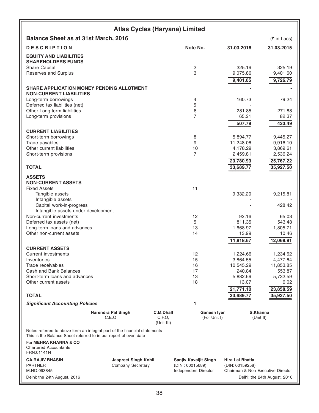| <b>Atlas Cycles (Haryana) Limited</b>                                                                                                         |                             |                      |                       |                                    |                        |                                   |
|-----------------------------------------------------------------------------------------------------------------------------------------------|-----------------------------|----------------------|-----------------------|------------------------------------|------------------------|-----------------------------------|
| <b>Balance Sheet as at 31st March, 2016</b>                                                                                                   |                             |                      |                       |                                    |                        | (₹ in Lacs)                       |
| <b>DESCRIPTION</b>                                                                                                                            |                             |                      | Note No.              |                                    | 31.03.2016             | 31.03.2015                        |
| <b>EQUITY AND LIABILITIES</b>                                                                                                                 |                             |                      |                       |                                    |                        |                                   |
| <b>SHAREHOLDERS FUNDS</b>                                                                                                                     |                             |                      |                       |                                    |                        |                                   |
| Share Capital<br>Reserves and Surplus                                                                                                         |                             |                      | 2<br>3                |                                    | 325.19<br>9,075.86     | 325.19<br>9,401.60                |
|                                                                                                                                               |                             |                      |                       |                                    | 9,401.05               | 9,726.79                          |
|                                                                                                                                               |                             |                      |                       |                                    |                        |                                   |
| <b>SHARE APPLICATION MONEY PENDING ALLOTMENT</b><br><b>NON-CURRENT LIABILITIES</b>                                                            |                             |                      |                       |                                    |                        |                                   |
| Long-term borrowings                                                                                                                          |                             |                      | 4                     |                                    | 160.73                 | 79.24                             |
| Deferred tax liabilities (net)                                                                                                                |                             |                      | 5                     |                                    |                        |                                   |
| Other Long term liabilities                                                                                                                   |                             |                      | 6                     |                                    | 281.85                 | 271.88                            |
| Long-term provisions                                                                                                                          |                             |                      | $\overline{7}$        |                                    | 65.21                  | 82.37                             |
|                                                                                                                                               |                             |                      |                       |                                    | 507.79                 | 433.49                            |
| <b>CURRENT LIABILITIES</b>                                                                                                                    |                             |                      |                       |                                    |                        |                                   |
| Short-term borrowings                                                                                                                         |                             |                      | 8                     |                                    | 5,894.77               | 9,445.27                          |
| Trade payables                                                                                                                                |                             |                      | 9                     |                                    | 11,248.06              | 9,916.10                          |
| Other current liabilities                                                                                                                     |                             |                      | 10                    |                                    | 4,178.29               | 3,869.61                          |
| Short-term provisions                                                                                                                         |                             |                      | $\overline{7}$        |                                    | 2,459.81               | 2,536.24                          |
|                                                                                                                                               |                             |                      |                       |                                    | 23,780.93              | 25,767.22                         |
| <b>TOTAL</b>                                                                                                                                  |                             |                      |                       |                                    | 33,689.77              | 35,927.50                         |
| <b>ASSETS</b>                                                                                                                                 |                             |                      |                       |                                    |                        |                                   |
| <b>NON-CURRENT ASSETS</b>                                                                                                                     |                             |                      |                       |                                    |                        |                                   |
| <b>Fixed Assets</b>                                                                                                                           |                             |                      | 11                    |                                    |                        |                                   |
| Tangible assets                                                                                                                               |                             |                      |                       |                                    | 9,332.20               | 9,215.81                          |
| Intangible assets                                                                                                                             |                             |                      |                       |                                    |                        |                                   |
| Capital work-in-progress                                                                                                                      |                             |                      |                       |                                    |                        | 428.42                            |
| Intangible assets under development                                                                                                           |                             |                      |                       |                                    |                        |                                   |
| Non-current investments                                                                                                                       |                             |                      | 12                    |                                    | 92.16                  | 65.03                             |
| Deferred tax assets (net)                                                                                                                     |                             |                      | 5                     |                                    | 811.35                 | 543.48                            |
| Long-term loans and advances<br>Other non-current assets                                                                                      |                             |                      | 13<br>14              |                                    | 1,668.97<br>13.99      | 1,805.71<br>10.46                 |
|                                                                                                                                               |                             |                      |                       |                                    |                        |                                   |
|                                                                                                                                               |                             |                      |                       |                                    | 11,918.67              | 12,068.91                         |
| <b>CURRENT ASSETS</b>                                                                                                                         |                             |                      |                       |                                    |                        |                                   |
| <b>Current investments</b>                                                                                                                    |                             |                      | 12                    |                                    | 1,224.66               | 1,234.62                          |
| Inventories                                                                                                                                   |                             |                      | 15                    |                                    | 3,864.55               | 4,477.64                          |
| Trade receivables<br>Cash and Bank Balances                                                                                                   |                             |                      | 16<br>17              |                                    | 10,545.29<br>240.84    | 11,853.85<br>553.87               |
| Short-term loans and advances                                                                                                                 |                             |                      | 13                    |                                    | 5,882.69               | 5,732.59                          |
| Other current assets                                                                                                                          |                             |                      | 18                    |                                    | 13.07                  | 6.02                              |
|                                                                                                                                               |                             |                      |                       |                                    | 21,771.10              | 23,858.59                         |
| <b>TOTAL</b>                                                                                                                                  |                             |                      |                       |                                    | 33,689.77              | 35,927.50                         |
| <b>Significant Accounting Policies</b>                                                                                                        |                             |                      | 1                     |                                    |                        |                                   |
|                                                                                                                                               |                             | <b>C.M.Dhall</b>     |                       |                                    |                        | S.Khanna                          |
|                                                                                                                                               | Narendra Pal Singh<br>C.E.O | C.F.O.<br>(Unit III) |                       | <b>Ganesh Iyer</b><br>(For Unit I) |                        | (Unit II)                         |
| Notes referred to above form an integral part of the financial statements<br>This is the Balance Sheet referred to in our report of even date |                             |                      |                       |                                    |                        |                                   |
| For <b>MEHRA KHANNA &amp; CO</b><br><b>Chartered Accountants</b><br>FRN:01141N                                                                |                             |                      |                       |                                    |                        |                                   |
| <b>CA.RAJIV BHASIN</b>                                                                                                                        | Jaspreet Singh Kohli        |                      | Sanjiv Kavaljit Singh |                                    | <b>Hira Lal Bhatia</b> |                                   |
| <b>PARTNER</b>                                                                                                                                | Company Secretary           |                      | (DIN: 00015689)       |                                    | (DIN: 00159258)        |                                   |
| M.NO:093845                                                                                                                                   |                             |                      | Independent Director  |                                    |                        | Chairman & Non Executive Director |
| Delhi: the 24th August, 2016                                                                                                                  |                             |                      |                       |                                    |                        | Delhi: the 24th August, 2016      |
|                                                                                                                                               |                             |                      |                       |                                    |                        |                                   |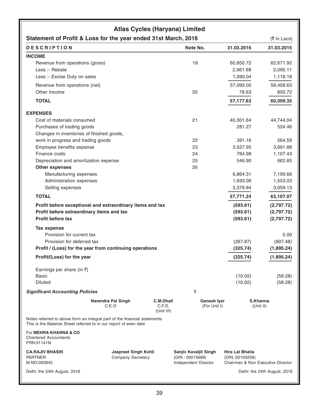| <b>Atlas Cycles (Haryana) Limited</b>                                                                                                         |                                                  |                                   |                                          |                                    |                                   |
|-----------------------------------------------------------------------------------------------------------------------------------------------|--------------------------------------------------|-----------------------------------|------------------------------------------|------------------------------------|-----------------------------------|
| Statement of Profit & Loss for the year ended 31st March, 2016                                                                                |                                                  |                                   |                                          |                                    | (₹ in Lacs)                       |
| <b>DESCRIPTION</b>                                                                                                                            |                                                  |                                   | Note No.                                 | 31.03.2016                         | 31.03.2015                        |
| <b>INCOME</b>                                                                                                                                 |                                                  |                                   |                                          |                                    |                                   |
| Revenue from operations (gross)                                                                                                               |                                                  |                                   | 19                                       | 60,850.72                          | 62,671.92                         |
| Less :- Rebate                                                                                                                                |                                                  |                                   |                                          | 2,661.68                           | 2,095.11                          |
| Less :- Excise Duty on sales                                                                                                                  |                                                  |                                   |                                          | 1,090.04                           | 1,118.18                          |
| Revenue from operations (net)                                                                                                                 |                                                  |                                   |                                          | 57,099.00                          | 59,458.63                         |
| Other Income                                                                                                                                  |                                                  |                                   | 20                                       | 78.63                              | 850.72                            |
| <b>TOTAL</b>                                                                                                                                  |                                                  |                                   |                                          | 57,177.63                          | 60,309.35                         |
|                                                                                                                                               |                                                  |                                   |                                          |                                    |                                   |
| <b>EXPENSES</b>                                                                                                                               |                                                  |                                   |                                          |                                    |                                   |
| Cost of materials consumed                                                                                                                    |                                                  |                                   | 21                                       | 40,301.64                          | 44,744.04                         |
| Purchases of trading goods                                                                                                                    |                                                  |                                   |                                          | 281.27                             | 524.46                            |
| Changes in inventories of finished goods,                                                                                                     |                                                  |                                   |                                          |                                    |                                   |
| work in progress and trading goods                                                                                                            |                                                  |                                   | 22                                       | 391.16                             | 564.59                            |
| Employee benefits expense<br>Finance costs                                                                                                    |                                                  |                                   | 23                                       | 3,527.95<br>784.98                 | 3,691.88                          |
|                                                                                                                                               |                                                  |                                   | 24<br>25                                 | 546.90                             | 1,107.43<br>662.85                |
| Depreciation and amortization expense<br><b>Other expenses</b>                                                                                |                                                  |                                   | 26                                       |                                    |                                   |
| Manufacturing expenses                                                                                                                        |                                                  |                                   |                                          | 6,864.31                           | 7,199.66                          |
| Administration expenses                                                                                                                       |                                                  |                                   |                                          | 1,693.09                           | 1,553.03                          |
| Selling expenses                                                                                                                              |                                                  |                                   |                                          | 3,379.94                           | 3,059.13                          |
| <b>TOTAL</b>                                                                                                                                  |                                                  |                                   |                                          | 57,771.24                          | 63,107.07                         |
|                                                                                                                                               |                                                  |                                   |                                          |                                    |                                   |
| Profit before exceptional and extraordinary items and tax<br>Profit before extraordinary items and tax                                        |                                                  |                                   |                                          | (593.61)<br>(593.61)               | (2,797.72)                        |
| <b>Profit before tax</b>                                                                                                                      |                                                  |                                   |                                          | (593.61)                           | (2,797.72)<br>(2,797.72)          |
| Tax expense                                                                                                                                   |                                                  |                                   |                                          |                                    |                                   |
| Provision for current tax                                                                                                                     |                                                  |                                   |                                          |                                    | 5.00                              |
| Provision for deferred tax                                                                                                                    |                                                  |                                   |                                          | (267.87)                           | (907.48)                          |
| Profit / (Loss) for the year from continuing operations                                                                                       |                                                  |                                   |                                          | (325.74)                           | (1,895.24)                        |
| Profit/(Loss) for the year                                                                                                                    |                                                  |                                   |                                          | (325.74)                           | (1,895.24)                        |
|                                                                                                                                               |                                                  |                                   |                                          |                                    |                                   |
| Earnings per share (in ₹)                                                                                                                     |                                                  |                                   |                                          |                                    |                                   |
| <b>Basic</b>                                                                                                                                  |                                                  |                                   |                                          | (10.02)                            | (58.28)                           |
| <b>Diluted</b>                                                                                                                                |                                                  |                                   |                                          | (10.02)                            | (58.28)                           |
| <b>Significant Accounting Policies</b>                                                                                                        |                                                  |                                   | 1.                                       |                                    |                                   |
|                                                                                                                                               | Narendra Pal Singh<br>C.E.O                      | C.M.Dhall<br>C.F.O.<br>(Unit III) | <b>Ganesh Iyer</b><br>(For Unit I)       |                                    | S.Khanna<br>(Unit II)             |
| Notes referred to above form an integral part of the financial statements<br>This is the Balance Sheet referred to in our report of even date |                                                  |                                   |                                          |                                    |                                   |
| For <b>MEHRA KHANNA &amp; CO</b><br><b>Chartered Accountants</b><br>FRN:01141N                                                                |                                                  |                                   |                                          |                                    |                                   |
| <b>CA.RAJIV BHASIN</b><br><b>PARTNER</b>                                                                                                      | Jaspreet Singh Kohli<br><b>Company Secretary</b> |                                   | Sanjiv Kavaljit Singh<br>(DIN: 00015689) | Hira Lal Bhatia<br>(DIN: 00159258) |                                   |
| M.NO:093845                                                                                                                                   |                                                  |                                   | Independent Director                     |                                    | Chairman & Non Executive Director |
| Delhi: the 24th August, 2016                                                                                                                  |                                                  |                                   |                                          |                                    | Delhi: the 24th August, 2016      |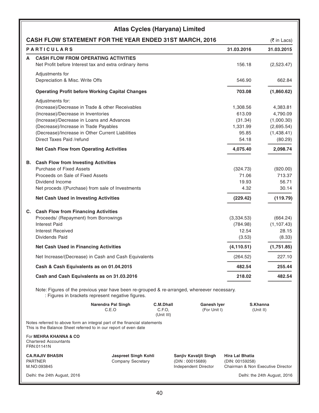|    |                                                                                                                                                                                                                                                                                                                                     | <b>Atlas Cycles (Haryana) Limited</b>            |                     |                                                                  |                                    |                                                                         |                                                                                       |
|----|-------------------------------------------------------------------------------------------------------------------------------------------------------------------------------------------------------------------------------------------------------------------------------------------------------------------------------------|--------------------------------------------------|---------------------|------------------------------------------------------------------|------------------------------------|-------------------------------------------------------------------------|---------------------------------------------------------------------------------------|
|    | CASH FLOW STATEMENT FOR THE YEAR ENDED 31ST MARCH, 2016                                                                                                                                                                                                                                                                             |                                                  |                     |                                                                  |                                    |                                                                         | (₹ in Lacs)                                                                           |
|    | <b>PARTICULARS</b>                                                                                                                                                                                                                                                                                                                  |                                                  |                     |                                                                  |                                    | 31.03.2016                                                              | 31.03.2015                                                                            |
| A  | <b>CASH FLOW FROM OPERATING ACTIVITIES</b><br>Net Profit before Interest tax and extra ordinary items                                                                                                                                                                                                                               |                                                  |                     |                                                                  |                                    | 156.18                                                                  | (2,523.47)                                                                            |
|    | Adjustments for<br>Depreciation & Misc. Write Offs                                                                                                                                                                                                                                                                                  |                                                  |                     |                                                                  |                                    | 546.90                                                                  | 662.84                                                                                |
|    | <b>Operating Profit before Working Capital Changes</b>                                                                                                                                                                                                                                                                              |                                                  |                     |                                                                  |                                    | 703.08                                                                  | (1,860.62)                                                                            |
|    | Adjustments for:<br>(Increase)/Decrease in Trade & other Receivables<br>(Increase)/Decrease in Inventories<br>(Increase)/Decrease in Loans and Advances<br>(Decrease)/Increase in Trade Payables<br>(Decrease)/Increase in Other Current Liabilities<br>Direct Taxes Paid /refund<br><b>Net Cash Flow from Operating Activities</b> |                                                  |                     |                                                                  |                                    | 1,308.56<br>613.09<br>(31.34)<br>1,331.99<br>95.85<br>54.18<br>4,075.40 | 4,383.81<br>4,790.09<br>(1,000.30)<br>(2,695.54)<br>(1,438.41)<br>(80.29)<br>2,098.74 |
| В. | <b>Cash Flow from Investing Activities</b><br>Purchase of Fixed Assets<br>Proceeds on Sale of Fixed Assets<br>Dividend Income<br>Net proceds /(Purchase) from sale of Investments<br><b>Net Cash Used in Investing Activities</b>                                                                                                   |                                                  |                     |                                                                  |                                    | (324.73)<br>71.06<br>19.93<br>4.32<br>(229.42)                          | (920.00)<br>713.37<br>56.71<br>30.14<br>(119.79)                                      |
|    | C. Cash Flow from Financing Activities<br>Proceeds/ (Repayment) from Borrowings<br><b>Interest Paid</b><br>Interest Received<br>Dividends Paid                                                                                                                                                                                      |                                                  |                     |                                                                  |                                    | (3,334.53)<br>(784.98)<br>12.54<br>(3.53)                               | (664.24)<br>(1, 107.43)<br>28.15<br>(8.33)                                            |
|    | <b>Net Cash Used in Financing Activities</b>                                                                                                                                                                                                                                                                                        |                                                  |                     |                                                                  |                                    | (4, 110.51)                                                             | (1,751.85)                                                                            |
|    | Net Increase/(Decrease) in Cash and Cash Equivalents                                                                                                                                                                                                                                                                                |                                                  |                     |                                                                  |                                    | (264.52)                                                                | 227.10                                                                                |
|    | Cash & Cash Equivalents as on 01.04.2015                                                                                                                                                                                                                                                                                            |                                                  |                     |                                                                  |                                    | 482.54                                                                  | 255.44                                                                                |
|    | Cash and Cash Equivalents as on 31.03.2016                                                                                                                                                                                                                                                                                          |                                                  |                     |                                                                  |                                    | 218.02                                                                  | 482.54                                                                                |
|    | Note: Figures of the previous year have been re-grouped & re-arranged, whereever necessary.<br>: Figures in brackets represent negative figures.                                                                                                                                                                                    | Narendra Pal Singh<br>C.E.O                      | C.M.Dhall<br>C.F.O. |                                                                  | <b>Ganesh Iyer</b><br>(For Unit I) |                                                                         | S.Khanna<br>(Unit II)                                                                 |
|    |                                                                                                                                                                                                                                                                                                                                     |                                                  | (Unit III)          |                                                                  |                                    |                                                                         |                                                                                       |
|    | Notes referred to above form an integral part of the financial statements<br>This is the Balance Sheet referred to in our report of even date                                                                                                                                                                                       |                                                  |                     |                                                                  |                                    |                                                                         |                                                                                       |
|    | For MEHRA KHANNA & CO<br><b>Chartered Accountants</b><br>FRN:01141N                                                                                                                                                                                                                                                                 |                                                  |                     |                                                                  |                                    |                                                                         |                                                                                       |
|    | <b>CA.RAJIV BHASIN</b><br><b>PARTNER</b><br>M.NO:093845                                                                                                                                                                                                                                                                             | Jaspreet Singh Kohli<br><b>Company Secretary</b> |                     | Sanjiv Kavaljit Singh<br>(DIN: 00015689)<br>Independent Director |                                    | Hira Lal Bhatia<br>(DIN: 00159258)                                      | Chairman & Non Executive Director                                                     |
|    | Delhi: the 24th August, 2016                                                                                                                                                                                                                                                                                                        |                                                  |                     |                                                                  |                                    |                                                                         | Delhi: the 24th August, 2016                                                          |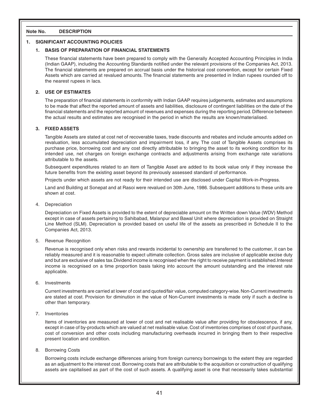# **Note No. DESCRIPTION**

# **1. SIGNIFICANT ACCOUNTING POLICIES**

# **1. BASIS OF PREPARATION OF FINANCIAL STATEMENTS**

These financial statements have been prepared to comply with the Generally Accepted Accounting Principles in India (Indian GAAP), including the Accounting Standards notified under the relevant provisions of the Companies Act, 2013. The financial statements are prepared on accrual basis under the historical cost convention, except for certain Fixed Assets which are carried at revalued amounts. The financial statements are presented in Indian rupees rounded off to the nearest rupees in lacs.

# **2. USE OF ESTIMATES**

The preparation of financial statements in conformity with Indian GAAP requires judgements, estimates and assumptions to be made that affect the reported amount of assets and liabilities, disclosure of contingent liabilities on the date of the financial statements and the reported amount of revenues and expenses during the reporting period. Difference between the actual results and estimates are recognised in the period in which the results are known/materialised.

# **3. FIXED ASSETS**

Tangible Assets are stated at cost net of recoverable taxes, trade discounts and rebates and include amounts added on revaluation, less accumulated depreciation and impairment loss, if any. The cost of Tangible Assets comprises its purchase price, borrowing cost and any cost directly attributable to bringing the asset to its working condition for its intended use, net charges on foreign exchange contracts and adjustments arising from exchange rate variations attributable to the assets.

Subsequent expenditures related to an item of Tangible Asset are added to its book value only if they increase the future benefits from the existing asset beyond its previously assessed standard of performance.

Projects under which assets are not ready for their intended use are disclosed under Capital Work-in-Progress.

Land and Building at Sonepat and at Rasoi were revalued on 30th June, 1986. Subsequent additions to these units are shown at cost.

4. Depreciation

Depreciation on Fixed Assets is provided to the extent of depreciable amount on the Written down Value (WDV) Method except in case of assets pertaining to Sahibabad, Malanpur and Bawal Unit where depreciation is provided on Straight Line Method (SLM). Depreciation is provided based on useful life of the assets as prescribed in Schedule II to the Companies Act, 2013.

5. Revenue Recognition

Revenue is recognised only when risks and rewards incidental to ownership are transferred to the customer, it can be reliably measured and it is reasonable to expect ultimate collection. Gross sales are inclusive of applicable excise duty and but are exclusive of sales tax.Dividend income is recognised when the right to receive payment is established.Interest income is recognised on a time proportion basis taking into account the amount outstanding and the interest rate applicable.

6. Investments

Current investments are carried at lower of cost and quoted/fair value, computed category-wise. Non-Current investments are stated at cost. Provision for diminution in the value of Non-Current investments is made only if such a decline is other than temporary.

7. Inventories

Items of inventories are measured at lower of cost and net realisable value after providing for obsolescence, if any, except in case of by-products which are valued at net realisable value. Cost of inventories comprises of cost of purchase, cost of conversion and other costs including manufacturing overheads incurred in bringing them to their respective present location and condition.

8. Borrowing Costs

Borrowing costs include exchange differences arising from foreign currency borrowings to the extent they are regarded as an adjustment to the interest cost. Borrowing costs that are attributable to the acquisition or construction of qualifying assets are capitalised as part of the cost of such assets. A qualifying asset is one that necessarily takes substantial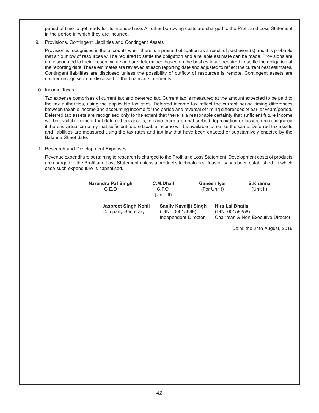period of time to get ready for its intended use. All other borrowing costs are charged to the Profit and Loss Statement in the period in which they are incurred.

9. Provisions, Contingent Liabilities and Contingent Assets

Provision is recognised in the accounts when there is a present obligation as a result of past event(s) and it is probable that an outflow of resources will be required to settle the obligation and a reliable estimate can be made. Provisions are not discounted to their present value and are determined based on the best estimate required to settle the obligation at the reporting date. These estimates are reviewed at each reporting date and adjusted to reflect the current best estimates. Contingent liabilities are disclosed unless the possibility of outflow of resources is remote. Contingent assets are neither recognised nor disclosed in the financial statements.

10. Income Taxes

Tax expense comprises of current tax and deferred tax. Current tax is measured at the amount expected to be paid to the tax authorities, using the applicable tax rates. Deferred income tax reflect the current period timing differences between taxable income and accounting income for the period and reversal of timing differences of earlier years/period. Deferred tax assets are recognised only to the extent that there is a reasonable certainty that sufficient future income will be available except that deferred tax assets, in case there are unabsorbed depreciation or losses, are recognised if there is virtual certainty that sufficient future taxable income will be available to realise the same. Deferred tax assets and liabilities are measured using the tax rates and tax law that have been enacted or substantively enacted by the Balance Sheet date.

11. Research and Development Expenses

Revenue expenditure pertaining to research is charged to the Profit and Loss Statement. Development costs of products are charged to the Profit and Loss Statement unless a product's technological feasibility has been established, in which case such expenditure is capitalised.

| Narendra Pal Singh<br>C.E.O                      | C.M.Dhall<br>C.F.O.<br>(Unit III)                                       | <b>Ganesh Iver</b><br>(For Unit I) | S.Khanna<br>(Unit II)                                |
|--------------------------------------------------|-------------------------------------------------------------------------|------------------------------------|------------------------------------------------------|
| <b>Jaspreet Singh Kohli</b><br>Company Secretary | <b>Sanjiv Kavaljit Singh</b><br>(DIN: 00015689)<br>Independent Director | <b>Hira Lal Bhatia</b>             | (DIN: 00159258)<br>Chairman & Non Executive Director |

Delhi: the 24th August, 2016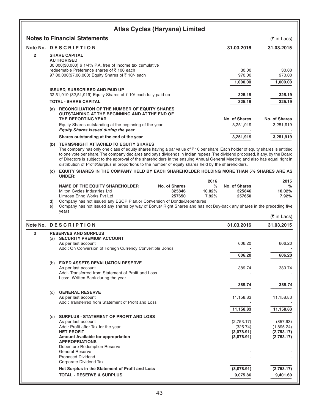# **Atlas Cycles (Haryana) Limited**

|                | <b>Notes to Financial Statements</b>                                                                                                                                                                                                                                                                                                                                                                                                                           |               | $(5 \in \text{Ln}$ Lacs) |
|----------------|----------------------------------------------------------------------------------------------------------------------------------------------------------------------------------------------------------------------------------------------------------------------------------------------------------------------------------------------------------------------------------------------------------------------------------------------------------------|---------------|--------------------------|
|                | Note No. DESCRIPTION                                                                                                                                                                                                                                                                                                                                                                                                                                           | 31.03.2016    | 31.03.2015               |
| $\overline{2}$ | <b>SHARE CAPITAL</b><br><b>AUTHORISED</b><br>30,000(30,000) 6 1/4% P.A. free of Income tax cumulative                                                                                                                                                                                                                                                                                                                                                          |               |                          |
|                | redeemable Preference shares of ₹100 each                                                                                                                                                                                                                                                                                                                                                                                                                      | 30.00         | 30.00                    |
|                | 97,00,000(97,00,000) Equity Shares of ₹10/- each                                                                                                                                                                                                                                                                                                                                                                                                               | 970.00        | 970.00                   |
|                |                                                                                                                                                                                                                                                                                                                                                                                                                                                                | 1,000.00      | 1,000.00                 |
|                | <b>ISSUED, SUBSCRIBED AND PAID UP</b><br>32,51,919 (32,51,919) Equity Shares of ₹10/-each fully paid up                                                                                                                                                                                                                                                                                                                                                        | 325.19        | 325.19                   |
|                | <b>TOTAL - SHARE CAPITAL</b>                                                                                                                                                                                                                                                                                                                                                                                                                                   | 325.19        | 325.19                   |
|                | <b>RECONCILIATION OF THE NUMBER OF EQUITY SHARES</b><br>(a)<br><b>OUTSTANDING AT THE BEGINNING AND AT THE END OF</b><br>THE REPORTING YEAR                                                                                                                                                                                                                                                                                                                     | No. of Shares | No. of Shares            |
|                | Equity Shares outstanding at the beginning of the year<br><b>Equity Shares issued during the year</b>                                                                                                                                                                                                                                                                                                                                                          | 3,251,919     | 3,251,919                |
|                | Shares outstanding at the end of the year                                                                                                                                                                                                                                                                                                                                                                                                                      | 3,251,919     | 3,251,919                |
|                | <b>TERMS/RIGHT ATTACHED TO EQUITY SHARES</b><br>(b)<br>The company has only one class of equity shares having a par value of $\bar{z}$ 10 per share. Each holder of equity shares is entitled<br>to one vote per share. The company declares and pays dividends in Indian rupees. The dividend proposed, if any, by the Board<br>of Directors is subject to the approval of the sharpholders in the ensuing Appual Coneral Meeting and also has equal right in |               |                          |

of Directors is subject to the approval of the shareholders in the ensuing Annual General Meeting and also has equal right in distribution of Profit/Surplus in proportions to the number of equity shares held by the shareholders. **(c) EQUITY SHARES IN THE COMPANY HELD BY EACH SHAREHOLDER HOLDING MORE THAN 5% SHARES ARE AS**

| UNDER: |
|--------|

| --------                              |               |           |               |        |
|---------------------------------------|---------------|-----------|---------------|--------|
|                                       |               | 2016      |               | 2015   |
| <b>NAME OF THE EQUITY SHAREHOLDER</b> | No. of Shares |           | No. of Shares | $\%$   |
| Milton Cycles Industries Ltd          | 325846        | $10.02\%$ | 325846        | 10.02% |
| Limrose Enng Works Pvt Ltd            | 257650        | 7.92%     | 257650        | 7.92%  |

 $($ ₹ in Lacs)

d) Company has not issued any ESOP Plan,or Conversion of Bonds/Debentures

e) Company has not issued any shares by way of Bonus/ Right Shares and has not Buy-back any shares in the preceding five years

|   | Note No. DESCRIPTION                                      | 31.03.2016 | 31.03.2015 |
|---|-----------------------------------------------------------|------------|------------|
| 3 | <b>RESERVES AND SURPLUS</b>                               |            |            |
|   | <b>SECURITY PREMIUM ACCOUNT</b><br>(a)                    |            |            |
|   | As per last account                                       | 606.20     | 606.20     |
|   | Add : On Conversion of Foreign Currency Convertible Bonds |            |            |
|   |                                                           | 606.20     | 606.20     |
|   | <b>FIXED ASSETS REVALUATION RESERVE</b><br>(b)            |            |            |
|   | As per last account                                       | 389.74     | 389.74     |
|   | Add:- Transferred from Statement of Profit and Loss       |            |            |
|   | Less:- Written Back during the year                       |            |            |
|   |                                                           | 389.74     | 389.74     |
|   | <b>GENERAL RESERVE</b>                                    |            |            |
|   | (C)<br>As per last account                                | 11,158.83  | 11,158.83  |
|   | Add: Transferred from Statement of Profit and Loss        |            |            |
|   |                                                           |            |            |
|   |                                                           | 11,158.83  | 11,158.83  |
|   | <b>SURPLUS - STATEMENT OF PROFIT AND LOSS</b><br>(d)      |            |            |
|   | As per last account                                       | (2,753.17) | (857.93)   |
|   | Add: Profit after Tax for the year                        | (325.74)   | (1,895.24) |
|   | <b>NET PROFIT</b>                                         | (3,078.91) | (2,753.17) |
|   | <b>Amount Available for appropriation</b>                 | (3,078.91) | (2,753.17) |
|   | <b>APPROPRIATIONS</b>                                     |            |            |
|   | Debenture Redemption Reserve                              |            |            |
|   | <b>General Reserve</b>                                    |            |            |
|   | <b>Proposed Dividend</b>                                  |            |            |
|   | Corporate Dividend Tax                                    |            |            |
|   | Net Surplus in the Statement of Profit and Loss           | (3,078.91) | (2,753.17) |
|   | <b>TOTAL - RESERVE &amp; SURPLUS</b>                      | 9,075.86   | 9,401.60   |
|   |                                                           |            |            |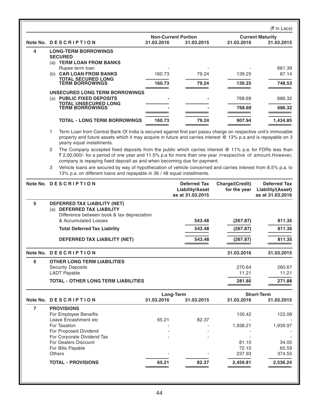|                |                                                                                                                                                                                                                                                                                                         | <b>Non-Current Portion</b> |                                                                   |                                 | (₹ in Lacs)<br><b>Current Maturity</b>                       |
|----------------|---------------------------------------------------------------------------------------------------------------------------------------------------------------------------------------------------------------------------------------------------------------------------------------------------------|----------------------------|-------------------------------------------------------------------|---------------------------------|--------------------------------------------------------------|
|                | Note No. DESCRIPTION                                                                                                                                                                                                                                                                                    | 31.03.2016                 | 31.03.2015                                                        | 31.03.2016                      | 31.03.2015                                                   |
| 4              | <b>LONG-TERM BORROWINGS</b>                                                                                                                                                                                                                                                                             |                            |                                                                   |                                 |                                                              |
|                | <b>SECURED</b><br>(a) TERM LOAN FROM BANKS                                                                                                                                                                                                                                                              |                            |                                                                   |                                 |                                                              |
|                | Rupee term loan                                                                                                                                                                                                                                                                                         |                            |                                                                   |                                 | 661.39                                                       |
|                | (b) CAR LOAN FROM BANKS                                                                                                                                                                                                                                                                                 | 160.73                     | 79.24                                                             | 139.25                          | 87.14                                                        |
|                | <b>TOTAL SECURED LONG</b><br><b>TERM BORROWINGS</b>                                                                                                                                                                                                                                                     | 160.73                     | 79.24                                                             | 139.25                          | 748.53                                                       |
|                | <b>UNSECURED LONG TERM BORROWINGS</b><br>(a) PUBLIC FIXED DEPOSITS                                                                                                                                                                                                                                      |                            |                                                                   | 768.69                          | 686.32                                                       |
|                | <b>TOTAL UNSECURED LONG</b>                                                                                                                                                                                                                                                                             |                            |                                                                   |                                 |                                                              |
|                | <b>TERM BORROWINGS</b>                                                                                                                                                                                                                                                                                  |                            |                                                                   | 768.69                          | 686.32                                                       |
|                | <b>TOTAL - LONG TERM BORROWINGS</b>                                                                                                                                                                                                                                                                     | 160.73                     | 79.24                                                             | 907.94                          | 1,434.85                                                     |
|                | Term Loan from Central Bank Of India is secured against first pari passu charge on respective unit's immovable<br>1<br>property and future assets which it may acquire in future and carries interest @ 13% p.a and is repayable on 3<br>yearly equal installments.                                     |                            |                                                                   |                                 |                                                              |
|                | The Company accepted fixed deposits from the public which carries interest @ 11% p.a. for FDRs less than<br>2<br>₹ 2,00,000/- for a period of one year and 11.5% p.a for more than one year irrespective of amount. However,<br>company is repaying fixed deposit as and when becoming due for payment. |                            |                                                                   |                                 |                                                              |
|                | 3<br>Vehicle loans are secured by way of hypothecation of vehicle concerned and carries interest from 8.5% p.a. to<br>13% p.a. on different loans and repayable in 36 / 48 equal installments.                                                                                                          |                            |                                                                   |                                 |                                                              |
|                | Note No. DESCRIPTION                                                                                                                                                                                                                                                                                    |                            | <b>Deferred Tax</b><br><b>Liability/Asset</b><br>as at 31.03.2015 | Charge/(Credit)<br>for the year | <b>Deferred Tax</b><br>Liability/(Asset)<br>as at 31.03.2016 |
| 5              | DEFERRED TAX LIABILITY (NET)<br>(a) DEFERRED TAX LIABILITY<br>Difference between book & tax depreciation<br>& Accumulated Losses                                                                                                                                                                        |                            | 543.48                                                            | (267.87)                        | 811.35                                                       |
|                | <b>Total Deferred Tax Liability</b>                                                                                                                                                                                                                                                                     |                            | 543.48                                                            | (267.87)                        | 811.35                                                       |
|                | DEFERRED TAX LIABILITY (NET)                                                                                                                                                                                                                                                                            |                            | 543.48                                                            | (267.87)                        | 811.35                                                       |
|                |                                                                                                                                                                                                                                                                                                         |                            |                                                                   |                                 |                                                              |
|                | Note No. DESCRIPTION                                                                                                                                                                                                                                                                                    |                            |                                                                   | 31.03.2016                      | 31.03.2015                                                   |
| 6              | <b>OTHER LONG TERM LIABILITIES</b>                                                                                                                                                                                                                                                                      |                            |                                                                   |                                 |                                                              |
|                | <b>Security Deposits</b><br><b>LADT Payable</b>                                                                                                                                                                                                                                                         |                            |                                                                   | 270.64<br>11.21                 | 260.67<br>11.21                                              |
|                | <b>TOTAL - OTHER LONG TERM LIABILITIES</b>                                                                                                                                                                                                                                                              |                            |                                                                   | 281.85                          | 271.88                                                       |
|                |                                                                                                                                                                                                                                                                                                         |                            |                                                                   |                                 |                                                              |
|                |                                                                                                                                                                                                                                                                                                         | Long-Term                  |                                                                   |                                 | <b>Short-Term</b>                                            |
|                | Note No. DESCRIPTION                                                                                                                                                                                                                                                                                    | 31.03.2016                 | 31.03.2015                                                        | 31.03.2016                      | 31.03.2015                                                   |
| $\overline{7}$ | <b>PROVISIONS</b><br>For Employee Beneifts                                                                                                                                                                                                                                                              |                            |                                                                   | 130.42                          | 122.08                                                       |
|                | Leave Encashment etc                                                                                                                                                                                                                                                                                    | 65.21                      | 82.37                                                             |                                 |                                                              |
|                | For Taxation<br>For Proposed Dividend                                                                                                                                                                                                                                                                   |                            |                                                                   | 1,938.21                        | 1,939.97                                                     |
|                | For Corporate Dividend Tax                                                                                                                                                                                                                                                                              |                            |                                                                   |                                 |                                                              |
|                | For Dealers Discount                                                                                                                                                                                                                                                                                    |                            |                                                                   | 81.10                           | 34.05                                                        |
|                |                                                                                                                                                                                                                                                                                                         |                            |                                                                   |                                 |                                                              |
|                | For Bills Payable<br>Others                                                                                                                                                                                                                                                                             |                            |                                                                   | 72.15<br>237.93                 | 65.59<br>374.55                                              |
|                | <b>TOTAL - PROVISIONS</b>                                                                                                                                                                                                                                                                               | 65.21                      | 82.37                                                             | 2,459.81                        | 2,536.24                                                     |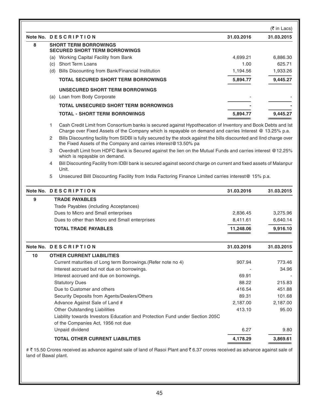|    |                                                                                                                                                                                                                              |            | (₹ in Lacs) |
|----|------------------------------------------------------------------------------------------------------------------------------------------------------------------------------------------------------------------------------|------------|-------------|
|    | Note No. DESCRIPTION                                                                                                                                                                                                         | 31.03.2016 | 31.03.2015  |
| 8  | <b>SHORT TERM BORROWINGS</b><br><b>SECURED SHORT TERM BORROWINGS</b>                                                                                                                                                         |            |             |
|    | (a) Working Capital Facility from Bank                                                                                                                                                                                       | 4,699.21   | 6,886.30    |
|    | Short Term Loans<br>(c)                                                                                                                                                                                                      | 1.00       | 625.71      |
|    | Bills Discounting from Bank/Financial Institution<br>(d)                                                                                                                                                                     | 1,194.56   | 1,933.26    |
|    | <b>TOTAL SECURED SHORT TERM BORROWINGS</b>                                                                                                                                                                                   | 5,894.77   | 9,445.27    |
|    | UNSECURED SHORT TERM BORROWINGS                                                                                                                                                                                              |            |             |
|    | (a) Loan from Body Corporate                                                                                                                                                                                                 |            |             |
|    | TOTAL UNSECURED SHORT TERM BORROWINGS                                                                                                                                                                                        |            |             |
|    | <b>TOTAL - SHORT TERM BORROWINGS</b>                                                                                                                                                                                         | 5,894.77   | 9,445.27    |
|    |                                                                                                                                                                                                                              |            |             |
|    | Cash Credit Limit from Consortium banks is secured against Hypothecation of Inventory and Book Debts and Ist<br>1<br>Charge over Fixed Assets of the Company which is repayable on demand and carries Interest @ 13.25% p.a. |            |             |
|    | Bills Discounting facility from SIDBI is fully secured by the stock against the bills discounted and IInd charge over<br>2<br>the Fixed Assets of the Company and carries interest@13.50% pa                                 |            |             |
|    | Overdraft Limit from HDFC Bank is Secured against the lien on the Mutual Funds and carries interest @12.25%<br>3<br>which is repayable on demand.                                                                            |            |             |
|    | Bill Discounting Facility from IDBI bank is secured against second charge on current and fixed assets of Malanpur<br>4<br>Unit.                                                                                              |            |             |
|    | 5<br>Unsecured Billl Discounting Facility from India Factoring Finance Limited carries interest@ 15% p.a.                                                                                                                    |            |             |
|    | Note No. DESCRIPTION                                                                                                                                                                                                         | 31.03.2016 | 31.03.2015  |
| 9  | <b>TRADE PAYABLES</b>                                                                                                                                                                                                        |            |             |
|    | Trade Payables (including Acceptances)                                                                                                                                                                                       |            |             |
|    | Dues to Micro and Small enterprises                                                                                                                                                                                          | 2,836.45   | 3,275.96    |
|    | Dues to other than Micro and Small enterprises                                                                                                                                                                               | 8,411.61   | 6,640.14    |
|    | <b>TOTAL TRADE PAYABLES</b>                                                                                                                                                                                                  | 11,248.06  | 9,916.10    |
|    | Note No. DESCRIPTION                                                                                                                                                                                                         | 31.03.2016 | 31.03.2015  |
| 10 | <b>OTHER CURRENT LIABILITIES</b>                                                                                                                                                                                             |            |             |
|    | Current maturities of Long term Borrowings. (Refer note no 4)                                                                                                                                                                | 907.94     | 773.46      |
|    | Interest accrued but not due on borrowings.                                                                                                                                                                                  |            | 34.96       |
|    | Interest accrued and due on borrowings.                                                                                                                                                                                      | 69.91      |             |
|    | <b>Statutory Dues</b>                                                                                                                                                                                                        | 88.22      | 215.83      |
|    | Due to Customer and others                                                                                                                                                                                                   | 416.54     | 451.88      |
|    | Security Deposits from Agents/Dealers/Others                                                                                                                                                                                 | 89.31      | 101.68      |
|    | Advance Against Sale of Land #                                                                                                                                                                                               | 2,187.00   | 2,187.00    |
|    | Other Outstanding Liabilities<br>Liability towards Investors Education and Protection Fund under Section 205C                                                                                                                | 413.10     | 95.00       |
|    | of the Companies Act, 1956 not due                                                                                                                                                                                           |            |             |
|    | Unpaid dividend                                                                                                                                                                                                              | 6.27       | 9.80        |
|    | <b>TOTAL OTHER CURRENT LIABILITIES</b>                                                                                                                                                                                       | 4,178.29   | 3,869.61    |

# ₹ 15.50 Crores received as advance against sale of land of Rasoi Plant and ₹ 6.37 crores received as advance against sale of land of Bawal plant.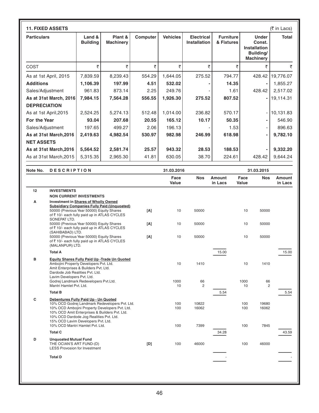| <b>11. FIXED ASSETS</b> |                           |                             |          |                 |                                          |                                |                                                                         | $(5 \in \text{Ln}$ Lacs) |
|-------------------------|---------------------------|-----------------------------|----------|-----------------|------------------------------------------|--------------------------------|-------------------------------------------------------------------------|--------------------------|
| <b>Particulars</b>      | Land &<br><b>Building</b> | Plant &<br><b>Machinery</b> | Computer | <b>Vehicles</b> | <b>Electrical</b><br><b>Installation</b> | <b>Furniture</b><br>& Fixtures | <b>Under</b><br>Const.<br>Installation<br>Building/<br><b>Machinery</b> | <b>Total</b>             |
| COST                    | ₹                         | ₹                           | ₹        | ₹               | ₹                                        | ₹                              | ₹                                                                       | ₹                        |
| As at 1st April, 2015   | 7,839.59                  | 8,239.43                    | 554.29   | 1,644.05        | 275.52                                   | 794.77                         | 428.42                                                                  | 19,776.07                |
| <b>Additions</b>        | 1,106.39                  | 197.99                      | 4.51     | 532.02          |                                          | 14.35                          |                                                                         | 1,855.27                 |
| Sales/Adjustment        | 961.83                    | 873.14                      | 2.25     | 249.76          |                                          | 1.61                           | 428.42                                                                  | 2,517.02                 |
| As at 31st March, 2016  | 7,984.15                  | 7,564.28                    | 556.55   | 1,926.30        | 275.52                                   | 807.52                         |                                                                         | 19,114.31                |
| <b>DEPRECIATION</b>     |                           |                             |          |                 |                                          |                                |                                                                         |                          |
| As at 1st April, 2015   | 2,524.25                  | 5,274.13                    | 512.48   | 1,014.00        | 236.82                                   | 570.17                         |                                                                         | 10,131.83                |
| For the Year            | 93.04                     | 207.68                      | 20.55    | 165.12          | 10.17                                    | 50.35                          |                                                                         | 546.90                   |
| Sales/Adjustment        | 197.65                    | 499.27                      | 2.06     | 196.13          |                                          | 1.53                           |                                                                         | 896.63                   |
| As at 31st March, 2016  | 2,419.63                  | 4,982.54                    | 530.97   | 982.98          | 246.99                                   | 618.98                         |                                                                         | 9,782.10                 |
| <b>NET ASSETS</b>       |                           |                             |          |                 |                                          |                                |                                                                         |                          |
| As at 31st March, 2016  | 5,564.52                  | 2,581.74                    | 25.57    | 943.32          | 28.53                                    | 188.53                         |                                                                         | 9,332.20                 |
| As at 31st March, 2015  | 5,315.35                  | 2,965.30                    | 41.81    | 630.05          | 38.70                                    | 224.61                         | 428.42                                                                  | 9,644.24                 |

| Note No.    | <b>DESCRIPTION</b>                                                                                                                                                                                                                                                         | 31.03.2016 |               | 31.03.2015           |                          |               |                      |                   |
|-------------|----------------------------------------------------------------------------------------------------------------------------------------------------------------------------------------------------------------------------------------------------------------------------|------------|---------------|----------------------|--------------------------|---------------|----------------------|-------------------|
|             |                                                                                                                                                                                                                                                                            |            | Face<br>Value | <b>Nos</b>           | <b>Amount</b><br>in Lacs | Face<br>Value | <b>Nos</b>           | Amount<br>in Lacs |
| 12          | <b>INVESTMENTS</b>                                                                                                                                                                                                                                                         |            |               |                      |                          |               |                      |                   |
|             | <b>NON CURRENT INVESTMENTS</b>                                                                                                                                                                                                                                             |            |               |                      |                          |               |                      |                   |
| Α           | <b>Investment in Shares of Wholly Owned</b><br><b>Subsidiary Companies Fully Paid (Unquoated)</b><br>50000 (Previous Year 50000) Equity Shares<br>of ₹10/- each fully paid up in ATLAS CYCLES<br>SONEPAT LTD.                                                              | [A]        | 10            | 50000                |                          | 10            | 50000                |                   |
|             | 50000 (Previous Year 50000) Equity Shares<br>of ₹10/- each fully paid up in ATLAS CYCLES<br>(SAHIBABAD) LTD.                                                                                                                                                               | [A]        | 10            | 50000                |                          | 10            | 50000                |                   |
|             | 50000 (Previous Year 50000) Equity Shares<br>of ₹10/- each fully paid up in ATLAS CYCLES<br>(MALANPUR) LTD.                                                                                                                                                                | [A]        | 10            | 50000                |                          | 10            | 50000                |                   |
|             | <b>Total A</b>                                                                                                                                                                                                                                                             |            |               |                      | 15.00                    |               |                      | 15.00             |
| в           | Equity Shares Fully Paid Up - Trade Un Quoted<br>Ambojini Property Developers Pvt. Ltd.<br>Amit Enterprises & Builders Pvt. Ltd.<br>Dardode Job Realities Pvt. Ltd.                                                                                                        |            | 10            | 1410                 |                          | 10            | 1410                 |                   |
|             | Lavim Developers Pvt. Ltd.<br>Godrej Landmark Redevelopers Pvt.Ltd.<br>Mantri Hamlet Pvt. Ltd.                                                                                                                                                                             |            | 1000<br>10    | 66<br>$\overline{c}$ |                          | 1000<br>10    | 66<br>$\overline{c}$ |                   |
|             | <b>Total B</b>                                                                                                                                                                                                                                                             |            |               |                      | 5.54                     |               |                      | 5.54              |
| $\mathbf c$ | Debentures Fully Paid Up - Un Quoted<br>10% OCD Godrej Landmark Redevelopers Pvt. Ltd.<br>10% OCD Ambojini Property Developers Pvt. Ltd.<br>10% OCD Amit Enterprises & Builders Pvt. Ltd.<br>10% OCD Dardode Jog Realities Pvt. Ltd.<br>15% OCD Lavim Developers Pvt. Ltd. |            | 100<br>100    | 10822<br>16062       |                          | 100<br>100    | 19680<br>16062       |                   |
|             | 10% OCD Mantri Hamlet Pvt. Ltd.                                                                                                                                                                                                                                            |            | 100           | 7399                 |                          | 100           | 7845                 |                   |
|             | <b>Total C</b>                                                                                                                                                                                                                                                             |            |               |                      | 34.28                    |               |                      | 43.59             |
| D           | <b>Unquoated Mutual Fund</b><br>THE OCIAN'S ART FUND-(D)<br><b>LESS Provosion for Investment</b>                                                                                                                                                                           | [D]        | 100           | 46000                |                          | 100           | 46000                |                   |
|             | <b>Total D</b>                                                                                                                                                                                                                                                             |            |               |                      |                          |               |                      |                   |
|             |                                                                                                                                                                                                                                                                            |            |               |                      |                          |               |                      |                   |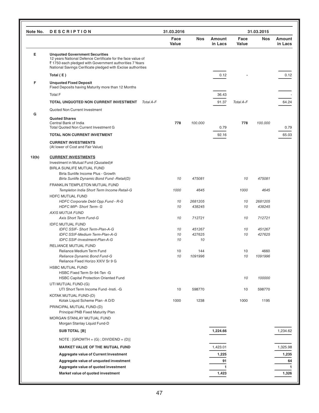| Note No. | <b>DESCRIPTION</b>                                                                                                                                                                                                            | 31.03.2016    |                   |                          |               | 31.03.2015        |                   |
|----------|-------------------------------------------------------------------------------------------------------------------------------------------------------------------------------------------------------------------------------|---------------|-------------------|--------------------------|---------------|-------------------|-------------------|
|          |                                                                                                                                                                                                                               | Face<br>Value | <b>Nos</b>        | <b>Amount</b><br>in Lacs | Face<br>Value | <b>Nos</b>        | Amount<br>in Lacs |
| Е        | <b>Unquoted Government Securities</b><br>12 years National Defence Certificate for the face value of<br>₹1750 each pledged with Government authorities 7 Years<br>National Savings Cerificate pledged with Excise authorities |               |                   |                          |               |                   |                   |
|          | Total (E)                                                                                                                                                                                                                     |               |                   | 0.12                     |               |                   | 0.12              |
| F        | <b>Unquoted Fixed Deposit</b><br>Fixed Deposits having Maturity more than 12 Months                                                                                                                                           |               |                   |                          |               |                   |                   |
|          | <b>Total F</b>                                                                                                                                                                                                                |               |                   | 36.43                    |               |                   |                   |
|          | TOTAL UNQUOTED NON CURRENT INVESTMENT<br>Total A-F                                                                                                                                                                            |               |                   | 91.37                    | Total A-F     |                   | 64.24             |
|          | Quoted Non Current Investment                                                                                                                                                                                                 |               |                   |                          |               |                   |                   |
| G        | <b>Quoted Shares</b><br>Central Bank of India<br><b>Total Quoted Non Current Investment G</b>                                                                                                                                 | 778           | 100.000           | 0.79                     | 778           | 100.000           | 0.79              |
|          | TOTAL NON CURRENT INVETMENT                                                                                                                                                                                                   |               |                   | 92.16                    |               |                   | 65.03             |
|          | <b>CURRENT INVESTMENTS</b><br>(At lower of Cost and Fair Value)                                                                                                                                                               |               |                   |                          |               |                   |                   |
| 12(b)    | <b>CURRENT INVESTMENTS</b><br>Investment in Mutual Fund (Quoated)#<br>BIRLA SUNLIFE MUTUAL FUND<br>Birla Sunlife Income Plus - Growth                                                                                         |               |                   |                          |               |                   |                   |
|          | Birla Sunlife Dynamic Bond Fund -Retail(D)                                                                                                                                                                                    | 10            | 475081            |                          | 10            | 475081            |                   |
|          | FRANKLIN TEMPLETON MUTUAL FUND<br>Templeton India Short Term Income Retail-G                                                                                                                                                  | 1000          | 4645              |                          | 1000          | 4645              |                   |
|          | HDFC MUTUAL FUND                                                                                                                                                                                                              |               |                   |                          |               |                   |                   |
|          | HDFC Corporate Debt Opp.Fund - R-G<br><b>HDFC MIP- Short Term- G</b>                                                                                                                                                          | 10<br>10      | 2681205<br>438245 |                          | 10<br>10      | 2681205<br>438245 |                   |
|          | <b>AXIS MUTUA FUND</b>                                                                                                                                                                                                        |               |                   |                          |               |                   |                   |
|          | Axis Short Term Fund-G                                                                                                                                                                                                        | 10            | 712721            |                          | 10            | 712721            |                   |
|          | <b>IDFC MUTUAL FUND</b><br>IDFC SSIF-Short Term-Plan-A-G                                                                                                                                                                      | 10            | 451267            |                          | 10            | 451267            |                   |
|          | IDFC SSIF-Medium Term-Plan-A-G                                                                                                                                                                                                | 10            | 427625            |                          | 10            | 427625            |                   |
|          | <b>IDFC SSIF-Investment-Plan-A-G</b>                                                                                                                                                                                          | 10            | 10                |                          |               |                   |                   |
|          | RELIANCE MUTUAL FUND<br><b>Reliance Medium Term Fund</b>                                                                                                                                                                      | 10            | 144               |                          | 10            | 4660              |                   |
|          | Reliance Dynamic Bond Fund-G<br>Reliance Fixed Horizo XXIV Sr 9 G                                                                                                                                                             | 10            | 1091996           |                          | 10            | 1091996           |                   |
|          | <b>HSBC MUTUAL FUND</b><br>HSBC Fixed Term Sr-94-Ten -G<br>HSBC Capital Protection Oriented Fund                                                                                                                              |               |                   |                          | 10            | 100000            |                   |
|          | UTI MUTUAL FUND-(G)<br>UTI Short Term Income Fund -Insti. - G                                                                                                                                                                 | 10            | 598770            |                          | 10            | 598770            |                   |
|          | KOTAK MUTUAL FUND-(D)<br>Kotak Liquid Scheme Plan - A D/D                                                                                                                                                                     | 1000          | 1238              |                          | 1000          | 1195              |                   |
|          | PRINCIPAL MUTUAL FUND-(D)<br>Principal PNB Fixed Maturity Plan                                                                                                                                                                |               |                   |                          |               |                   |                   |
|          | MORGAN STANLAY MUTUAL FUND<br>Morgan Stanlay Liquid Fund-D                                                                                                                                                                    |               |                   |                          |               |                   |                   |
|          | SUB TOTAL [B]                                                                                                                                                                                                                 |               |                   | 1,224.66                 |               |                   | 1,234.62          |
|          | NOTE : [GROWTH = $(G)$ ; DIVIDEND = $(D)$ ]                                                                                                                                                                                   |               |                   |                          |               |                   |                   |
|          | <b>MARKET VALUE OF THE MUTUAL FUND</b>                                                                                                                                                                                        |               |                   | 1,423.01                 |               |                   | 1,325.98          |
|          | <b>Aggregate value of Current Investment</b>                                                                                                                                                                                  |               |                   | 1,225                    |               |                   | 1,235             |
|          | Aggregate value of unquoted investment                                                                                                                                                                                        |               |                   | 91                       |               |                   | 64                |
|          | Aggregate value of quoted investment                                                                                                                                                                                          |               |                   | $\mathbf{1}$             |               |                   | 1                 |
|          | Market value of quoted investment                                                                                                                                                                                             |               |                   | 1,423                    |               |                   | 1,326             |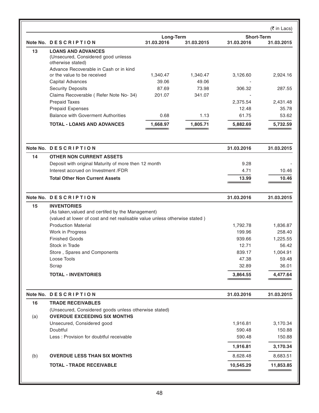|     |                                                                                              |                         |            |                                 | $(5 \in \text{Ln}$ Lacs) |
|-----|----------------------------------------------------------------------------------------------|-------------------------|------------|---------------------------------|--------------------------|
|     | Note No. DESCRIPTION                                                                         | Long-Term<br>31.03.2016 | 31.03.2015 | <b>Short-Term</b><br>31.03.2016 | 31.03.2015               |
| 13  | <b>LOANS AND ADVANCES</b><br>(Unsecured, Considered good unlesss<br>otherwise stated)        |                         |            |                                 |                          |
|     | Advance Recoverable in Cash or in kind<br>or the value to be received                        | 1,340.47                | 1,340.47   | 3,126.60                        | 2,924.16                 |
|     | Capital Advances                                                                             | 39.06                   | 49.06      |                                 |                          |
|     | <b>Security Deposits</b>                                                                     | 87.69                   | 73.98      | 306.32                          | 287.55                   |
|     | Claims Recoverable ( Refer Note No- 34)                                                      | 201.07                  | 341.07     |                                 |                          |
|     | <b>Prepaid Taxes</b>                                                                         |                         |            | 2,375.54                        | 2,431.48                 |
|     | <b>Prepaid Expenses</b>                                                                      |                         |            | 12.48                           | 35.78                    |
|     | <b>Balance with Goverment Authorities</b>                                                    | 0.68                    | 1.13       | 61.75                           | 53.62                    |
|     | <b>TOTAL - LOANS AND ADVANCES</b>                                                            | 1,668.97                | 1,805.71   | 5,882.69                        | 5,732.59                 |
|     | Note No. DESCRIPTION                                                                         |                         |            | 31.03.2016                      | 31.03.2015               |
| 14  | <b>OTHER NON CURRENT ASSETS</b>                                                              |                         |            |                                 |                          |
|     | Deposit with original Maturity of more then 12 month                                         |                         |            | 9.28                            |                          |
|     | Interest accrued on Investment /FDR                                                          |                         |            | 4.71                            | 10.46                    |
|     | <b>Total Other Non Current Assets</b>                                                        |                         |            | 13.99                           | 10.46                    |
|     |                                                                                              |                         |            |                                 |                          |
|     | Note No. DESCRIPTION                                                                         |                         |            | 31.03.2016                      | 31.03.2015               |
| 15  | <b>INVENTORIES</b><br>(As taken, valued and certifed by the Management)                      |                         |            |                                 |                          |
|     | (valued at lower of cost and net realisable value unless otherwise stated)                   |                         |            |                                 |                          |
|     | <b>Production Material</b>                                                                   |                         |            | 1,792.78                        | 1,836.87                 |
|     | Work in Progress                                                                             |                         |            | 199.96                          | 258.40                   |
|     | <b>Finished Goods</b>                                                                        |                         |            | 939.66                          | 1,225.55                 |
|     | Stock in Trade                                                                               |                         |            | 12.71                           | 56.42                    |
|     | Store, Spares and Components                                                                 |                         |            | 839.17                          | 1,004.91                 |
|     | Loose Tools                                                                                  |                         |            | 47.38                           | 59.48                    |
|     | Scrap                                                                                        |                         |            | 32.89                           | 36.01                    |
|     | <b>TOTAL - INVENTORIES</b>                                                                   |                         |            | 3,864.55                        | 4,477.64                 |
|     | Note No. DESCRIPTION                                                                         |                         |            | 31.03.2016                      | 31.03.2015               |
| 16  | <b>TRADE RECEIVABLES</b>                                                                     |                         |            |                                 |                          |
| (a) | (Unsecured, Considered goods unless otherwise stated)<br><b>OVERDUE EXCEEDING SIX MONTHS</b> |                         |            |                                 |                          |
|     | Unsecured, Considered good                                                                   |                         |            | 1,916.81                        | 3,170.34                 |
|     | Doubtful                                                                                     |                         |            | 590.48                          | 150.88                   |
|     | Less: Provision for doubtful receivable                                                      |                         |            | 590.48                          | 150.88                   |
|     |                                                                                              |                         |            | 1,916.81                        | 3,170.34                 |
| (b) | <b>OVERDUE LESS THAN SIX MONTHS</b>                                                          |                         |            | 8,628.48                        | 8,683.51                 |
|     | <b>TOTAL - TRADE RECEIVABLE</b>                                                              |                         |            | 10,545.29                       | 11,853.85                |
|     |                                                                                              |                         |            |                                 |                          |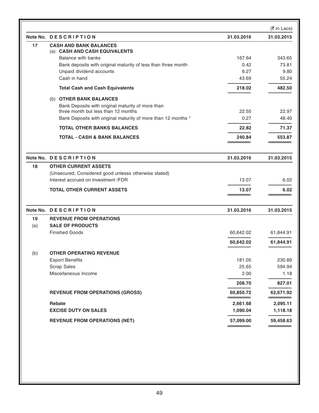|     | Note No. DESCRIPTION                                          | 31.03.2016 | 31.03.2015 |
|-----|---------------------------------------------------------------|------------|------------|
| 17  | <b>CASH AND BANK BALANCES</b>                                 |            |            |
|     | (a) CASH AND CASH EQUIVALENTS                                 |            |            |
|     | Balance with banks                                            | 167.64     | 343.65     |
|     | Bank deposits with original maturity of less than three month | 0.42       | 73.81      |
|     | Unpaid dividend accounts                                      | 6.27       | 9.80       |
|     | Cash in hand                                                  | 43.69      | 55.24      |
|     | <b>Total Cash and Cash Equivalents</b>                        | 218.02     | 482.50     |
|     | (b) OTHER BANK BALANCES                                       |            |            |
|     | Bank Deposits with original maturity of more than             |            |            |
|     | three month but less than 12 months                           | 22.55      | 22.97      |
|     | Bank Deposits with original maturity of more than 12 months * | 0.27       | 48.40      |
|     | <b>TOTAL OTHER BANKS BALANCES</b>                             | 22.82      | 71.37      |
|     | <b>TOTAL - CASH &amp; BANK BALANCES</b>                       | 240.84     | 553.87     |
|     |                                                               |            |            |
|     | Note No. DESCRIPTION                                          | 31.03.2016 | 31.03.2015 |
| 18  | <b>OTHER CURRENT ASSETS</b>                                   |            |            |
|     | (Unsecured, Considered good unlesss otherwise stated)         |            |            |
|     | Interest accrued on Investment /FDR                           | 13.07      | 6.02       |
|     | <b>TOTAL OTHER CURRENT ASSETS</b>                             | 13.07      | 6.02       |
|     |                                                               |            |            |
|     | Note No. DESCRIPTION                                          | 31.03.2016 | 31.03.2015 |
| 19  | <b>REVENUE FROM OPERATIONS</b>                                |            |            |
| (a) | <b>SALE OF PRODUCTS</b>                                       |            |            |
|     | <b>Finished Goods</b>                                         | 60,642.02  | 61,844.91  |
|     |                                                               | 60,642.02  | 61,844.91  |
|     |                                                               |            |            |
| (b) | <b>OTHER OPERATING REVENUE</b>                                |            |            |
|     | <b>Export Benefits</b>                                        | 181.05     | 230.89     |
|     | <b>Scrap Sales</b>                                            | 25.65      | 594.94     |
|     | Miscellaneous Income                                          | 2.00       | 1.18       |
|     |                                                               | 208.70     | 827.01     |
|     | <b>REVENUE FROM OPERATIONS (GROSS)</b>                        | 60,850.72  | 62,671.92  |
|     | <b>Rebate</b>                                                 | 2,661.68   | 2,095.11   |
|     | <b>EXCISE DUTY ON SALES</b>                                   | 1,090.04   | 1,118.18   |
|     | <b>REVENUE FROM OPERATIONS (NET)</b>                          | 57,099.00  | 59,458.63  |
|     |                                                               |            |            |
|     |                                                               |            |            |
|     |                                                               |            |            |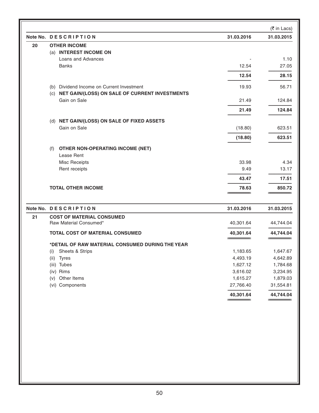|    |                                                                            |            | (₹ in Lacs) |
|----|----------------------------------------------------------------------------|------------|-------------|
|    | Note No. DESCRIPTION                                                       | 31.03.2016 | 31.03.2015  |
| 20 | <b>OTHER INCOME</b>                                                        |            |             |
|    | (a) INTEREST INCOME ON                                                     |            |             |
|    | Loans and Advances                                                         |            | 1.10        |
|    | <b>Banks</b>                                                               | 12.54      | 27.05       |
|    |                                                                            | 12.54      | 28.15       |
|    | (b) Dividend Income on Current Investment                                  | 19.93      | 56.71       |
|    | (c) NET GAIN/(LOSS) ON SALE OF CURRENT INVESTMENTS                         |            |             |
|    | Gain on Sale                                                               | 21.49      | 124.84      |
|    |                                                                            | 21.49      | 124.84      |
|    | (d) NET GAIN/(LOSS) ON SALE OF FIXED ASSETS                                |            |             |
|    | Gain on Sale                                                               | (18.80)    | 623.51      |
|    |                                                                            | (18.80)    | 623.51      |
|    | <b>OTHER NON-OPERATING INCOME (NET)</b>                                    |            |             |
|    | (f)<br>Lease Rent                                                          |            |             |
|    | <b>Misc Receipts</b>                                                       | 33.98      | 4.34        |
|    | Rent receipts                                                              | 9.49       | 13.17       |
|    |                                                                            | 43.47      | 17.51       |
|    | <b>TOTAL OTHER INCOME</b>                                                  | 78.63      | 850.72      |
|    |                                                                            |            |             |
|    | Note No. DESCRIPTION                                                       | 31.03.2016 | 31.03.2015  |
| 21 | <b>COST OF MATERIAL CONSUMED</b>                                           |            |             |
|    | Raw Material Consumed*                                                     | 40,301.64  | 44,744.04   |
|    | TOTAL COST OF MATERIAL CONSUMED                                            | 40,301.64  | 44,744.04   |
|    |                                                                            |            |             |
|    | *DETAIL OF RAW MATERIAL CONSUMED DURING THE YEAR<br>Sheets & Strips<br>(i) | 1,183.65   | 1,647.67    |
|    | <b>Tyres</b><br>(ii)                                                       | 4,493.19   | 4,642.89    |
|    | (iii) Tubes                                                                | 1,627.12   | 1,784.68    |
|    | (iv) Rims                                                                  | 3,616.02   | 3,234.95    |
|    | Other Items<br>(v)                                                         | 1,615.27   | 1,879.03    |
|    | (vi) Components                                                            | 27,766.40  | 31,554.81   |
|    |                                                                            | 40,301.64  | 44,744.04   |
|    |                                                                            |            |             |
|    |                                                                            |            |             |
|    |                                                                            |            |             |
|    |                                                                            |            |             |
|    |                                                                            |            |             |
|    |                                                                            |            |             |
|    |                                                                            |            |             |
|    |                                                                            |            |             |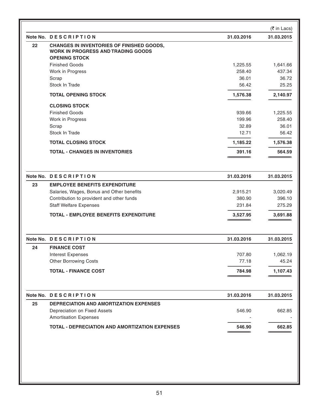|    | Note No. DESCRIPTION                                         | 31.03.2016 | 31.03.2015        |
|----|--------------------------------------------------------------|------------|-------------------|
| 22 | <b>CHANGES IN INVENTORIES OF FINISHED GOODS,</b>             |            |                   |
|    | <b>WORK IN PROGRESS AND TRADING GOODS</b>                    |            |                   |
|    | <b>OPENING STOCK</b>                                         |            |                   |
|    | <b>Finished Goods</b>                                        | 1,225.55   | 1,641.66          |
|    | Work in Progress                                             | 258.40     | 437.34            |
|    | Scrap                                                        | 36.01      | 36.72             |
|    | Stock In Trade                                               | 56.42      | 25.25             |
|    | <b>TOTAL OPENING STOCK</b>                                   | 1,576.38   | 2,140.97          |
|    | <b>CLOSING STOCK</b>                                         |            |                   |
|    | <b>Finished Goods</b>                                        | 939.66     | 1,225.55          |
|    | Work in Progress                                             | 199.96     | 258.40            |
|    | Scrap                                                        | 32.89      | 36.01             |
|    | Stock In Trade                                               | 12.71      | 56.42             |
|    | <b>TOTAL CLOSING STOCK</b>                                   | 1,185.22   | 1,576.38          |
|    | <b>TOTAL - CHANGES IN INVENTORIES</b>                        | 391.16     | 564.59            |
|    |                                                              |            |                   |
|    | Note No. DESCRIPTION                                         | 31.03.2016 | 31.03.2015        |
| 23 | <b>EMPLOYEE BENEFITS EXPENDITURE</b>                         |            |                   |
|    | Salaries, Wages, Bonus and Other benefits                    | 2,915.21   | 3,020.49          |
|    | Contribution to provident and other funds                    | 380.90     | 396.10            |
|    | <b>Staff Welfare Expenses</b>                                | 231.84     | 275.29            |
|    |                                                              |            |                   |
|    | <b>TOTAL - EMPLOYEE BENEFITS EXPENDITURE</b>                 | 3,527.95   | 3,691.88          |
|    | Note No. DESCRIPTION                                         | 31.03.2016 | 31.03.2015        |
|    |                                                              |            |                   |
| 24 | <b>FINANCE COST</b>                                          | 707.80     |                   |
|    | <b>Interest Expenses</b><br><b>Other Borrowing Costs</b>     |            | 1,062.19<br>45.24 |
|    |                                                              | 77.18      |                   |
|    | <b>TOTAL - FINANCE COST</b>                                  | 784.98     | 1,107.43          |
|    |                                                              |            |                   |
|    | Note No. DESCRIPTION                                         | 31.03.2016 | 31.03.2015        |
| 25 | <b>DEPRECIATION AND AMORTIZATION EXPENSES</b>                |            |                   |
|    | Depreciation on Fixed Assets<br><b>Amortisation Expenses</b> | 546.90     | 662.85            |
|    |                                                              | 546.90     | 662.85            |
|    | TOTAL - DEPRECIATION AND AMORTIZATION EXPENSES               |            |                   |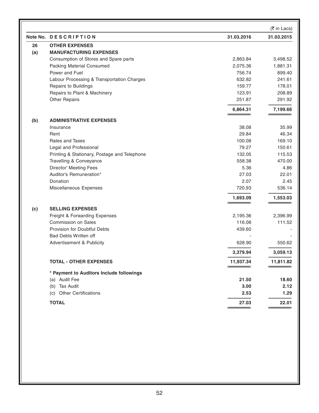|     | Note No. DESCRIPTION                         | 31.03.2016 | 31.03.2015 |
|-----|----------------------------------------------|------------|------------|
| 26  | <b>OTHER EXPENSES</b>                        |            |            |
| (a) | <b>MANUFACTURING EXPENSES</b>                |            |            |
|     | Consumption of Stores and Spare parts        | 2,863.84   | 3,498.52   |
|     | Packing Material Consumed                    | 2,075.36   | 1,881.31   |
|     | Power and Fuel                               | 756.74     | 899.40     |
|     | Labour Processing & Transportation Charges   | 632.82     | 241.61     |
|     | Repairs to Buildings                         | 159.77     | 178.01     |
|     | Repairs to Plant & Machinery                 | 123.91     | 208.89     |
|     | <b>Other Repairs</b>                         | 251.87     | 291.92     |
|     |                                              | 6,864.31   | 7,199.66   |
| (b) | <b>ADMINISTRATIVE EXPENSES</b>               |            |            |
|     | Insurance                                    | 38.08      | 35.99      |
|     | Rent                                         | 29.84      | 46.34      |
|     | Rates and Taxes                              | 100.08     | 169.10     |
|     | Legal and Professional                       | 79.27      | 150.61     |
|     | Printing & Stationary, Postage and Telephone | 132.05     | 115.53     |
|     | Travelling & Conveyance                      | 558.38     | 470.00     |
|     | <b>Director' Meeting Fees</b>                | 5.36       | 4.86       |
|     | Auditor's Remuneration*                      | 27.03      | 22.01      |
|     | Donation                                     | 2.07       | 2.45       |
|     | Miscellaneous Expenses                       | 720.93     | 536.14     |
|     |                                              | 1,693.09   | 1,553.03   |
| (c) | <b>SELLING EXPENSES</b>                      |            |            |
|     | Freight & Forwarding Expenses                | 2,195.36   | 2,396.99   |
|     | <b>Commission on Sales</b>                   | 116.08     | 111.52     |
|     | Provision for Doubtful Debts                 | 439.60     |            |
|     | <b>Bad Debts Written off</b>                 |            |            |
|     | Advertisement & Publicity                    | 628.90     | 550.62     |
|     |                                              | 3,379.94   | 3,059.13   |
|     | <b>TOTAL - OTHER EXPENSES</b>                | 11,937.34  | 11,811.82  |
|     | * Payment to Auditors Include followings     |            |            |
|     | (a) Audit Fee                                | 21.50      | 18.60      |
|     | (b) Tax Audit                                | 3.00       | 2.12       |
|     | (c) Other Certifications                     | 2.53       | 1.29       |
|     | <b>TOTAL</b>                                 | 27.03      | 22.01      |
|     |                                              |            |            |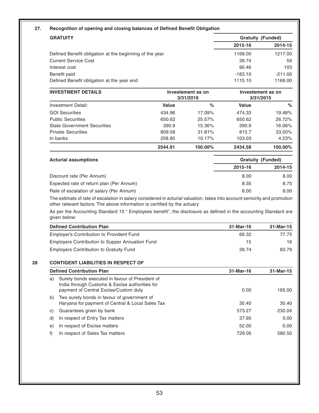# **27. Recognition of opening and closing balances of Defined Benefit Obligation**

| <b>GRATUITY</b>                                         | <b>Gratuity (Funded)</b> |           |
|---------------------------------------------------------|--------------------------|-----------|
|                                                         | 2015-16                  | 2014-15   |
| Defined Benefit obligation at the beginning of the year | 1168.00                  | 1217.00   |
| <b>Current Service Cost</b>                             | 39.74                    | 59        |
| Interest cost                                           | 90.46                    | 103       |
| Benefit paid                                            | $-183.10$                | $-211.00$ |
| Defined Benefit obligation at the year end              | 1115.10                  | 1168.00   |

| <b>INVESTMENT DETAILS</b>          |              | Investement as on<br>3/31/2016 | Investement as on<br>3/31/2015 |         |
|------------------------------------|--------------|--------------------------------|--------------------------------|---------|
| Investment Detail:                 | <b>Value</b> | $\%$                           | <b>Value</b>                   | $\%$    |
| <b>GOI Securities</b>              | 434.96       | 17.09%                         | 474.33                         | 19.48%  |
| <b>Public Securities</b>           | 650.62       | 25.57%                         | 650.62                         | 26.72%  |
| <b>State Government Securities</b> | 390.9        | 15.36%                         | 390.9                          | 16.06%  |
| <b>Private Securities</b>          | 809.58       | 31.81%                         | 815.7                          | 33.50%  |
| In banks                           | 258.85       | 10.17%                         | 103.03                         | 4.23%   |
|                                    | 2544.91      | 100.00%                        | 2434.58                        | 100.00% |

| <b>Acturial assumptions</b>              | <b>Gratuity (Funded)</b> |         |
|------------------------------------------|--------------------------|---------|
|                                          | 2015-16                  | 2014-15 |
| Discount rate (Per Annum)                | 8.00                     | 8.00    |
| Expected rate of return plan (Per Annum) | 8.35                     | 8.75    |
| Rate of escalation of salary (Per Annum) | 8.00                     | 8.00    |

The estimats of rate of escalation in salary considered in acturial valuation, takes into account seniority and promotion other relevant factors. The above information is certified by the actuary

As per the Accounting Standard 15 " Employees benefit", the disclosure as defined in the accounting Standard are given below:

| <b>Defined Contribution Plan</b>                | 31-Mar-16 | 31-Mar-15 |
|-------------------------------------------------|-----------|-----------|
| Employer's Contribution to Provident Fund       | 69.32     | 77.75     |
| Employers Contribution to Supper Annuation Fund | 15        | 16.       |
| Employers Contribution to Gratuity Fund         | 39.74     | 83.79     |

# **28 CONTIGENT LIABILITIES IN RESPECT OF**

|    | <b>Defined Contribution Plan</b>                                                                                                           | 31-Mar-16 | 31-Mar-15 |
|----|--------------------------------------------------------------------------------------------------------------------------------------------|-----------|-----------|
| a) | Surety bonds executed in favour of President of<br>India through Customs & Excise authorities for<br>payment of Central Excise/Custom duty | 0.00      | 165.00    |
| b) | Two surety bonds in favour of government of<br>Haryana for payment of Central & Local Sales Tax                                            | 30.40     | 30.40     |
| C) | Guarantees given by bank                                                                                                                   | 573.27    | 230.04    |
| d) | In respect of Entry Tax matters                                                                                                            | 37.95     | 0.00      |
| e) | In respect of Excise matters                                                                                                               | 52.00     | 0.00      |
|    | In respect of Sales Tax matters                                                                                                            | 729.05    | 580.50    |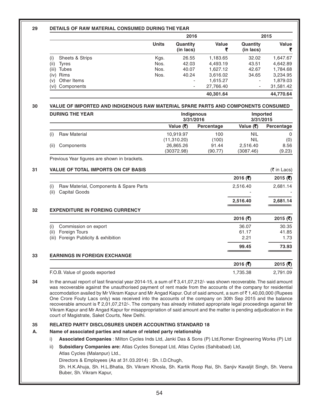#### **29 DETAILS OF RAW MATERIAL CONSUMED DURING THE YEAR**

|                                   |              | 2016                  |                   |                       | 2015              |  |  |
|-----------------------------------|--------------|-----------------------|-------------------|-----------------------|-------------------|--|--|
|                                   | <b>Units</b> | Quantity<br>(in lacs) | <b>Value</b><br>₹ | Quantity<br>(in lacs) | <b>Value</b><br>₹ |  |  |
| <b>Sheets &amp; Strips</b><br>(i) | Kgs.         | 26.55                 | 1,183.65          | 32.02                 | 1,647.67          |  |  |
| (ii)<br>Tyres                     | Nos.         | 42.03                 | 4,493.19          | 43.51                 | 4.642.89          |  |  |
| (iii)<br>Tubes                    | Nos.         | 40.07                 | 1,627.12          | 42.67                 | 1,784.68          |  |  |
| (iv)<br>Rims                      | Nos.         | 40.24                 | 3,616.02          | 34.65                 | 3,234.95          |  |  |
| Other Items<br>(v)                |              | ٠                     | 1,615.27          | ٠                     | 1,879.03          |  |  |
| (vi) Components                   |              | ۰                     | 27,766.40         | ۰                     | 31,581.42         |  |  |
|                                   |              |                       | 40,301.64         |                       | 44,770.64         |  |  |

# **30 VALUE OF IMPORTED AND INDIGENOUS RAW MATERIAL SPARE PARTS AND COMPONENTS CONSUMED**

| <b>DURING THE YEAR</b> |                     |             | Indigenous<br>3/31/2016 |                                 |            |
|------------------------|---------------------|-------------|-------------------------|---------------------------------|------------|
|                        |                     | Value (₹)   | Percentage              | Value $(\overline{\mathbf{x}})$ | Percentage |
| (i)                    | <b>Raw Material</b> | 10.919.97   | 100                     | <b>NIL</b>                      | 0          |
|                        |                     | (11,310.20) | (100)                   | <b>NIL</b>                      | (0)        |
| (ii)                   | Components          | 26,865.26   | 91.44                   | 2,516.40                        | 8.56       |
|                        |                     | (30372.98)  | (90.77)                 | (3087.46)                       | (9.23)     |

Previous Year figures are shown in brackets.

# **31 VALUE OF TOTAL IMPORTS ON CIF BASIS CONSUMING A SUMPLE OF TOTAL IMPORTS ON CIF BASIS CONSUMPLE A CONSUMPLE OF TOTAL**

|                                               | 2016 (₹)   | 2015 $(5)$ |
|-----------------------------------------------|------------|------------|
| Raw Material, Components & Spare Parts<br>(i) | 2,516.40   | 2,681.14   |
| Capital Goods<br>(ii)                         | -          |            |
|                                               | 2,516.40   | 2,681.14   |
| <b>EXPENDITURE IN FOREING CURRENCY</b>        |            |            |
|                                               | 2016 $(5)$ | 2015 $(5)$ |
| Commission on export<br>(i)                   | 36.07      | 30.35      |
| Foreign Tours<br>(ii)                         | 61.17      | 41.85      |
| Foreign Publicity & exhibition<br>(iii)       | 2.21       | 1.73       |
|                                               | 99.45      | 73.93      |
| <b>EARNINGS IN FOREIGN EXCHANGE</b>           |            |            |
|                                               | $2016$ (₹) | 2015(      |

| F.O.B. Value of goods exported | 1,735.38 | 2,791.09 |
|--------------------------------|----------|----------|
|                                |          |          |

**34** In the annual report of last financial year 2014-15, a sum of ₹ 3,41,07,212/- was shown recoverable. The said amount was recoverable against the unauthorised payment of rent made from the accounts of the company for residential accomodation availed by Mr Vikram Kapur and Mr Angad Kapur. Out of said amount, a sum of ₹1,40,00,000 (Rupees One Crore Fouty Lacs only) was received into the accounts of the company on 30th Sep 2015 and the balance recoverable amount is  $\bar{\tau}$  2,01,07,212/-. The company has already initiated appropriate legal proceedings against Mr Vikram Kapur and Mr Angad Kapur for misappropriation of said amount and the matter is pending adjudication in the court of Magistrate, Saket Courts, New Delhi.

# **35 RELATED PARTY DISCLOSURES UNDER ACCOUNTING STANDARD 18**

# **A. Name of associated parties and nature of related party relationship**

- i) **Associated Companies** : Milton Cycles Inds Ltd, Janki Das & Sons (P) Ltd,Romer Engineering Works (P) Ltd
- ii) **Subsidiary Companies are:** Atlas Cycles Sonepat Ltd, Atlas Cycles (Sahibabad) Ltd,
	- Atlas Cycles (Malanpur) Ltd.,

Directors & Employees (As at 31.03.2014) : Sh. I.D.Chugh,

Sh. H.K.Ahuja, Sh. H.L.Bhatia, Sh. Vikram Khosla, Sh. Kartik Roop Rai, Sh. Sanjiv Kavaljit Singh, Sh. Veena Buber, Sh. Vikram Kapur,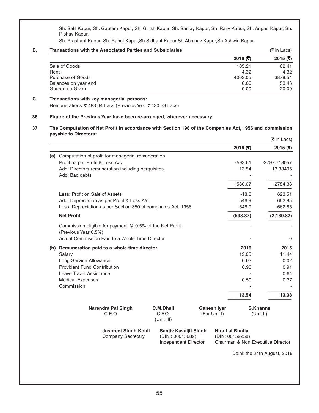Sh. Salil Kapur, Sh. Gautam Kapur, Sh. Girish Kapur, Sh. Sanjay Kapur, Sh. Rajiv Kapur, Sh. Angad Kapur, Sh. Rishav Kapur,

Sh. Prashant Kapur, Sh. Rahul Kapur,Sh.Sidhant Kapur,Sh.Abhinav Kapur,Sh.Ashwin Kapur.

| Transactions with the Associated Parties and Subsidiaries |            | (₹ in Lacs) |
|-----------------------------------------------------------|------------|-------------|
|                                                           | 2016 $(5)$ | 2015 $(5)$  |
| Sale of Goods                                             | 105.21     | 62.41       |
| Rent                                                      | 4.32       | 4.32        |
| Purchase of Goods                                         | 4003.05    | 3878.54     |
| Balances on year end                                      | 0.00       | 53.46       |
| Guarantee Given                                           | 0.00       | 20.00       |

# **C. Transactions with key managerial persons:**

Remunerations: ₹ 483.64 Lacs (Previous Year ₹ 430.59 Lacs)

# **36 Figure of the Previous Year have been re-arranged, wherever necessary.**

**37 The Computation of Net Profit in accordance with Section 198 of the Companies Act, 1956 and commission payable to Directors:**  $(\bar{\bar{\tau}}$  in Lacs)

|                                                                                  |                                                                  |                                    |                 | $(1 \text{ m} \text{sec})$        |
|----------------------------------------------------------------------------------|------------------------------------------------------------------|------------------------------------|-----------------|-----------------------------------|
|                                                                                  |                                                                  |                                    | 2016 $(5)$      | 2015 $(5)$                        |
| (a) Computation of profit for managerial remuneration                            |                                                                  |                                    |                 |                                   |
| Profit as per Profit & Loss A/c                                                  |                                                                  |                                    | $-593.61$       | -2797.718057                      |
| Add: Directors remuneration including perquisites                                |                                                                  |                                    | 13.54           | 13.38495                          |
| Add: Bad debts                                                                   |                                                                  |                                    |                 |                                   |
|                                                                                  |                                                                  |                                    | $-580.07$       | $-2784.33$                        |
| Less: Profit on Sale of Assets                                                   |                                                                  |                                    | $-18.8$         | 623.51                            |
| Add: Depreciation as per Profit & Loss A/c                                       |                                                                  |                                    | 546.9           | 662.85                            |
| Less: Depreciation as per Section 350 of companies Act, 1956                     |                                                                  |                                    | $-546.9$        | $-662.85$                         |
| <b>Net Profit</b>                                                                |                                                                  |                                    | (598.87)        | (2, 160.82)                       |
| Commission eligible for payment @ 0.5% of the Net Profit<br>(Previous Year 0.5%) |                                                                  |                                    |                 |                                   |
| Actual Commission Paid to a Whole Time Director                                  |                                                                  |                                    |                 | $\Omega$                          |
| (b) Remuneration paid to a whole time director                                   |                                                                  |                                    | 2016            | 2015                              |
| Salary                                                                           |                                                                  |                                    | 12.05           | 11.44                             |
| Long Service Allowance                                                           |                                                                  |                                    | 0.03            | 0.02                              |
| <b>Provident Fund Contribution</b>                                               |                                                                  |                                    | 0.96            | 0.91                              |
| Leave Travel Assistance                                                          |                                                                  |                                    |                 | 0.64                              |
| <b>Medical Expenses</b>                                                          |                                                                  |                                    | 0.50            | 0.37                              |
| Commission                                                                       |                                                                  |                                    |                 |                                   |
|                                                                                  |                                                                  |                                    | 13.54           | 13.38                             |
| <b>Narendra Pal Singh</b><br>C.E.O                                               | C.M.Dhall<br>C.F.O.<br>(Unit III)                                | <b>Ganesh lyer</b><br>(For Unit I) |                 | S.Khanna<br>(Unit II)             |
| <b>Jaspreet Singh Kohli</b><br><b>Company Secretary</b>                          | Sanjiv Kavaljit Singh<br>(DIN: 00015689)<br>Independent Director | <b>Hira Lal Bhatia</b>             | (DIN: 00159258) | Chairman & Non Executive Director |
|                                                                                  |                                                                  |                                    |                 | Delhi: the 24th August, 2016      |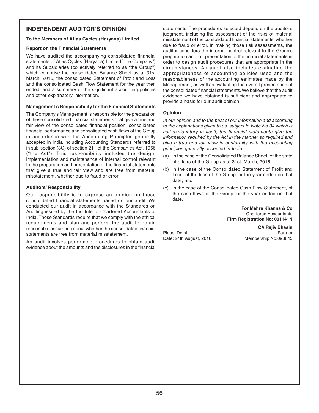# **INDEPENDENT AUDITOR'S OPINION**

# **To the Members of Atlas Cycles (Haryana) Limited**

# **Report on the Financial Statements**

We have audited the accompanying consolidated financial statements of Atlas Cycles (Haryana) Limited("the Company") and its Subsidiaries (collectively referred to as "the Group") which comprise the consolidated Balance Sheet as at 31st March, 2016, the consolidated Statement of Profit and Loss and the consolidated Cash Flow Statement for the year then ended, and a summary of the significant accounting policies and other explanatory information.

# **Management's Responsibility for the Financial Statements**

The Company's Management is responsible for the preparation of these consolidated financial statements that give a true and fair view of the consolidated financial position, consolidated financial performance and consolidated cash flows of the Group in accordance with the Accounting Principles generally accepted in India including Accounting Standards referred to in sub-section (3C) of section 211 of the Companies Act, 1956 ("the Act"). This responsibility includes the design, implementation and maintenance of internal control relevant to the preparation and presentation of the financial statements that give a true and fair view and are free from material misstatement, whether due to fraud or error.

# **Auditors' Responsibility**

Our responsibility is to express an opinion on these consolidated financial statements based on our audit. We conducted our audit in accordance with the Standards on Auditing issued by the Institute of Chartered Accountants of India. Those Standards require that we comply with the ethical requirements and plan and perform the audit to obtain reasonable assurance about whether the consolidated financial statements are free from material misstatement.

An audit involves performing procedures to obtain audit evidence about the amounts and the disclosures in the financial statements. The procedures selected depend on the auditor's judgment, including the assessment of the risks of material misstatement of the consolidated financial statements, whether due to fraud or error. In making those risk assessments, the auditor considers the internal control relevant to the Group's preparation and fair presentation of the financial statements in order to design audit procedures that are appropriate in the circumstances. An audit also includes evaluating the appropriateness of accounting policies used and the reasonableness of the accounting estimates made by the Management, as well as evaluating the overall presentation of the consolidated financial statements. We believe that the audit evidence we have obtained is sufficient and appropriate to provide a basis for our audit opinion.

# **Opinion**

*In our opinion and to the best of our information and according to the explanations given to us, subject to Note No 34 which is self-explanatory in itself, the financial statements give the information required by the Act in the manner so required and give a true and fair view in conformity with the accounting principles generally accepted in India:*

- (a) in the case of the Consolidated Balance Sheet, of the state of affairs of the Group as at 31st March, 2016;
- (b) in the case of the Consolidated Statement of Profit and Loss, of the loss of the Group for the year ended on that date, and
- (c) in the case of the Consolidated Cash Flow Statement, of the cash flows of the Group for the year ended on that date.

**For Mehra Khanna & Co** Chartered Accountants **Firm Registration No: 001141N**

Place: Delhi Partner Date: 24th August, 2016 Membership No:093845

**CA Rajiv Bhasin**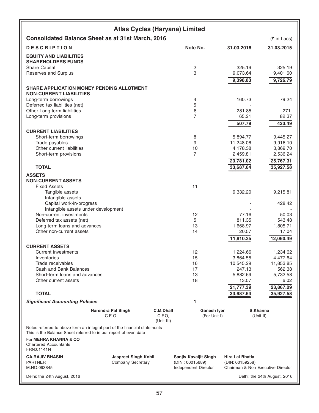| <b>Atlas Cycles (Haryana) Limited</b>                                                                                                         |                          |                      |                                         |                    |                    |                                   |
|-----------------------------------------------------------------------------------------------------------------------------------------------|--------------------------|----------------------|-----------------------------------------|--------------------|--------------------|-----------------------------------|
| <b>Consolidated Balance Sheet as at 31st March, 2016</b>                                                                                      |                          |                      |                                         |                    |                    | (₹ in Lacs)                       |
| <b>DESCRIPTION</b>                                                                                                                            |                          |                      | Note No.                                |                    | 31.03.2016         | 31.03.2015                        |
| <b>EQUITY AND LIABILITIES</b>                                                                                                                 |                          |                      |                                         |                    |                    |                                   |
| <b>SHAREHOLDERS FUNDS</b>                                                                                                                     |                          |                      |                                         |                    |                    |                                   |
| <b>Share Capital</b>                                                                                                                          |                          |                      | 2                                       |                    | 325.19             | 325.19                            |
| Reserves and Surplus                                                                                                                          |                          |                      | 3                                       |                    | 9,073.64           | 9,401.60<br>9,726.79              |
|                                                                                                                                               |                          |                      |                                         |                    | 9,398.83           |                                   |
| <b>SHARE APPLICATION MONEY PENDING ALLOTMENT</b><br><b>NON-CURRENT LIABILITIES</b>                                                            |                          |                      |                                         |                    |                    |                                   |
| Long-term borrowings                                                                                                                          |                          |                      | 4                                       |                    | 160.73             | 79.24                             |
| Deferred tax liabilities (net)                                                                                                                |                          |                      | 5                                       |                    |                    |                                   |
| Other Long term liabilities<br>Long-term provisions                                                                                           |                          |                      | $\,6\,$<br>$\overline{7}$               |                    | 281.85<br>65.21    | 271.<br>82.37                     |
|                                                                                                                                               |                          |                      |                                         |                    | 507.79             | 433.49                            |
|                                                                                                                                               |                          |                      |                                         |                    |                    |                                   |
| <b>CURRENT LIABILITIES</b><br>Short-term borrowings                                                                                           |                          |                      | 8                                       |                    | 5,894.77           | 9,445.27                          |
| Trade payables                                                                                                                                |                          |                      | 9                                       |                    | 11,248.06          | 9,916.10                          |
| Other current liabilities                                                                                                                     |                          |                      | 10                                      |                    | 4,178.38           | 3,869.70                          |
| Short-term provisions                                                                                                                         |                          |                      | $\overline{7}$                          |                    | 2,459.81           | 2,536.24                          |
|                                                                                                                                               |                          |                      |                                         |                    | 23,781.02          | 25,767.31                         |
| <b>TOTAL</b>                                                                                                                                  |                          |                      |                                         |                    | 33,687.64          | 35,927.58                         |
| <b>ASSETS</b><br><b>NON-CURRENT ASSETS</b>                                                                                                    |                          |                      |                                         |                    |                    |                                   |
| <b>Fixed Assets</b>                                                                                                                           |                          |                      | 11                                      |                    |                    |                                   |
| Tangible assets                                                                                                                               |                          |                      |                                         |                    | 9,332.20           | 9,215.81                          |
| Intangible assets                                                                                                                             |                          |                      |                                         |                    |                    |                                   |
| Capital work-in-progress<br>Intangible assets under development                                                                               |                          |                      |                                         |                    |                    | 428.42                            |
| Non-current investments                                                                                                                       |                          |                      | 12                                      |                    | 77.16              | 50.03                             |
| Deferred tax assets (net)                                                                                                                     |                          |                      | 5                                       |                    | 811.35             | 543.48                            |
| Long-term loans and advances                                                                                                                  |                          |                      | 13<br>14                                |                    | 1,668.97           | 1,805.71<br>17.04                 |
| Other non-current assets                                                                                                                      |                          |                      |                                         |                    | 20.57<br>11,910.25 | 12,060.49                         |
|                                                                                                                                               |                          |                      |                                         |                    |                    |                                   |
| <b>CURRENT ASSETS</b><br><b>Current investments</b>                                                                                           |                          |                      | 12                                      |                    | 1,224.66           | 1,234.62                          |
| Inventories                                                                                                                                   |                          |                      | 15                                      |                    | 3,864.55           | 4,477.64                          |
| Trade receivables                                                                                                                             |                          |                      | 16                                      |                    | 10,545.29          | 11,853.85                         |
| Cash and Bank Balances                                                                                                                        |                          |                      | 17                                      |                    | 247.13             | 562.38                            |
| Short-term loans and advances<br>Other current assets                                                                                         |                          |                      | 13<br>18                                |                    | 5,882.69<br>13.07  | 5,732.58<br>6.02                  |
|                                                                                                                                               |                          |                      |                                         |                    | 21,777.39          | 23,867.09                         |
| <b>TOTAL</b>                                                                                                                                  |                          |                      |                                         |                    | 33,687.64          | 35,927.58                         |
| <b>Significant Accounting Policies</b>                                                                                                        |                          |                      | 1                                       |                    |                    |                                   |
|                                                                                                                                               | Narendra Pal Singh       | C.M.Dhall            |                                         | <b>Ganesh Iyer</b> |                    | S.Khanna                          |
|                                                                                                                                               | C.E.O                    | C.F.O,<br>(Unit III) |                                         | (For Unit I)       |                    | (Unit II)                         |
| Notes referred to above form an integral part of the financial statements<br>This is the Balance Sheet referred to in our report of even date |                          |                      |                                         |                    |                    |                                   |
| For <b>MEHRA KHANNA &amp; CO</b><br><b>Chartered Accountants</b><br>FRN:01141N                                                                |                          |                      |                                         |                    |                    |                                   |
| <b>CA.RAJIV BHASIN</b>                                                                                                                        | Jaspreet Singh Kohli     |                      | Sanjiv Kavaljit Singh                   |                    | Hira Lal Bhatia    |                                   |
| <b>PARTNER</b><br>M.NO:093845                                                                                                                 | <b>Company Secretary</b> |                      | (DIN: 00015689)<br>Independent Director |                    | (DIN: 00159258)    | Chairman & Non Executive Director |
| Delhi: the 24th August, 2016                                                                                                                  |                          |                      |                                         |                    |                    | Delhi: the 24th August, 2016      |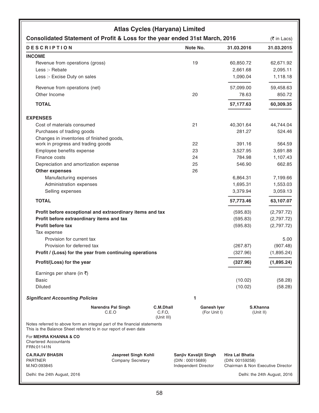|                                                                                                                                               |                                                  |                                          | <b>Atlas Cycles (Haryana) Limited</b>                            |                                                                                |                              |
|-----------------------------------------------------------------------------------------------------------------------------------------------|--------------------------------------------------|------------------------------------------|------------------------------------------------------------------|--------------------------------------------------------------------------------|------------------------------|
| Consolidated Statement of Profit & Loss for the year ended 31st March, 2016                                                                   |                                                  |                                          |                                                                  |                                                                                | (₹ in Lacs)                  |
| <b>DESCRIPTION</b>                                                                                                                            |                                                  |                                          | Note No.                                                         | 31.03.2016                                                                     | 31.03.2015                   |
| <b>INCOME</b>                                                                                                                                 |                                                  |                                          |                                                                  |                                                                                |                              |
| Revenue from operations (gross)                                                                                                               |                                                  |                                          | 19                                                               | 60,850.72                                                                      | 62,671.92                    |
| Less :- Rebate                                                                                                                                |                                                  |                                          |                                                                  | 2,661.68                                                                       | 2,095.11                     |
| Less :- Excise Duty on sales                                                                                                                  |                                                  |                                          |                                                                  | 1,090.04                                                                       | 1,118.18                     |
| Revenue from operations (net)                                                                                                                 |                                                  |                                          |                                                                  | 57,099.00                                                                      | 59,458.63                    |
| Other Income                                                                                                                                  |                                                  |                                          | 20                                                               | 78.63                                                                          | 850.72                       |
| <b>TOTAL</b>                                                                                                                                  |                                                  |                                          |                                                                  | 57,177.63                                                                      | 60,309.35                    |
|                                                                                                                                               |                                                  |                                          |                                                                  |                                                                                |                              |
| <b>EXPENSES</b>                                                                                                                               |                                                  |                                          |                                                                  |                                                                                |                              |
| Cost of materials consumed                                                                                                                    |                                                  |                                          | 21                                                               | 40,301.64<br>281.27                                                            | 44,744.04                    |
| Purchases of trading goods<br>Changes in inventories of finished goods,                                                                       |                                                  |                                          |                                                                  |                                                                                | 524.46                       |
| work in progress and trading goods                                                                                                            |                                                  |                                          | 22                                                               | 391.16                                                                         | 564.59                       |
| Employee benefits expense                                                                                                                     |                                                  |                                          | 23                                                               | 3,527.95                                                                       | 3,691.88                     |
| Finance costs                                                                                                                                 |                                                  |                                          | 24                                                               | 784.98                                                                         | 1,107.43                     |
| Depreciation and amortization expense                                                                                                         |                                                  |                                          | 25                                                               | 546.90                                                                         | 662.85                       |
| <b>Other expenses</b>                                                                                                                         |                                                  |                                          | 26                                                               |                                                                                |                              |
| Manufacturing expenses                                                                                                                        |                                                  |                                          |                                                                  | 6,864.31                                                                       | 7,199.66                     |
| Administration expenses                                                                                                                       |                                                  |                                          |                                                                  | 1,695.31                                                                       | 1,553.03                     |
| Selling expenses                                                                                                                              |                                                  |                                          |                                                                  | 3,379.94                                                                       | 3,059.13                     |
| <b>TOTAL</b>                                                                                                                                  |                                                  |                                          |                                                                  | 57,773.46                                                                      | 63,107.07                    |
| Profit before exceptional and extraordinary items and tax                                                                                     |                                                  |                                          |                                                                  | (595.83)                                                                       | (2,797.72)                   |
| Profit before extraordinary items and tax                                                                                                     |                                                  |                                          |                                                                  | (595.83)                                                                       | (2,797.72)                   |
| <b>Profit before tax</b>                                                                                                                      |                                                  |                                          |                                                                  | (595.83)                                                                       | (2,797.72)                   |
| Tax expense                                                                                                                                   |                                                  |                                          |                                                                  |                                                                                |                              |
| Provision for current tax                                                                                                                     |                                                  |                                          |                                                                  |                                                                                | 5.00                         |
| Provision for deferred tax                                                                                                                    |                                                  |                                          |                                                                  | (267.87)                                                                       | (907.48)                     |
| Profit / (Loss) for the year from continuing operations                                                                                       |                                                  |                                          |                                                                  | (327.96)                                                                       | (1,895.24)                   |
| Profit/(Loss) for the year                                                                                                                    |                                                  |                                          |                                                                  | (327.96)                                                                       | (1,895.24)                   |
| Earnings per share (in ₹)                                                                                                                     |                                                  |                                          |                                                                  |                                                                                |                              |
| <b>Basic</b>                                                                                                                                  |                                                  |                                          |                                                                  | (10.02)                                                                        | (58.28)                      |
| <b>Diluted</b>                                                                                                                                |                                                  |                                          |                                                                  | (10.02)                                                                        | (58.28)                      |
| <b>Significant Accounting Policies</b>                                                                                                        |                                                  |                                          | 1                                                                |                                                                                |                              |
|                                                                                                                                               | Narendra Pal Singh<br>C.E.O                      | <b>C.M.Dhall</b><br>C.F.O.<br>(Unit III) | <b>Ganesh Iyer</b><br>(For Unit I)                               |                                                                                | S.Khanna<br>(Unit II)        |
| Notes referred to above form an integral part of the financial statements<br>This is the Balance Sheet referred to in our report of even date |                                                  |                                          |                                                                  |                                                                                |                              |
| For MEHRA KHANNA & CO<br><b>Chartered Accountants</b><br>FRN:01141N                                                                           |                                                  |                                          |                                                                  |                                                                                |                              |
| <b>CA.RAJIV BHASIN</b><br><b>PARTNER</b><br>M.NO:093845                                                                                       | Jaspreet Singh Kohli<br><b>Company Secretary</b> |                                          | Sanjiv Kavaljit Singh<br>(DIN: 00015689)<br>Independent Director | <b>Hira Lal Bhatia</b><br>(DIN: 00159258)<br>Chairman & Non Executive Director |                              |
| Delhi: the 24th August, 2016                                                                                                                  |                                                  |                                          |                                                                  |                                                                                | Delhi: the 24th August, 2016 |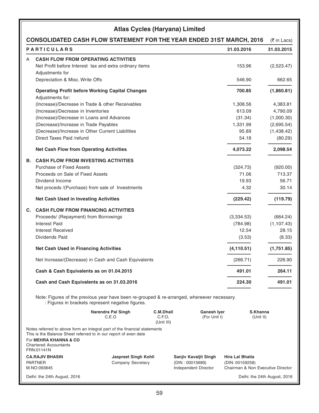|   |                                                                                                                                                                                                                                 | <b>Atlas Cycles (Haryana) Limited</b>    |                                         |                                    |                                                      |                              |
|---|---------------------------------------------------------------------------------------------------------------------------------------------------------------------------------------------------------------------------------|------------------------------------------|-----------------------------------------|------------------------------------|------------------------------------------------------|------------------------------|
|   | CONSOLIDATED CASH FLOW STATEMENT FOR THE YEAR ENDED 31ST MARCH, 2016                                                                                                                                                            |                                          |                                         |                                    |                                                      | $(5 \in \text{In}$ Lacs)     |
|   | <b>PARTICULARS</b>                                                                                                                                                                                                              |                                          |                                         |                                    | 31.03.2016                                           | 31.03.2015                   |
| A | <b>CASH FLOW FROM OPERATING ACTIVITIES</b>                                                                                                                                                                                      |                                          |                                         |                                    |                                                      |                              |
|   | Net Profit before Interest tax and extra ordinary items                                                                                                                                                                         |                                          |                                         |                                    | 153.96                                               | (2,523.47)                   |
|   | Adjustments for<br>Depreciation & Misc. Write Offs                                                                                                                                                                              |                                          |                                         |                                    | 546.90                                               | 662.65                       |
|   | <b>Operating Profit before Working Capital Changes</b>                                                                                                                                                                          |                                          |                                         |                                    | 700.85                                               | (1,860.81)                   |
|   | Adjustments for:                                                                                                                                                                                                                |                                          |                                         |                                    |                                                      |                              |
|   | (Increase)/Decrease in Trade & other Receivables                                                                                                                                                                                |                                          |                                         |                                    | 1,308.56                                             | 4,383.81                     |
|   | (Increase)/Decrease in Inventories                                                                                                                                                                                              |                                          |                                         |                                    | 613.09                                               | 4,790.09                     |
|   | (Increase)/Decrease in Loans and Advances                                                                                                                                                                                       |                                          |                                         |                                    | (31.34)                                              | (1,000.30)                   |
|   | (Decrease)/Increase in Trade Payables                                                                                                                                                                                           |                                          |                                         |                                    | 1,331.99                                             | (2,695.54)                   |
|   | (Decrease)/Increase in Other Current Liabilities                                                                                                                                                                                |                                          |                                         |                                    | 95.89                                                | (1,438.42)                   |
|   | Direct Taxes Paid /refund                                                                                                                                                                                                       |                                          |                                         |                                    | 54.18                                                | (80.29)                      |
|   | <b>Net Cash Flow from Operating Activities</b>                                                                                                                                                                                  |                                          |                                         |                                    | 4,073.22                                             | 2,098.54                     |
|   | <b>B. CASH FLOW FROM INVESTING ACTIVITIES</b>                                                                                                                                                                                   |                                          |                                         |                                    |                                                      |                              |
|   | Purchase of Fixed Assets                                                                                                                                                                                                        |                                          |                                         |                                    | (324.73)                                             | (920.00)                     |
|   | Proceeds on Sale of Fixed Assets                                                                                                                                                                                                |                                          |                                         |                                    | 71.06                                                | 713.37                       |
|   | Dividend Income                                                                                                                                                                                                                 |                                          |                                         |                                    | 19.93                                                | 56.71                        |
|   | Net proceds /(Purchase) from sale of Investments                                                                                                                                                                                |                                          |                                         |                                    | 4.32                                                 | 30.14                        |
|   | <b>Net Cash Used in Investing Activities</b>                                                                                                                                                                                    |                                          |                                         |                                    | (229.42)                                             | (119.79)                     |
|   | C. CASH FLOW FROM FINANCING ACTIVITIES                                                                                                                                                                                          |                                          |                                         |                                    |                                                      |                              |
|   | Proceeds/ (Repayment) from Borrowings                                                                                                                                                                                           |                                          |                                         |                                    | (3,334.53)                                           | (664.24)                     |
|   | <b>Interest Paid</b>                                                                                                                                                                                                            |                                          |                                         |                                    | (784.98)                                             | (1, 107.43)                  |
|   | <b>Interest Received</b>                                                                                                                                                                                                        |                                          |                                         |                                    | 12.54                                                | 28.15                        |
|   | Dividends Paid                                                                                                                                                                                                                  |                                          |                                         |                                    | (3.53)                                               | (8.33)                       |
|   | <b>Net Cash Used in Financing Activities</b>                                                                                                                                                                                    |                                          |                                         |                                    | (4, 110.51)                                          | (1,751.85)                   |
|   | Net Increase/(Decrease) in Cash and Cash Equivalents                                                                                                                                                                            |                                          |                                         |                                    | (266.71)                                             | 226.90                       |
|   | Cash & Cash Equivalents as on 01.04.2015                                                                                                                                                                                        |                                          |                                         |                                    | 491.01                                               | 264.11                       |
|   | Cash and Cash Equivalents as on 31.03.2016                                                                                                                                                                                      |                                          |                                         |                                    | 224.30                                               | 491.01                       |
|   | Note: Figures of the previous year have been re-grouped & re-arranged, whereever necessary.<br>: Figures in brackets represent negative figures.                                                                                |                                          |                                         |                                    |                                                      |                              |
|   | Narendra Pal Singh<br>C.E.O                                                                                                                                                                                                     | <b>C.M.Dhall</b><br>C.F.O.<br>(Unit III) |                                         | <b>Ganesh Iyer</b><br>(For Unit I) | S.Khanna<br>(Unit II)                                |                              |
|   | Notes referred to above form an integral part of the financial statements<br>This is the Balance Sheet referred to in our report of even date<br>For <b>MEHRA KHANNA &amp; CO</b><br><b>Chartered Accountants</b><br>FRN:01141N |                                          |                                         |                                    |                                                      |                              |
|   | <b>CA.RAJIV BHASIN</b><br><b>PARTNER</b>                                                                                                                                                                                        | Jaspreet Singh Kohli                     | Sanjiv Kavaljit Singh                   |                                    | Hira Lal Bhatia                                      |                              |
|   | M.NO:093845                                                                                                                                                                                                                     | <b>Company Secretary</b>                 | (DIN: 00015689)<br>Independent Director |                                    | (DIN: 00159258)<br>Chairman & Non Executive Director |                              |
|   | Delhi: the 24th August, 2016                                                                                                                                                                                                    |                                          |                                         |                                    |                                                      | Delhi: the 24th August, 2016 |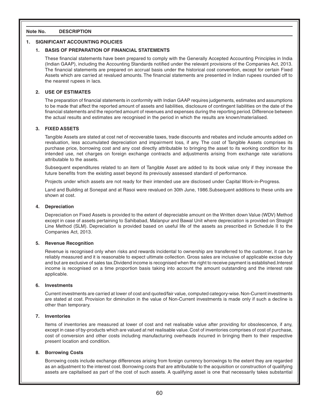#### **Note No. DESCRIPTION**

# **1. SIGNIFICANT ACCOUNTING POLICIES**

# **1. BASIS OF PREPARATION OF FINANCIAL STATEMENTS**

These financial statements have been prepared to comply with the Generally Accepted Accounting Principles in India (Indian GAAP), including the Accounting Standards notified under the relevant provisions of the Companies Act, 2013. The financial statements are prepared on accrual basis under the historical cost convention, except for certain Fixed Assets which are carried at revalued amounts. The financial statements are presented in Indian rupees rounded off to the nearest rupees in lacs.

# **2. USE OF ESTIMATES**

The preparation of financial statements in conformity with Indian GAAP requires judgements, estimates and assumptions to be made that affect the reported amount of assets and liabilities, disclosure of contingent liabilities on the date of the financial statements and the reported amount of revenues and expenses during the reporting period. Difference between the actual results and estimates are recognised in the period in which the results are known/materialised.

# **3. FIXED ASSETS**

Tangible Assets are stated at cost net of recoverable taxes, trade discounts and rebates and include amounts added on revaluation, less accumulated depreciation and impairment loss, if any. The cost of Tangible Assets comprises its purchase price, borrowing cost and any cost directly attributable to bringing the asset to its working condition for its intended use, net charges on foreign exchange contracts and adjustments arising from exchange rate variations attributable to the assets.

Subsequent expenditures related to an item of Tangible Asset are added to its book value only if they increase the future benefits from the existing asset beyond its previously assessed standard of performance.

Projects under which assets are not ready for their intended use are disclosed under Capital Work-in-Progress.

Land and Building at Sonepat and at Rasoi were revalued on 30th June, 1986.Subsequent additions to these units are shown at cost.

#### **4. Depreciation**

Depreciation on Fixed Assets is provided to the extent of depreciable amount on the Written down Value (WDV) Method except in case of assets pertaining to Sahibabad, Malanpur and Bawal Unit where depreciation is provided on Straight Line Method (SLM). Depreciation is provided based on useful life of the assets as prescribed in Schedule II to the Companies Act, 2013.

#### **5. Revenue Recognition**

Revenue is recognised only when risks and rewards incidental to ownership are transferred to the customer, it can be reliably measured and it is reasonable to expect ultimate collection. Gross sales are inclusive of applicable excise duty and but are exclusive of sales tax.Dividend income is recognised when the right to receive payment is established.Interest income is recognised on a time proportion basis taking into account the amount outstanding and the interest rate applicable.

#### **6. Investments**

Current investments are carried at lower of cost and quoted/fair value, computed category-wise. Non-Current investments are stated at cost. Provision for diminution in the value of Non-Current investments is made only if such a decline is other than temporary.

#### **7. Inventories**

Items of inventories are measured at lower of cost and net realisable value after providing for obsolescence, if any, except in case of by-products which are valued at net realisable value. Cost of inventories comprises of cost of purchase, cost of conversion and other costs including manufacturing overheads incurred in bringing them to their respective present location and condition.

# **8. Borrowing Costs**

Borrowing costs include exchange differences arising from foreign currency borrowings to the extent they are regarded as an adjustment to the interest cost. Borrowing costs that are attributable to the acquisition or construction of qualifying assets are capitalised as part of the cost of such assets. A qualifying asset is one that necessarily takes substantial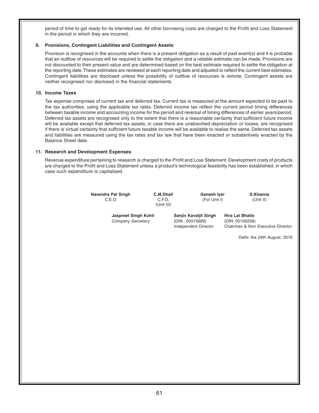period of time to get ready for its intended use. All other borrowing costs are charged to the Profit and Loss Statement in the period in which they are incurred.

# **9. Provisions, Contingent Liabilities and Contingent Assets**

Provision is recognised in the accounts when there is a present obligation as a result of past event(s) and it is probable that an outflow of resources will be required to settle the obligation and a reliable estimate can be made. Provisions are not discounted to their present value and are determined based on the best estimate required to settle the obligation at the reporting date. These estimates are reviewed at each reporting date and adjusted to reflect the current best estimates. Contingent liabilities are disclosed unless the possibility of outflow of resources is remote. Contingent assets are neither recognised nor disclosed in the financial statements.

# **10. Income Taxes**

Tax expense comprises of current tax and deferred tax. Current tax is measured at the amount expected to be paid to the tax authorities, using the applicable tax rates. Deferred income tax reflect the current period timing differences between taxable income and accounting income for the period and reversal of timing differences of earlier years/period. Deferred tax assets are recognised only to the extent that there is a reasonable certainty that sufficient future income will be available except that deferred tax assets, in case there are unabsorbed depreciation or losses, are recognised if there is virtual certainty that sufficient future taxable income will be available to realise the same. Deferred tax assets and liabilities are measured using the tax rates and tax law that have been enacted or substantively enacted by the Balance Sheet date.

# **11. Research and Development Expenses**

Revenue expenditure pertaining to research is charged to the Profit and Loss Statement. Development costs of products are charged to the Profit and Loss Statement unless a product's technological feasibility has been established, in which case such expenditure is capitalised.

> **Narendra Pal Singh C.M.Dhall Ganesh Iyer S.Khanna** C.E.O C.F.O, (For Unit I) (Unit II)

(Unit III)

Jaspreet Singh Kohli Sanjiv Kavaljit Singh Hira Lal Bhatia Company Secretary (DIN : 00015689) (DIN: 00159258)

Independent Director Chairman & Non Executive Director

Delhi: the 24th August, 2016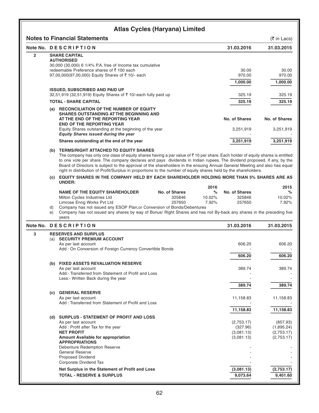|                |          | <b>Atlas Cycles (Haryana) Limited</b>                                                                                                                                                                                                                                                                                                                                                                                                                                                                                                                 |                                                    |                                                    |
|----------------|----------|-------------------------------------------------------------------------------------------------------------------------------------------------------------------------------------------------------------------------------------------------------------------------------------------------------------------------------------------------------------------------------------------------------------------------------------------------------------------------------------------------------------------------------------------------------|----------------------------------------------------|----------------------------------------------------|
|                |          | <b>Notes to Financial Statements</b>                                                                                                                                                                                                                                                                                                                                                                                                                                                                                                                  |                                                    | (₹ in Lacs)                                        |
|                |          | Note No. DESCRIPTION                                                                                                                                                                                                                                                                                                                                                                                                                                                                                                                                  | 31.03.2016                                         | 31.03.2015                                         |
| $\overline{2}$ |          | <b>SHARE CAPITAL</b><br><b>AUTHORISED</b><br>30,000 (30,000) 6 1/4% P.A. free of Income tax cumulative<br>redeemable Preference shares of ₹100 each<br>97,00,000(97,00,000) Equity Shares of ₹10/- each                                                                                                                                                                                                                                                                                                                                               | 30.00<br>970.00<br>1,000.00                        | 30.00<br>970.00<br>1,000.00                        |
|                |          | <b>ISSUED, SUBSCRIBED AND PAID UP</b><br>32,51,919 (32,51,919) Equity Shares of ₹10/-each fully paid up                                                                                                                                                                                                                                                                                                                                                                                                                                               | 325.19                                             | 325.19                                             |
|                |          | <b>TOTAL - SHARE CAPITAL</b>                                                                                                                                                                                                                                                                                                                                                                                                                                                                                                                          | 325.19                                             | 325.19                                             |
|                |          | (a) RECONCILIATION OF THE NUMBER OF EQUITY<br><b>SHARES OUTSTANDING AT THE BEGINNING AND</b><br>AT THE END OF THE REPORTING YEAR<br><b>END OF THE REPORTING YEAR</b>                                                                                                                                                                                                                                                                                                                                                                                  | No. of Shares                                      | No. of Shares                                      |
|                |          | Equity Shares outstanding at the beginning of the year<br>Equity Shares issued during the year                                                                                                                                                                                                                                                                                                                                                                                                                                                        | 3,251,919                                          | 3,251,919                                          |
|                |          | Shares outstanding at the end of the year                                                                                                                                                                                                                                                                                                                                                                                                                                                                                                             | 3,251,919                                          | 3,251,919                                          |
|                |          | (b) TERMS/RIGHT ATTACHED TO EQUITY SHARES<br>The company has only one class of equity shares having a par value of ₹10 per share. Each holder of equity shares is entitled<br>to one vote per share. The company declares and pays dividends in Indian rupees. The dividend proposed, if any, by the<br>Board of Directors is subject to the approval of the shareholders in the ensuing Annual General Meeting and also has equal<br>right in distribution of Profit/Surplus in proportions to the number of equity shares held by the shareholders. |                                                    |                                                    |
|                |          | (c) EQUITY SHARES IN THE COMPANY HELD BY EACH SHAREHOLDER HOLDING MORE THAN 5% SHARES ARE AS<br><b>UNDER:</b>                                                                                                                                                                                                                                                                                                                                                                                                                                         |                                                    |                                                    |
|                | d)<br>e) | 2016<br><b>No. of Shares</b><br><b>NAME OF THE EQUITY SHAREHOLDER</b><br>%<br>Milton Cycles Industries Ltd<br>325846<br>10.02%<br>7.92%<br>Limrose Enng Works Pvt Ltd<br>257650<br>Company has not issued any ESOP Plan, or Conversion of Bonds/Debentures<br>Company has not issued any shares by way of Bonus/ Right Shares and has not By-back any shares in the preceding five<br>years                                                                                                                                                           | No. of Shares<br>325846<br>257650                  | 2015<br>%<br>10.02%<br>7.92%                       |
|                |          | Note No. DESCRIPTION                                                                                                                                                                                                                                                                                                                                                                                                                                                                                                                                  | 31.03.2016                                         | 31.03.2015                                         |
| 3              |          | <b>RESERVES AND SURPLUS</b><br>(a) <b>SECURITY PREMIUM ACCOUNT</b><br>As per last account<br>Add: On Conversion of Foreign Currency Convertible Bonds                                                                                                                                                                                                                                                                                                                                                                                                 | 606.20<br>606.20                                   | 606.20<br>606.20                                   |
|                |          | (b) FIXED ASSETS REVALUATION RESERVE<br>As per last account<br>Add:- Transferred from Statement of Profit and Loss<br>Less:- Written Back during the year                                                                                                                                                                                                                                                                                                                                                                                             | 389.74                                             | 389.74                                             |
|                |          | (c) GENERAL RESERVE<br>As per last account                                                                                                                                                                                                                                                                                                                                                                                                                                                                                                            | 389.74<br>11,158.83                                | 389.74<br>11,158.83                                |
|                |          | Add: Transferred from Statement of Profit and Loss                                                                                                                                                                                                                                                                                                                                                                                                                                                                                                    | 11,158.83                                          | 11,158.83                                          |
|                |          | (d) SURPLUS - STATEMENT OF PROFIT AND LOSS<br>As per last account<br>Add: Profit after Tax for the year<br><b>NET PROFIT</b><br>Amount Available for appropriation<br><b>APPROPRIATIONS</b><br>Debenture Redemption Reserve                                                                                                                                                                                                                                                                                                                           | (2,753.17)<br>(327.96)<br>(3,081.13)<br>(3,081.13) | (857.93)<br>(1,895.24)<br>(2,753.17)<br>(2,753.17) |
|                |          | <b>General Reserve</b><br><b>Proposed Dividend</b><br>Corporate Dividend Tax                                                                                                                                                                                                                                                                                                                                                                                                                                                                          |                                                    |                                                    |

Net Surplus in the Statement of Profit and Loss  $\overline{\text{3,081.13}}$   $\overline{\text{3,081.13}}$   $\overline{\text{3,081.13}}$   $\overline{\text{2,753.17}}$ <br>TOTAL - RESERVE & SURPLUS  $\overline{\text{9,073.64}}$   $\overline{\text{9,401.60}}$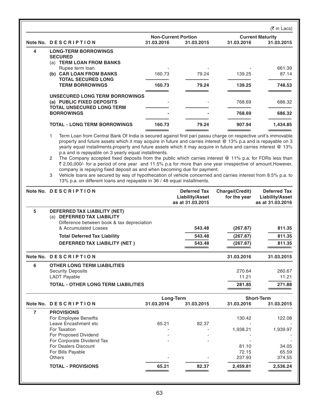|   |                                                                                                                                                                                                                                                                                                                                                    |                            |            |                         | $(5 \in \text{In}$ Lacs) |
|---|----------------------------------------------------------------------------------------------------------------------------------------------------------------------------------------------------------------------------------------------------------------------------------------------------------------------------------------------------|----------------------------|------------|-------------------------|--------------------------|
|   |                                                                                                                                                                                                                                                                                                                                                    | <b>Non-Current Portion</b> |            | <b>Current Maturity</b> |                          |
|   | Note No. DESCRIPTION                                                                                                                                                                                                                                                                                                                               | 31.03.2016                 | 31.03.2015 | 31.03.2016              | 31.03.2015               |
| 4 | <b>LONG-TERM BORROWINGS</b><br><b>SECURED</b>                                                                                                                                                                                                                                                                                                      |                            |            |                         |                          |
|   | <b>TERM LOAN FROM BANKS</b><br>(a)<br>Rupee term loan                                                                                                                                                                                                                                                                                              |                            |            |                         | 661.39                   |
|   | (b) CAR LOAN FROM BANKS<br><b>TOTAL SECURED LONG</b>                                                                                                                                                                                                                                                                                               | 160.73                     | 79.24      | 139.25                  | 87.14                    |
|   | <b>TERM BORROWINGS</b>                                                                                                                                                                                                                                                                                                                             | 160.73                     | 79.24      | 139.25                  | 748.53                   |
|   | UNSECURED LONG TERM BORROWINGS<br>(a) PUBLIC FIXED DEPOSITS<br><b>TOTAL UNSECURED LONG TERM</b>                                                                                                                                                                                                                                                    |                            |            | 768.69                  | 686.32                   |
|   | <b>BORROWINGS</b>                                                                                                                                                                                                                                                                                                                                  |                            |            | 768.69                  | 686.32                   |
|   | <b>TOTAL - LONG TERM BORROWINGS</b>                                                                                                                                                                                                                                                                                                                | 160.73                     | 79.24      | 907.94                  | 1,434.85                 |
|   | Term Loan from Central Bank Of India is secured against first pari passu charge on respective unit's immovable<br>property and future assets which it may acquire in future and carries interest @ 13% p.a and is repayable on 3<br>yearly equal installments.property and future assets which it may acquire in future and carries interest @ 13% |                            |            |                         |                          |

p.a and is repayable on 3 yearly equal installments. 2 The Company accepted fixed deposits from the public which carries interest @ 11% p.a. for FDRs less than ` 2,00,000/- for a period of one year and 11.5% p.a for more than one year irrespective of amount.However, company is repaying fixed deposit as and when becoming due for payment.

3 Vehicle loans are secured by way of hypothecation of vehicle concerned and carries interest from 8.5% p.a. to 13% p.a. on different loans and repayable in 36 / 48 equal installments.

|   | Note No. DESCRIPTION                                                                                                                       | <b>Deferred Tax</b><br><b>Liability/Asset</b><br>as at 31.03.2015 | <b>Charge/(Credit)</b><br>for the year | <b>Deferred Tax</b><br><b>Liability/Asset</b><br>as at 31,03,2016 |
|---|--------------------------------------------------------------------------------------------------------------------------------------------|-------------------------------------------------------------------|----------------------------------------|-------------------------------------------------------------------|
| 5 | DEFERRED TAX LIABILITY (NET)<br><b>DEFERRED TAX LIABILITY</b><br>(a)<br>Difference between book & tax depreciation<br>& Accumulated Losses |                                                                   |                                        |                                                                   |
|   |                                                                                                                                            | 543.48                                                            | (267.87)                               | 811.35                                                            |
|   | <b>Total Deferred Tax Liability</b>                                                                                                        | 543.48                                                            | (267.87)                               | 811.35                                                            |
|   | DEFERRED TAX LIABILITY (NET)                                                                                                               | 543.48                                                            | (267.87)                               | 811.35                                                            |
|   | Note No. DESCRIPTION                                                                                                                       |                                                                   | 31.03.2016                             | 31.03.2015                                                        |
| 6 | <b>OTHER LONG TERM LIABILITIES</b>                                                                                                         |                                                                   |                                        |                                                                   |
|   | <b>Security Deposits</b>                                                                                                                   |                                                                   | 270.64                                 | 260.67                                                            |
|   | <b>LADT Payable</b>                                                                                                                        |                                                                   | 11.21                                  | 11.21                                                             |
|   | <b>TOTAL - OTHER LONG TERM LIABILITIES</b>                                                                                                 |                                                                   | 281.85                                 | 271.88                                                            |

|   |                            |            | Long-Term  |            | <b>Short-Term</b> |  |
|---|----------------------------|------------|------------|------------|-------------------|--|
|   | Note No. DESCRIPTION       | 31.03.2016 | 31.03.2015 | 31.03.2016 | 31.03.2015        |  |
| 7 | <b>PROVISIONS</b>          |            |            |            |                   |  |
|   | For Employee Beneifts      |            |            | 130.42     | 122.08            |  |
|   | Leave Encashment etc       | 65.21      | 82.37      | -          |                   |  |
|   | For Taxation               |            |            | 1,938.21   | 1,939.97          |  |
|   | For Proposed Dividend      |            |            |            |                   |  |
|   | For Corporate Dividend Tax |            |            |            |                   |  |
|   | For Dealers Discount       |            |            | 81.10      | 34.05             |  |
|   | For Bills Payable          |            |            | 72.15      | 65.59             |  |
|   | Others                     |            |            | 237.93     | 374.55            |  |
|   | <b>TOTAL - PROVISIONS</b>  | 65.21      | 82.37      | 2,459.81   | 2,536.24          |  |
|   |                            |            |            |            |                   |  |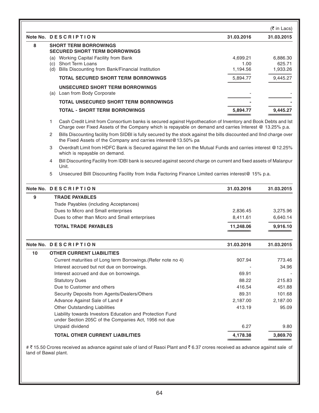|    |                                                                                                                                                                                                                               |                  | (₹ in Lacs)        |  |  |  |  |
|----|-------------------------------------------------------------------------------------------------------------------------------------------------------------------------------------------------------------------------------|------------------|--------------------|--|--|--|--|
|    | Note No. DESCRIPTION                                                                                                                                                                                                          | 31.03.2016       | 31.03.2015         |  |  |  |  |
| 8  | <b>SHORT TERM BORROWINGS</b><br><b>SECURED SHORT TERM BORROWINGS</b>                                                                                                                                                          |                  |                    |  |  |  |  |
|    | (a) Working Capital Facility from Bank                                                                                                                                                                                        | 4,699.21         | 6,886.30           |  |  |  |  |
|    | (c) Short Term Loans<br>Bills Discounting from Bank/Financial Institution<br>(d)                                                                                                                                              | 1.00<br>1,194.56 | 625.71<br>1,933.26 |  |  |  |  |
|    |                                                                                                                                                                                                                               |                  |                    |  |  |  |  |
|    | <b>TOTAL SECURED SHORT TERM BORROWINGS</b>                                                                                                                                                                                    | 5,894.77         | 9,445.27           |  |  |  |  |
|    | UNSECURED SHORT TERM BORROWINGS<br>(a) Loan from Body Corporate                                                                                                                                                               |                  |                    |  |  |  |  |
|    | TOTAL UNSECURED SHORT TERM BORROWINGS                                                                                                                                                                                         |                  |                    |  |  |  |  |
|    | <b>TOTAL - SHORT TERM BORROWINGS</b>                                                                                                                                                                                          | 5,894.77         | 9,445.27           |  |  |  |  |
|    | Cash Credit Limit from Consortium banks is secured against Hypothecation of Inventory and Book Debts and Ist<br>1.<br>Charge over Fixed Assets of the Company which is repayable on demand and carries Interest @ 13.25% p.a. |                  |                    |  |  |  |  |
|    | Bills Discounting facility from SIDBI is fully secured by the stock against the bills discounted and IInd charge over<br>$\overline{2}$<br>the Fixed Assets of the Company and carries interest@13.50% pa                     |                  |                    |  |  |  |  |
|    | Overdraft Limit from HDFC Bank is Secured against the lien on the Mutual Funds and carries interest @12.25%<br>3<br>which is repayable on demand.                                                                             |                  |                    |  |  |  |  |
|    | Bill Discounting Facility from IDBI bank is secured against second charge on current and fixed assets of Malanpur<br>4<br>Unit.                                                                                               |                  |                    |  |  |  |  |
|    | Unsecured Billl Discounting Facility from India Factoring Finance Limited carries interest@ 15% p.a.<br>5                                                                                                                     |                  |                    |  |  |  |  |
|    | Note No. DESCRIPTION                                                                                                                                                                                                          | 31.03.2016       | 31.03.2015         |  |  |  |  |
| 9  | <b>TRADE PAYABLES</b>                                                                                                                                                                                                         |                  |                    |  |  |  |  |
|    | Trade Payables (including Acceptances)                                                                                                                                                                                        |                  |                    |  |  |  |  |
|    | Dues to Micro and Small enterprises                                                                                                                                                                                           | 2,836.45         | 3,275.96           |  |  |  |  |
|    | Dues to other than Micro and Small enterprises                                                                                                                                                                                | 8,411.61         | 6,640.14           |  |  |  |  |
|    | <b>TOTAL TRADE PAYABLES</b>                                                                                                                                                                                                   | 11,248.06        | 9,916.10           |  |  |  |  |
|    | Note No. DESCRIPTION                                                                                                                                                                                                          | 31.03.2016       | 31.03.2015         |  |  |  |  |
| 10 | <b>OTHER CURRENT LIABILITIES</b>                                                                                                                                                                                              |                  |                    |  |  |  |  |
|    | Current maturities of Long term Borrowings. (Refer note no 4)                                                                                                                                                                 | 907.94           | 773.46             |  |  |  |  |
|    | Interest accrued but not due on borrowings.                                                                                                                                                                                   |                  | 34.96              |  |  |  |  |
|    | Interest accrued and due on borrowings.                                                                                                                                                                                       | 69.91            |                    |  |  |  |  |
|    | <b>Statutory Dues</b>                                                                                                                                                                                                         | 88.22            | 215.83             |  |  |  |  |
|    | Due to Customer and others                                                                                                                                                                                                    | 416.54           | 451.88             |  |  |  |  |
|    | Security Deposits from Agents/Dealers/Others                                                                                                                                                                                  | 89.31            | 101.68             |  |  |  |  |
|    | Advance Against Sale of Land #                                                                                                                                                                                                | 2,187.00         | 2,187.00           |  |  |  |  |
|    | Other Outstanding Liabilities<br>Liability towards Investors Education and Protection Fund                                                                                                                                    | 413.19           | 95.09              |  |  |  |  |
|    | under Section 205C of the Companies Act, 1956 not due                                                                                                                                                                         |                  |                    |  |  |  |  |
|    | Unpaid dividend                                                                                                                                                                                                               | 6.27             | 9.80               |  |  |  |  |
|    | <b>TOTAL OTHER CURRENT LIABILITIES</b>                                                                                                                                                                                        | 4,178.38         | 3,869.70           |  |  |  |  |
|    |                                                                                                                                                                                                                               |                  |                    |  |  |  |  |

# ₹ 15.50 Crores received as advance against sale of land of Rasoi Plant and ₹ 6.37 crores received as advance against sale of land of Bawal plant.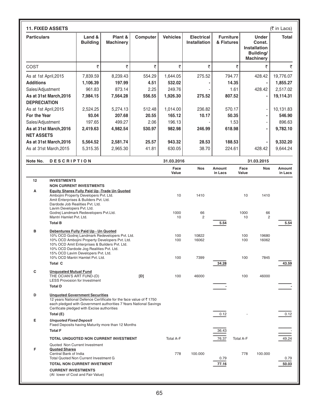|                       | <b>11. FIXED ASSETS</b>                                                                                                                          |                           |                                                                                                                                                   |          |                 |                                          |                                |                                                                                | (₹ in Lacs)              |
|-----------------------|--------------------------------------------------------------------------------------------------------------------------------------------------|---------------------------|---------------------------------------------------------------------------------------------------------------------------------------------------|----------|-----------------|------------------------------------------|--------------------------------|--------------------------------------------------------------------------------|--------------------------|
| <b>Particulars</b>    |                                                                                                                                                  | Land &<br><b>Building</b> | Plant &<br><b>Machinery</b>                                                                                                                       | Computer | <b>Vehicles</b> | <b>Electrical</b><br><b>Installation</b> | <b>Furniture</b><br>& Fixtures | <b>Under</b><br>Const.<br><b>Installation</b><br>Building/<br><b>Machinery</b> | <b>Total</b>             |
| COST                  |                                                                                                                                                  | ₹                         | ₹                                                                                                                                                 | ₹        | ₹               | ₹                                        | ₹                              | ₹                                                                              | ₹                        |
| As at 1st April, 2015 |                                                                                                                                                  | 7,839.59                  | 8,239.43                                                                                                                                          | 554.29   | 1,644.05        | 275.52                                   | 794.77                         | 428.42                                                                         | 19,776.07                |
| <b>Additions</b>      |                                                                                                                                                  | 1,106.39                  | 197.99                                                                                                                                            | 4.51     | 532.02          |                                          | 14.35                          |                                                                                | 1,855.27                 |
| Sales/Adjustment      |                                                                                                                                                  | 961.83                    | 873.14                                                                                                                                            | 2.25     | 249.76          |                                          | 1.61                           | 428.42                                                                         | 2,517.02                 |
| <b>DEPRECIATION</b>   | As at 31st March, 2016                                                                                                                           | 7,984.15                  | 7,564.28                                                                                                                                          | 556.55   | 1,926.30        | 275.52                                   | 807.52                         |                                                                                | 19,114.31                |
| As at 1st April, 2015 |                                                                                                                                                  | 2,524.25                  | 5,274.13                                                                                                                                          | 512.48   | 1,014.00        | 236.82                                   | 570.17                         |                                                                                | 10,131.83                |
| For the Year          |                                                                                                                                                  | 93.04                     | 207.68                                                                                                                                            | 20.55    | 165.12          | 10.17                                    | 50.35                          | ٠                                                                              | 546.90                   |
| Sales/Adjustment      |                                                                                                                                                  | 197.65                    | 499.27                                                                                                                                            | 2.06     | 196.13          |                                          | 1.53                           | ٠                                                                              | 896.63                   |
| <b>NET ASSETS</b>     | As at 31st March, 2016                                                                                                                           | 2,419.63                  | 4,982.54                                                                                                                                          | 530.97   | 982.98          | 246.99                                   | 618.98                         |                                                                                | 9,782.10                 |
|                       | As at 31st March, 2016                                                                                                                           | 5,564.52                  | 2,581.74                                                                                                                                          | 25.57    | 943.32          | 28.53                                    | 188.53                         |                                                                                | 9,332.20                 |
|                       | As at 31st March, 2015                                                                                                                           | 5,315.35                  | 2,965.30                                                                                                                                          | 41.81    | 630.05          | 38.70                                    | 224.61                         | 428.42                                                                         | 9,644.24                 |
| Note No.              | <b>DESCRIPTION</b>                                                                                                                               |                           |                                                                                                                                                   |          | 31.03.2016      |                                          |                                | 31.03.2015                                                                     |                          |
|                       |                                                                                                                                                  |                           |                                                                                                                                                   |          | Face<br>Value   | Nos                                      | Amount<br>in Lacs              | Face<br><b>Nos</b><br>Value                                                    | <b>Amount</b><br>in Lacs |
| 12                    | <b>INVESTMENTS</b>                                                                                                                               |                           |                                                                                                                                                   |          |                 |                                          |                                |                                                                                |                          |
| Α                     | <b>NON CURRENT INVESTMENTS</b>                                                                                                                   |                           | <b>Equity Shares Fully Paid Up - Trade Un Quoted</b>                                                                                              |          |                 |                                          |                                |                                                                                |                          |
|                       | Ambojini Property Developers Pvt. Ltd.<br>Amit Enterprises & Builders Pvt. Ltd.<br>Dardode Job Realities Pvt. Ltd.<br>Lavim Developers Pvt. Ltd. |                           |                                                                                                                                                   |          | 10              | 1410                                     |                                | 10<br>1410                                                                     |                          |
|                       | Godrej Landmark Redevelopers Pvt.Ltd.<br>Mantri Hamlet Pvt. Ltd.                                                                                 |                           |                                                                                                                                                   |          | 1000<br>10      | 66<br>2                                  |                                | 1000<br>66<br>$\overline{2}$<br>10                                             |                          |
|                       | <b>Total B</b>                                                                                                                                   |                           |                                                                                                                                                   |          |                 |                                          | 5.54                           |                                                                                | 5.54                     |
| в                     | Debentures Fully Paid Up - Un Quoted<br>10% OCD Dardode Jog Realities Pvt. Ltd.<br>15% OCD Lavim Developers Pvt. Ltd.                            |                           | 10% OCD Godrej Landmark Redevelopers Pvt. Ltd.<br>10% OCD Ambojini Property Developers Pvt. Ltd.<br>10% OCD Amit Enterprises & Builders Pvt. Ltd. |          | 100<br>100      | 10822<br>16062                           |                                | 19680<br>100<br>16062<br>100                                                   |                          |
|                       | 10% OCD Mantri Hamlet Pvt. Ltd.<br><b>Total C</b>                                                                                                |                           |                                                                                                                                                   |          | 100             | 7399                                     | 34.28                          | 100<br>7845                                                                    | 43.59                    |
| c                     | <b>Unquoated Mutual Fund</b><br>THE OCIAN'S ART FUND-(D)                                                                                         |                           |                                                                                                                                                   | [D]      | 100             | 46000                                    |                                | 100<br>46000                                                                   |                          |
|                       | <b>LESS Provosion for Investment</b><br><b>Total D</b>                                                                                           |                           |                                                                                                                                                   |          |                 |                                          |                                |                                                                                |                          |
| D                     | <b>Unquoted Government Securities</b><br>Cerificate pledged with Excise authorities<br>Total (E)                                                 |                           | 12 years National Defence Certificate for the face value of ₹1750<br>each pledged with Government authorities 7 Years National Savings            |          |                 |                                          | 0.12                           |                                                                                | 0.12                     |
| Е                     | <b>Unquoted Fixed Deposit</b>                                                                                                                    |                           |                                                                                                                                                   |          |                 |                                          |                                |                                                                                |                          |
|                       | <b>Total F</b>                                                                                                                                   |                           | Fixed Deposits having Maturity more than 12 Months                                                                                                |          |                 |                                          | 36.43                          |                                                                                |                          |
|                       |                                                                                                                                                  |                           | TOTAL UNQUOTED NON CURRENT INVESTMENT                                                                                                             |          | Total A-F       |                                          | 76.37                          | <b>Total A-F</b>                                                               | 49.24                    |
| F                     | Quoted Non Current Investment<br><b>Quoted Shares</b><br>Central Bank of India<br><b>Total Quoted Non Current Investment G</b>                   |                           |                                                                                                                                                   |          | 778             | 100.000                                  | 0.79                           | 778<br>100.000                                                                 | 0.79                     |
|                       | TOTAL NON CURRENT INVETMENT<br><b>CURRENT INVESTMENTS</b><br>(At lower of Cost and Fair Value)                                                   |                           |                                                                                                                                                   |          |                 |                                          | 77.16                          |                                                                                | 50.03                    |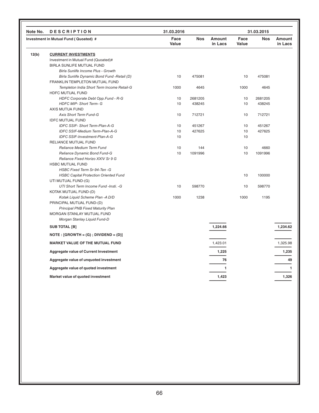| Note No. | <b>DESCRIPTION</b>                                              | 31.03.2016    |                  |                          |               | 31.03.2015       |                          |
|----------|-----------------------------------------------------------------|---------------|------------------|--------------------------|---------------|------------------|--------------------------|
|          | Investment in Mutual Fund (Quoated) #                           | Face<br>Value | <b>Nos</b>       | <b>Amount</b><br>in Lacs | Face<br>Value | <b>Nos</b>       | <b>Amount</b><br>in Lacs |
| 12(b)    | <b>CURRENT INVESTMENTS</b>                                      |               |                  |                          |               |                  |                          |
|          | Investment in Mutual Fund (Quoated)#                            |               |                  |                          |               |                  |                          |
|          | BIRLA SUNLIFE MUTUAL FUND                                       |               |                  |                          |               |                  |                          |
|          | Birla Sunlife Income Plus - Growth                              |               |                  |                          |               |                  |                          |
|          | Birla Sunlife Dynamic Bond Fund - Retail (D)                    | 10            | 475081           |                          | 10            | 475081           |                          |
|          | FRANKLIN TEMPLETON MUTUAL FUND                                  |               |                  |                          |               |                  |                          |
|          | Templeton India Short Term Income Retail-G                      | 1000          | 4645             |                          | 1000          | 4645             |                          |
|          | HDFC MUTUAL FUND                                                |               |                  |                          |               |                  |                          |
|          | HDFC Corporate Debt Opp.Fund - R-G                              | 10            | 2681205          |                          | 10            | 2681205          |                          |
|          | <b>HDFC MIP- Short Term- G</b>                                  | 10            | 438245           |                          | 10            | 438245           |                          |
|          | AXIS MUTUA FUND                                                 |               |                  |                          |               |                  |                          |
|          | Axis Short Term Fund-G                                          | 10            | 712721           |                          | 10            | 712721           |                          |
|          | <b>IDFC MUTUAL FUND</b>                                         |               |                  |                          |               |                  |                          |
|          | IDFC SSIF-Short Term-Plan-A-G<br>IDFC SSIF-Medium Term-Plan-A-G | 10<br>10      | 451267<br>427625 |                          | 10<br>10      | 451267<br>427625 |                          |
|          | <b>IDFC SSIF-Investment-Plan-A-G</b>                            | 10            |                  |                          | 10            |                  |                          |
|          | RELIANCE MUTUAL FUND                                            |               |                  |                          |               |                  |                          |
|          | Reliance Medium Term Fund                                       | 10            | 144              |                          | 10            | 4660             |                          |
|          | Reliance Dynamic Bond Fund-G                                    | 10            | 1091996          |                          | 10            | 1091996          |                          |
|          | Reliance Fixed Horizo XXIV Sr 9 G                               |               |                  |                          |               |                  |                          |
|          | <b>HSBC MUTUAL FUND</b>                                         |               |                  |                          |               |                  |                          |
|          | HSBC Fixed Term Sr-94-Ten-G                                     |               |                  |                          |               |                  |                          |
|          | <b>HSBC Capital Protection Oriented Fund</b>                    |               |                  |                          | 10            | 100000           |                          |
|          | UTI MUTUAL FUND-(G)                                             |               |                  |                          |               |                  |                          |
|          | UTI Short Term Income Fund -Insti. - G                          | 10            | 598770           |                          | 10            | 598770           |                          |
|          | KOTAK MUTUAL FUND-(D)                                           |               |                  |                          |               |                  |                          |
|          | Kotak Liquid Scheme Plan -A D/D                                 | 1000          | 1238             |                          | 1000          | 1195             |                          |
|          | PRINCIPAL MUTUAL FUND-(D)                                       |               |                  |                          |               |                  |                          |
|          | <b>Principal PNB Fixed Maturity Plan</b>                        |               |                  |                          |               |                  |                          |
|          | MORGAN STANLAY MUTUAL FUND                                      |               |                  |                          |               |                  |                          |
|          | Morgan Stanlay Liquid Fund-D                                    |               |                  |                          |               |                  |                          |
|          | SUB TOTAL [B]                                                   |               |                  | 1,224.66                 |               |                  | 1,234.62                 |
|          | $NOTE: [GROWTH = (G); DIVIDEND = (D)]$                          |               |                  |                          |               |                  |                          |
|          | <b>MARKET VALUE OF THE MUTUAL FUND</b>                          |               |                  | 1,423.01                 |               |                  | 1,325.98                 |
|          | <b>Aggregate value of Current Investment</b>                    |               |                  | 1,225                    |               |                  | 1,235                    |
|          | Aggregate value of unquoted investment                          |               |                  | 76                       |               |                  | 49                       |
|          | Aggregate value of quoted investment                            |               |                  | 1                        |               |                  | $\mathbf{1}$             |
|          | Market value of quoted investment                               |               |                  | 1,423                    |               |                  | 1,326                    |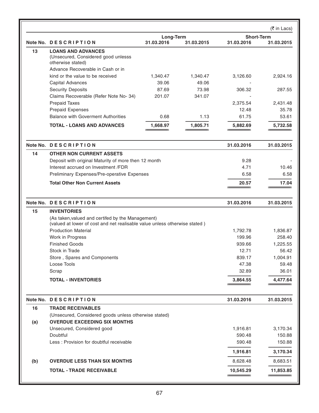|     |                                                                                                                                 |                         |                |                                 | $(5 \in \text{Ln}$ Lacs) |
|-----|---------------------------------------------------------------------------------------------------------------------------------|-------------------------|----------------|---------------------------------|--------------------------|
|     | Note No. DESCRIPTION                                                                                                            | Long-Term<br>31.03.2016 | 31.03.2015     | <b>Short-Term</b><br>31.03.2016 | 31.03.2015               |
| 13  | <b>LOANS AND ADVANCES</b><br>(Unsecured, Considered good unlesss<br>otherwise stated)                                           |                         |                |                                 |                          |
|     | Advance Recoverable in Cash or in                                                                                               |                         |                |                                 |                          |
|     | kind or the value to be received                                                                                                | 1,340.47<br>39.06       | 1,340.47       | 3,126.60                        | 2,924.16                 |
|     | Capital Advances<br><b>Security Deposits</b>                                                                                    | 87.69                   | 49.06<br>73.98 | 306.32                          | 287.55                   |
|     | Claims Recoverable (Refer Note No- 34)                                                                                          | 201.07                  | 341.07         |                                 |                          |
|     | <b>Prepaid Taxes</b>                                                                                                            |                         |                | 2,375.54                        | 2,431.48                 |
|     | <b>Prepaid Expenses</b>                                                                                                         |                         |                | 12.48                           | 35.78                    |
|     | <b>Balance with Goverment Authorities</b>                                                                                       | 0.68                    | 1.13           | 61.75                           | 53.61                    |
|     | <b>TOTAL - LOANS AND ADVANCES</b>                                                                                               | 1,668.97                | 1,805.71       | 5,882.69                        | 5,732.58                 |
|     | Note No. DESCRIPTION                                                                                                            |                         |                | 31.03.2016                      | 31.03.2015               |
| 14  | <b>OTHER NON CURRENT ASSETS</b>                                                                                                 |                         |                |                                 |                          |
|     | Deposit with original Maturity of more then 12 month                                                                            | 9.28                    |                |                                 |                          |
|     | Interest accrued on Investment /FDR                                                                                             |                         |                | 4.71                            | 10.46                    |
|     | Preliminary Expenses/Pre-operative Expenses                                                                                     | 6.58                    | 6.58           |                                 |                          |
|     | <b>Total Other Non Current Assets</b>                                                                                           |                         |                | 20.57                           | 17.04                    |
|     | Note No. DESCRIPTION                                                                                                            |                         |                | 31.03.2016                      | 31.03.2015               |
| 15  | <b>INVENTORIES</b>                                                                                                              |                         |                |                                 |                          |
|     | (As taken, valued and certifed by the Management)<br>(valued at lower of cost and net realisable value unless otherwise stated) |                         |                |                                 |                          |
|     | <b>Production Material</b>                                                                                                      |                         |                | 1,792.78                        | 1,836.87                 |
|     | Work in Progress                                                                                                                |                         |                | 199.96                          | 258.40                   |
|     | <b>Finished Goods</b>                                                                                                           |                         |                | 939.66                          | 1,225.55                 |
|     | Stock in Trade                                                                                                                  |                         |                | 12.71                           | 56.42                    |
|     | Store, Spares and Components                                                                                                    |                         |                | 839.17                          | 1,004.91                 |
|     | Loose Tools                                                                                                                     |                         |                | 47.38                           | 59.48                    |
|     | Scrap                                                                                                                           |                         |                | 32.89                           | 36.01                    |
|     | <b>TOTAL - INVENTORIES</b>                                                                                                      |                         |                | 3,864.55                        | 4,477.64                 |
|     | Note No. DESCRIPTION                                                                                                            |                         |                | 31.03.2016                      | 31.03.2015               |
| 16  | <b>TRADE RECEIVABLES</b>                                                                                                        |                         |                |                                 |                          |
| (a) | (Unsecured, Considered goods unless otherwise stated)<br><b>OVERDUE EXCEEDING SIX MONTHS</b>                                    |                         |                |                                 |                          |
|     | Unsecured, Considered good                                                                                                      |                         |                | 1,916.81                        | 3,170.34                 |
|     | Doubtful                                                                                                                        |                         |                | 590.48                          | 150.88                   |
|     | Less: Provision for doubtful receivable                                                                                         |                         |                | 590.48                          | 150.88                   |
|     |                                                                                                                                 |                         |                | 1,916.81                        | 3,170.34                 |
| (b) | <b>OVERDUE LESS THAN SIX MONTHS</b>                                                                                             |                         |                | 8,628.48                        | 8,683.51                 |
|     | <b>TOTAL - TRADE RECEIVABLE</b>                                                                                                 |                         |                | 10,545.29                       | 11,853.85                |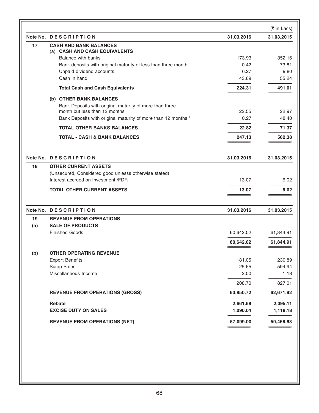|     | Note No. DESCRIPTION                                          | 31.03.2016 | 31.03.2015 |
|-----|---------------------------------------------------------------|------------|------------|
| 17  | <b>CASH AND BANK BALANCES</b>                                 |            |            |
|     | (a) CASH AND CASH EQUIVALENTS                                 |            |            |
|     | Balance with banks                                            | 173.93     | 352.16     |
|     | Bank deposits with original maturity of less than three month | 0.42       | 73.81      |
|     | Unpaid dividend accounts                                      | 6.27       | 9.80       |
|     | Cash in hand                                                  | 43.69      | 55.24      |
|     | <b>Total Cash and Cash Equivalents</b>                        | 224.31     | 491.01     |
|     | (b) OTHER BANK BALANCES                                       |            |            |
|     | Bank Deposits with original maturity of more than three       |            |            |
|     | month but less than 12 months                                 | 22.55      | 22.97      |
|     | Bank Deposits with original maturity of more than 12 months * | 0.27       | 48.40      |
|     | <b>TOTAL OTHER BANKS BALANCES</b>                             | 22.82      | 71.37      |
|     | <b>TOTAL - CASH &amp; BANK BALANCES</b>                       | 247.13     | 562.38     |
|     |                                                               |            |            |
|     | Note No. DESCRIPTION                                          | 31.03.2016 | 31.03.2015 |
| 18  | <b>OTHER CURRENT ASSETS</b>                                   |            |            |
|     | (Unsecured, Considered good unlesss otherwise stated)         |            |            |
|     | Interest accrued on Investment /FDR                           | 13.07      | 6.02       |
|     | <b>TOTAL OTHER CURRENT ASSETS</b>                             | 13.07      | 6.02       |
|     |                                                               |            |            |
|     | Note No. DESCRIPTION                                          | 31.03.2016 | 31.03.2015 |
| 19  | <b>REVENUE FROM OPERATIONS</b>                                |            |            |
| (a) | <b>SALE OF PRODUCTS</b>                                       |            |            |
|     | <b>Finished Goods</b>                                         | 60,642.02  | 61,844.91  |
|     |                                                               | 60,642.02  | 61,844.91  |
|     | <b>OTHER OPERATING REVENUE</b>                                |            |            |
| (b) | <b>Export Benefits</b>                                        | 181.05     | 230.89     |
|     | <b>Scrap Sales</b>                                            | 25.65      | 594.94     |
|     | Miscellaneous Income                                          | 2.00       | 1.18       |
|     |                                                               | 208.70     | 827.01     |
|     | <b>REVENUE FROM OPERATIONS (GROSS)</b>                        | 60,850.72  | 62,671.92  |
|     |                                                               |            |            |
|     | <b>Rebate</b>                                                 | 2,661.68   | 2,095.11   |
|     | <b>EXCISE DUTY ON SALES</b>                                   | 1,090.04   | 1,118.18   |
|     | <b>REVENUE FROM OPERATIONS (NET)</b>                          | 57,099.00  | 59,458.63  |
|     |                                                               |            |            |
|     |                                                               |            |            |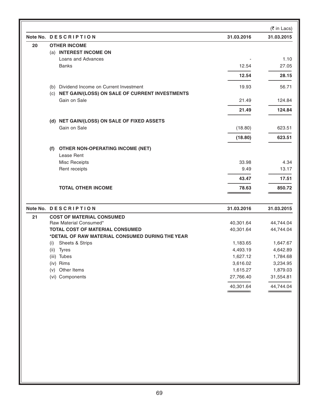|    | Note No. DESCRIPTION                                               | 31.03.2016            | (₹ in Lacs)<br>31.03.2015                                             |
|----|--------------------------------------------------------------------|-----------------------|-----------------------------------------------------------------------|
| 20 | <b>OTHER INCOME</b>                                                |                       |                                                                       |
|    | (a) INTEREST INCOME ON                                             |                       |                                                                       |
|    | Loans and Advances                                                 |                       | 1.10                                                                  |
|    | <b>Banks</b>                                                       | 12.54                 | 27.05                                                                 |
|    |                                                                    | 12.54                 | 28.15                                                                 |
|    |                                                                    |                       |                                                                       |
|    | (b) Dividend Income on Current Investment                          | 19.93                 | 56.71                                                                 |
|    | (c) NET GAIN/(LOSS) ON SALE OF CURRENT INVESTMENTS<br>Gain on Sale |                       |                                                                       |
|    |                                                                    | 21.49                 | 124.84                                                                |
|    |                                                                    | 21.49                 | 124.84                                                                |
|    | (d) NET GAIN/(LOSS) ON SALE OF FIXED ASSETS                        |                       |                                                                       |
|    | Gain on Sale                                                       | (18.80)               | 623.51                                                                |
|    |                                                                    | (18.80)               | 623.51                                                                |
|    |                                                                    |                       |                                                                       |
|    | <b>OTHER NON-OPERATING INCOME (NET)</b><br>(f)                     |                       |                                                                       |
|    | Lease Rent                                                         |                       |                                                                       |
|    | Misc Receipts                                                      | 33.98                 | 4.34                                                                  |
|    | Rent receipts                                                      | 9.49                  | 13.17                                                                 |
|    |                                                                    | 43.47                 | 17.51                                                                 |
|    | <b>TOTAL OTHER INCOME</b>                                          | 78.63                 | 850.72                                                                |
|    |                                                                    |                       |                                                                       |
|    | Note No. DESCRIPTION                                               | 31.03.2016            | 31.03.2015                                                            |
| 21 | <b>COST OF MATERIAL CONSUMED</b>                                   |                       |                                                                       |
|    | Raw Material Consumed*                                             | 40,301.64             | 44,744.04                                                             |
|    | TOTAL COST OF MATERIAL CONSUMED                                    | 40,301.64             | 44,744.04                                                             |
|    |                                                                    |                       |                                                                       |
|    | *DETAIL OF RAW MATERIAL CONSUMED DURING THE YEAR                   |                       |                                                                       |
|    | Sheets & Strips<br>(i)                                             | 1,183.65              |                                                                       |
|    | (ii) Tyres                                                         | 4,493.19              |                                                                       |
|    | (iii) Tubes                                                        | 1,627.12              |                                                                       |
|    | (iv) Rims                                                          | 3,616.02              |                                                                       |
|    | Other Items<br>(v)<br>(vi) Components                              | 1,615.27<br>27,766.40 | 1,647.67<br>4,642.89<br>1,784.68<br>3,234.95<br>1,879.03<br>31,554.81 |
|    |                                                                    | 40,301.64             | 44,744.04                                                             |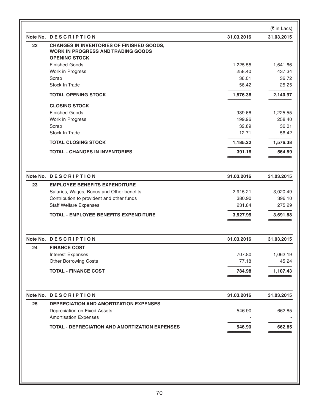| 22 | Note No. DESCRIPTION<br><b>CHANGES IN INVENTORIES OF FINISHED GOODS,</b><br><b>WORK IN PROGRESS AND TRADING GOODS</b><br><b>OPENING STOCK</b><br><b>Finished Goods</b><br>Work in Progress<br>Scrap | 31.03.2016<br>1,225.55 | 31.03.2015     |
|----|-----------------------------------------------------------------------------------------------------------------------------------------------------------------------------------------------------|------------------------|----------------|
|    |                                                                                                                                                                                                     |                        |                |
|    |                                                                                                                                                                                                     |                        |                |
|    |                                                                                                                                                                                                     |                        | 1,641.66       |
|    |                                                                                                                                                                                                     | 258.40                 | 437.34         |
|    | Stock In Trade                                                                                                                                                                                      | 36.01<br>56.42         | 36.72<br>25.25 |
|    |                                                                                                                                                                                                     |                        |                |
|    | <b>TOTAL OPENING STOCK</b>                                                                                                                                                                          | 1,576.38               | 2,140.97       |
|    | <b>CLOSING STOCK</b>                                                                                                                                                                                |                        |                |
|    | <b>Finished Goods</b>                                                                                                                                                                               | 939.66                 | 1,225.55       |
|    | Work in Progress                                                                                                                                                                                    | 199.96                 | 258.40         |
|    | Scrap                                                                                                                                                                                               | 32.89                  | 36.01          |
|    | Stock In Trade                                                                                                                                                                                      | 12.71                  | 56.42          |
|    | <b>TOTAL CLOSING STOCK</b>                                                                                                                                                                          | 1,185.22               | 1,576.38       |
|    | <b>TOTAL - CHANGES IN INVENTORIES</b>                                                                                                                                                               | 391.16                 | 564.59         |
|    |                                                                                                                                                                                                     |                        |                |
|    | Note No. DESCRIPTION                                                                                                                                                                                | 31.03.2016             | 31.03.2015     |
| 23 | <b>EMPLOYEE BENEFITS EXPENDITURE</b>                                                                                                                                                                |                        |                |
|    | Salaries, Wages, Bonus and Other benefits                                                                                                                                                           | 2,915.21               | 3,020.49       |
|    | Contribution to provident and other funds                                                                                                                                                           | 380.90                 | 396.10         |
|    | <b>Staff Welfare Expenses</b>                                                                                                                                                                       | 231.84                 | 275.29         |
|    | <b>TOTAL - EMPLOYEE BENEFITS EXPENDITURE</b>                                                                                                                                                        | 3,527.95               | 3,691.88       |
|    | Note No. DESCRIPTION                                                                                                                                                                                | 31.03.2016             | 31.03.2015     |
| 24 | <b>FINANCE COST</b>                                                                                                                                                                                 |                        |                |
|    | <b>Interest Expenses</b>                                                                                                                                                                            | 707.80                 | 1,062.19       |
|    | <b>Other Borrowing Costs</b>                                                                                                                                                                        | 77.18                  | 45.24          |
|    |                                                                                                                                                                                                     |                        |                |
|    | <b>TOTAL - FINANCE COST</b>                                                                                                                                                                         | 784.98                 | 1,107.43       |
|    | Note No. DESCRIPTION                                                                                                                                                                                | 31.03.2016             | 31.03.2015     |
| 25 | DEPRECIATION AND AMORTIZATION EXPENSES                                                                                                                                                              |                        |                |
|    | Depreciation on Fixed Assets                                                                                                                                                                        | 546.90                 | 662.85         |
|    | <b>Amortisation Expenses</b>                                                                                                                                                                        |                        |                |
|    | TOTAL - DEPRECIATION AND AMORTIZATION EXPENSES                                                                                                                                                      | 546.90                 | 662.85         |
|    |                                                                                                                                                                                                     |                        |                |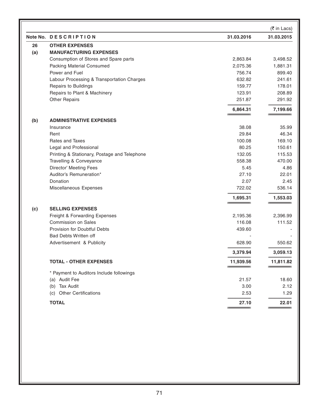|     | Note No. DESCRIPTION                         | 31.03.2016 | 31.03.2015 |
|-----|----------------------------------------------|------------|------------|
| 26  | <b>OTHER EXPENSES</b>                        |            |            |
| (a) | <b>MANUFACTURING EXPENSES</b>                |            |            |
|     | Consumption of Stores and Spare parts        | 2,863.84   | 3,498.52   |
|     | Packing Material Consumed                    | 2,075.36   | 1,881.31   |
|     | Power and Fuel                               | 756.74     | 899.40     |
|     | Labour Processing & Transportation Charges   | 632.82     | 241.61     |
|     | Repairs to Buildings                         | 159.77     | 178.01     |
|     | Repairs to Plant & Machinery                 | 123.91     | 208.89     |
|     | <b>Other Repairs</b>                         | 251.87     | 291.92     |
|     |                                              | 6,864.31   | 7,199.66   |
| (b) | <b>ADMINISTRATIVE EXPENSES</b>               |            |            |
|     | Insurance                                    | 38.08      | 35.99      |
|     | Rent                                         | 29.84      | 46.34      |
|     | <b>Rates and Taxes</b>                       | 100.08     | 169.10     |
|     | Legal and Professional                       | 80.25      | 150.61     |
|     | Printing & Stationary, Postage and Telephone | 132.05     | 115.53     |
|     | Travelling & Conveyance                      | 558.38     | 470.00     |
|     | <b>Director' Meeting Fees</b>                | 5.45       | 4.86       |
|     | Auditor's Remuneration*                      | 27.10      | 22.01      |
|     | Donation                                     | 2.07       | 2.45       |
|     | Miscellaneous Expenses                       | 722.02     | 536.14     |
|     |                                              | 1,695.31   | 1,553.03   |
| (c) | <b>SELLING EXPENSES</b>                      |            |            |
|     | Freight & Forwarding Expenses                | 2,195.36   | 2,396.99   |
|     | <b>Commission on Sales</b>                   | 116.08     | 111.52     |
|     | Provision for Doubtful Debts                 | 439.60     |            |
|     | <b>Bad Debts Written off</b>                 |            |            |
|     | Advertisement & Publicity                    | 628.90     | 550.62     |
|     |                                              | 3,379.94   | 3,059.13   |
|     | <b>TOTAL - OTHER EXPENSES</b>                | 11,939.56  | 11,811.82  |
|     | * Payment to Auditors Include followings     |            |            |
|     | (a) Audit Fee                                | 21.57      | 18.60      |
|     | (b) Tax Audit                                | 3.00       | 2.12       |
|     | (c) Other Certifications                     | 2.53       | 1.29       |
|     | <b>TOTAL</b>                                 | 27.10      | 22.01      |
|     |                                              |            |            |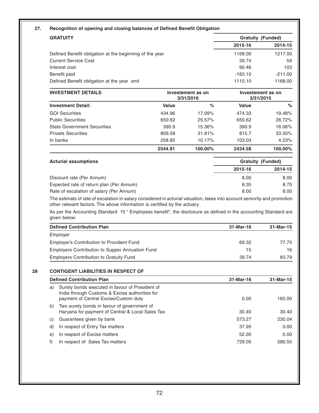# **27. Recognition of opening and closing balances of Defined Benefit Obligation**

| <b>GRATUITY</b><br>Defined Benefit obligation at the beginning of the year | <b>Gratuity (Funded)</b> |           |  |
|----------------------------------------------------------------------------|--------------------------|-----------|--|
|                                                                            | 2015-16                  | 2014-15   |  |
|                                                                            | 1168.00                  | 1217.00   |  |
| <b>Current Service Cost</b>                                                | 39.74                    | 59        |  |
| Interest cost                                                              | 90.46                    | 103       |  |
| Benefit paid                                                               | $-183.10$                | $-211.00$ |  |
| Defined Benefit obligation at the year end                                 | 1115.10                  | 1168.00   |  |

| <b>INVESTMENT DETAILS</b>          |         | Investement as on<br>3/31/2016 | Investement as on<br>3/31/2015 |         |  |
|------------------------------------|---------|--------------------------------|--------------------------------|---------|--|
| <b>Investment Detail:</b>          | Value   | $\%$                           | <b>Value</b>                   |         |  |
| <b>GOI Securities</b>              | 434.96  | 17.09%                         | 474.33                         | 19.48%  |  |
| <b>Public Securities</b>           | 650.62  | 25.57%                         | 650.62                         | 26.72%  |  |
| <b>State Government Securities</b> | 390.9   | 15.36%                         | 390.9                          | 16.06%  |  |
| <b>Private Securities</b>          | 809.58  | 31.81%                         | 815.7                          | 33.50%  |  |
| In banks                           | 258.85  | 10.17%                         | 103.03                         | 4.23%   |  |
|                                    | 2544.91 | 100.00%                        | 2434.58                        | 100.00% |  |

| <b>Acturial assumptions</b>              | <b>Gratuity (Funded)</b> |         |
|------------------------------------------|--------------------------|---------|
|                                          | 2015-16                  | 2014-15 |
| Discount rate (Per Annum)                | 8.00                     | 8.00    |
| Expected rate of return plan (Per Annum) | 8.35                     | 8.75    |
| Rate of escalation of salary (Per Annum) | 8.00                     | 8.00    |

The estimats of rate of escalation in salary considered in acturial valuation, takes into account seniority and promotion other relevant factors. The above information is certified by the actuary

As per the Accounting Standard 15 " Employees benefit", the disclosure as defined in the accounting Standard are given below:

| <b>Defined Contribution Plan</b>                | 31-Mar-16 | 31-Mar-15 |
|-------------------------------------------------|-----------|-----------|
| Employer                                        |           |           |
| Employer's Contribution to Provident Fund       | 69.32     | 77.75     |
| Employers Contribution to Supper Annuation Fund | 15        | 16        |
| <b>Employers Contribution to Gratuity Fund</b>  | 39.74     | 83.79     |

## **28 CONTIGENT LIABILITIES IN RESPECT OF**

|    | <b>Defined Contribution Plan</b>                                                                                                           | 31-Mar-16 | 31-Mar-15 |  |
|----|--------------------------------------------------------------------------------------------------------------------------------------------|-----------|-----------|--|
| a) | Surety bonds executed in favour of President of<br>India through Customs & Excise authorities for<br>payment of Central Excise/Custom duty | 0.00      | 165.00    |  |
| b) | Two surety bonds in favour of government of<br>Haryana for payment of Central & Local Sales Tax                                            | 30.40     | 30.40     |  |
| C) | Guarantees given by bank                                                                                                                   | 573.27    | 230.04    |  |
| d) | In respect of Entry Tax matters                                                                                                            | 37.95     | 0.00      |  |
| e) | In respect of Excise matters                                                                                                               | 52.00     | 0.00      |  |
| f) | In respect of Sales Tax matters                                                                                                            | 729.05    | 580.50    |  |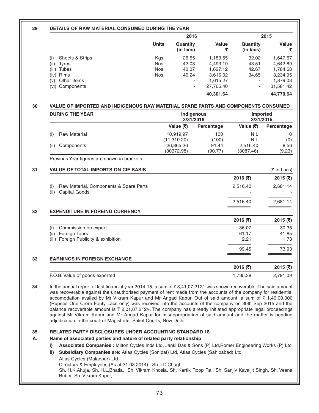#### **29 DETAILS OF RAW MATERIAL CONSUMED DURING THE YEAR**

|                        |              | 2016                  |                   | 2015                  |            |
|------------------------|--------------|-----------------------|-------------------|-----------------------|------------|
|                        | <b>Units</b> | Quantity<br>(in lacs) | <b>Value</b><br>₹ | Quantity<br>(in lacs) | Value<br>₹ |
| (i)<br>Sheets & Strips | Kgs.         | 26.55                 | 1,183.65          | 32.02                 | 1,647.67   |
| (ii)<br>Tyres          | Nos.         | 42.03                 | 4.493.19          | 43.51                 | 4.642.89   |
| (iii)<br>Tubes         | Nos.         | 40.07                 | 1,627.12          | 42.67                 | 1,784.68   |
| (iv)<br>Rims           | Nos.         | 40.24                 | 3,616.02          | 34.65                 | 3,234.95   |
| Other Items<br>(v)     |              | ٠                     | 1,615.27          | ٠                     | 1,879.03   |
| (vi) Components        |              | ٠                     | 27,766.40         | ٠                     | 31,581.42  |
|                        |              |                       | 40,301.64         |                       | 44.770.64  |

# **30 VALUE OF IMPORTED AND INDIGENOUS RAW MATERIAL SPARE PARTS AND COMPONENTS CONSUMED**

| <b>DURING THE YEAR</b> |                     |             | Indigenous<br>3/31/2016 |            |            |
|------------------------|---------------------|-------------|-------------------------|------------|------------|
|                        |                     | Value (そ)   | Percentage              | Value (₹)  | Percentage |
| (i)                    | <b>Raw Material</b> | 10,919.97   | 100                     | <b>NIL</b> | 0          |
|                        |                     | (11,310.20) | (100)                   | <b>NIL</b> | (0)        |
| (ii)                   | Components          | 26,865.26   | 91.44                   | 2,516.40   | 8.56       |
|                        |                     | (30372.98)  | (90.77)                 | (3087.46)  | (9.23)     |

Previous Year figures are shown in brackets.

## **31 VALUE OF TOTAL IMPORTS ON CIF BASIS CONSUMING A SET ALCONSTANT CONSUMING A SET ALCONSTANT CONSUMING A SET ALCONSTANT CONSUMING A SET ALCONSUM**

|                                                                               | 2016 $(5)$  | 2015 $(5)$  |
|-------------------------------------------------------------------------------|-------------|-------------|
| Raw Material, Components & Spare Parts<br>(i)<br>(ii)<br><b>Capital Goods</b> | 2,516.40    | 2,681.14    |
|                                                                               | 2,516.40    | 2,681.14    |
| <b>EXPENDITURE IN FOREING CURRENCY</b>                                        |             |             |
|                                                                               | 2016 $($ ₹) | 2015 $($ ₹) |
| Commission on export<br>(i)                                                   | 36.07       | 30.35       |
| Foreign Tours<br>(ii)                                                         | 61.17       | 41.85       |
| Foreign Publicity & exhibition<br>(iii)                                       | 2.21        | 1.73        |
|                                                                               | 99.45       | 73.93       |
| <b>EARNINGS IN FOREIGN EXCHANGE</b>                                           |             |             |
|                                                                               | $2016$ (₹)  | 2015 $(5)$  |
| F.O.B. Value of goods exported                                                | 1,735.38    | 2,791.09    |

**34** In the annual report of last financial year 2014-15, a sum of ₹ 3,41,07,212/- was shown recoverable. The said amount was recoverable against the unauthorised payment of rent made from the accounts of the company for residential accomodation availed by Mr Vikram Kapur and Mr Angad Kapur. Out of said amount, a sum of  $\bar{\tau}$  1,40,00,000 (Rupees One Crore Fouty Lacs only) was received into the accounts of the company on 30th Sep 2015 and the balance recoverable amount is  $\bar{\tau}$  2,01,07,212/-. The company has already initiated appropriate legal proceedings against Mr Vikram Kapur and Mr Angad Kapur for misappropriation of said amount and the matter is pending adjudication in the court of Magistrate, Saket Courts, New Delhi.

#### **35 RELATED PARTY DISCLOSURES UNDER ACCOUNTING STANDARD 18**

#### **A. Name of associated parties and nature of related party relationship**

- **i) Associated Companies :** Milton Cycles Inds Ltd, Janki Das & Sons (P) Ltd,Romer Engineering Works (P) Ltd
- **ii) Subsidiary Companies are:** Atlas Cycles (Sonipat) Ltd, Atlas Cycles (Sahibabad) Ltd,
	- Atlas Cycles (Malanpur) Ltd.,

Directors & Employees (As at 31.03.2014) : Sh. I.D.Chugh,

Sh. H.K.Ahuja, Sh. H.L.Bhatia, Sh. Vikram Khosla, Sh. Kartik Roop Rai, Sh. Sanjiv Kavaljit Singh, Sh. Veena Buber, Sh. Vikram Kapur,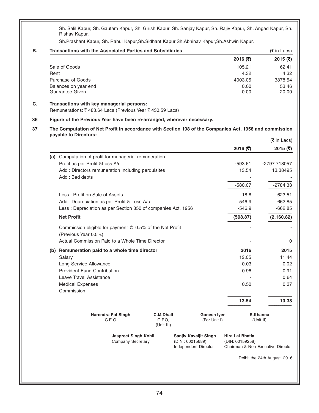Sh. Salil Kapur, Sh. Gautam Kapur, Sh. Girish Kapur, Sh. Sanjay Kapur, Sh. Rajiv Kapur, Sh. Angad Kapur, Sh. Rishav Kapur,

Sh.Prashant Kapur, Sh. Rahul Kapur,Sh.Sidhant Kapur,Sh.Abhinav Kapur,Sh.Ashwin Kapur.

| Transactions with the Associated Parties and Subsidiaries |          | $(5 \in \text{In}$ Lacs) |
|-----------------------------------------------------------|----------|--------------------------|
|                                                           | 2016 (₹) | 2015 (₹)                 |
| Sale of Goods                                             | 105.21   | 62.41                    |
| Rent                                                      | 4.32     | 4.32                     |
| Purchase of Goods                                         | 4003.05  | 3878.54                  |
| Balances on year end                                      | 0.00     | 53.46                    |
| Guarantee Given                                           | 0.00     | 20.00                    |

## **C. Transactions with key managerial persons:**

Remunerations: ₹ 483.64 Lacs (Previous Year ₹ 430.59 Lacs)

#### **36 Figure of the Previous Year have been re-arranged, wherever necessary.**

**37 The Computation of Net Profit in accordance with Section 198 of the Companies Act, 1956 and commission payable to Directors:**  $(5 \infty)$ 

|                                    |                       |                                                                                                                                                                                                                                                                                                                |                                                                                                                                       | $(1 \text{ m} \text{ LAV})$                                       |
|------------------------------------|-----------------------|----------------------------------------------------------------------------------------------------------------------------------------------------------------------------------------------------------------------------------------------------------------------------------------------------------------|---------------------------------------------------------------------------------------------------------------------------------------|-------------------------------------------------------------------|
|                                    |                       |                                                                                                                                                                                                                                                                                                                | 2016 $(5)$                                                                                                                            | 2015 $(5)$                                                        |
|                                    |                       |                                                                                                                                                                                                                                                                                                                |                                                                                                                                       |                                                                   |
| Profit as per Profit & Loss A/c    |                       |                                                                                                                                                                                                                                                                                                                | $-593.61$                                                                                                                             | -2797.718057                                                      |
|                                    |                       |                                                                                                                                                                                                                                                                                                                | 13.54                                                                                                                                 | 13.38495                                                          |
|                                    |                       |                                                                                                                                                                                                                                                                                                                |                                                                                                                                       |                                                                   |
|                                    |                       |                                                                                                                                                                                                                                                                                                                | $-580.07$                                                                                                                             | $-2784.33$                                                        |
| Less: Profit on Sale of Assets     |                       |                                                                                                                                                                                                                                                                                                                | $-18.8$                                                                                                                               | 623.51                                                            |
|                                    |                       |                                                                                                                                                                                                                                                                                                                | 546.9                                                                                                                                 | 662.85                                                            |
|                                    |                       |                                                                                                                                                                                                                                                                                                                | $-546.9$                                                                                                                              | $-662.85$                                                         |
| <b>Net Profit</b>                  |                       |                                                                                                                                                                                                                                                                                                                | (598.87)                                                                                                                              | (2, 160.82)                                                       |
| (Previous Year 0.5%)               |                       |                                                                                                                                                                                                                                                                                                                |                                                                                                                                       |                                                                   |
|                                    |                       |                                                                                                                                                                                                                                                                                                                |                                                                                                                                       | $\Omega$                                                          |
|                                    |                       |                                                                                                                                                                                                                                                                                                                | 2016                                                                                                                                  | 2015                                                              |
| Salary                             |                       |                                                                                                                                                                                                                                                                                                                | 12.05                                                                                                                                 | 11.44                                                             |
| Long Service Allowance             |                       |                                                                                                                                                                                                                                                                                                                | 0.03                                                                                                                                  | 0.02                                                              |
| <b>Provident Fund Contribution</b> |                       |                                                                                                                                                                                                                                                                                                                | 0.96                                                                                                                                  | 0.91                                                              |
| Leave Travel Assistance            |                       |                                                                                                                                                                                                                                                                                                                |                                                                                                                                       | 0.64                                                              |
| <b>Medical Expenses</b>            |                       |                                                                                                                                                                                                                                                                                                                | 0.50                                                                                                                                  | 0.37                                                              |
| Commission                         |                       |                                                                                                                                                                                                                                                                                                                |                                                                                                                                       |                                                                   |
|                                    |                       |                                                                                                                                                                                                                                                                                                                | 13.54                                                                                                                                 | 13.38                                                             |
| <b>Narendra Pal Singh</b><br>C.E.O | C.F.O.<br>(Unit III)  |                                                                                                                                                                                                                                                                                                                |                                                                                                                                       | S.Khanna<br>(Unit II)                                             |
|                                    |                       | Sanjiv Kavaljit Singh<br>(DIN: 00015689)<br>Independent Director                                                                                                                                                                                                                                               | <b>Hira Lal Bhatia</b><br>(DIN: 00159258)                                                                                             | Chairman & Non Executive Director<br>Delhi: the 24th August, 2016 |
|                                    | Add: Bad debts<br>(b) | (a) Computation of profit for managerial remuneration<br>Add: Directors remuneration including perquisites<br>Add : Depreciation as per Profit & Loss A/c<br>Actual Commission Paid to a Whole Time Director<br>Remuneration paid to a whole time director<br>Jaspreet Singh Kohli<br><b>Company Secretary</b> | Less: Depreciation as per Section 350 of companies Act, 1956<br>Commission eligible for payment @ 0.5% of the Net Profit<br>C.M.Dhall | <b>Ganesh Iver</b><br>(For Unit I)                                |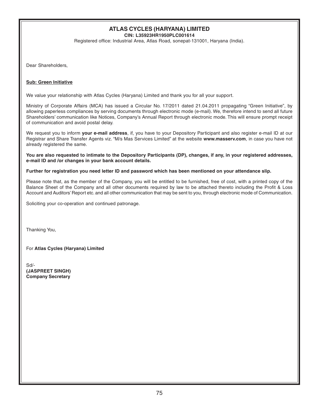## **ATLAS CYCLES (HARYANA) LIMITED CIN: L35923HR1950PLC001614**

Registered office: Industrial Area, Atlas Road, sonepat-131001, Haryana (India).

Dear Shareholders,

## **Sub: Green Initiative**

We value your relationship with Atlas Cycles (Haryana) Limited and thank you for all your support.

Ministry of Corporate Affairs (MCA) has issued a Circular No. 17/2011 dated 21.04.2011 propagating "Green Initiative", by allowing paperless compliances by serving documents through electronic mode (e-mail). We, therefore intend to send all future Shareholders' communication like Notices, Company's Annual Report through electronic mode. This will ensure prompt receipt of communication and avoid postal delay.

We request you to inform **your e-mail address**, if, you have to your Depository Participant and also register e-mail ID at our Registrar and Share Transfer Agents viz. "M/s Mas Services Limited" at the website **www.masserv.com**, in case you have not already registered the same.

**You are also requested to intimate to the Depository Participants (DP), changes, if any, in your registered addresses, e-mail ID and /or changes in your bank account details.**

### **Further for registration you need letter ID and password which has been mentioned on your attendance slip.**

Please note that, as the member of the Company, you will be entitled to be furnished, free of cost, with a printed copy of the Balance Sheet of the Company and all other documents required by law to be attached thereto including the Profit & Loss Account and Auditors' Report etc. and all other communication that may be sent to you, through electronic mode of Communication.

Soliciting your co-operation and continued patronage.

Thanking You,

For **Atlas Cycles (Haryana) Limited**

Sd/- **(JASPREET SINGH) Company Secretary**